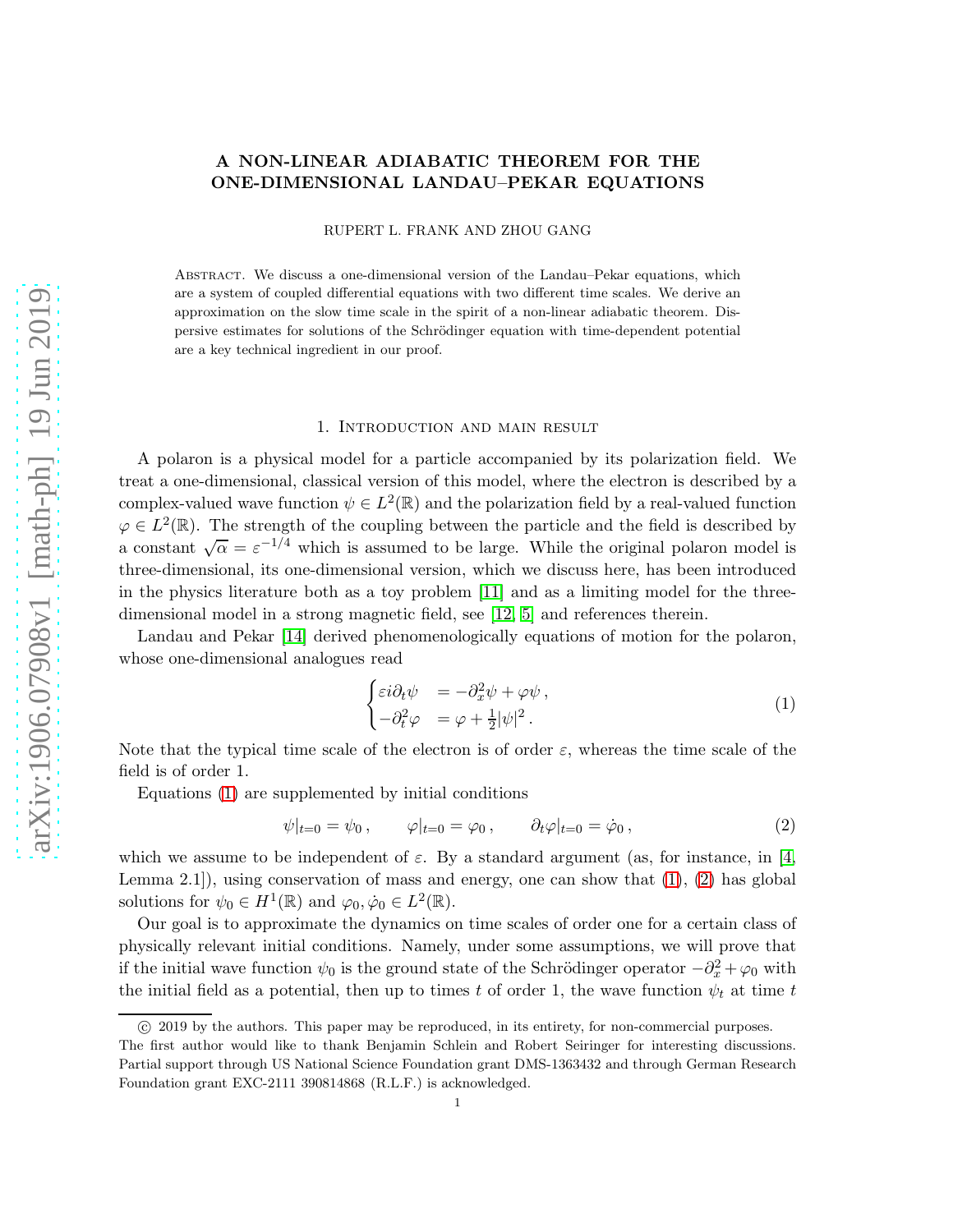## A NON-LINEAR ADIABATIC THEOREM FOR THE ONE-DIMENSIONAL LANDAU–PEKAR EQUATIONS

RUPERT L. FRANK AND ZHOU GANG

Abstract. We discuss a one-dimensional version of the Landau–Pekar equations, which are a system of coupled differential equations with two different time scales. We derive an approximation on the slow time scale in the spirit of a non-linear adiabatic theorem. Dispersive estimates for solutions of the Schrödinger equation with time-dependent potential are a key technical ingredient in our proof.

### 1. Introduction and main result

A polaron is a physical model for a particle accompanied by its polarization field. We treat a one-dimensional, classical version of this model, where the electron is described by a complex-valued wave function  $\psi \in L^2(\mathbb{R})$  and the polarization field by a real-valued function  $\varphi \in L^2(\mathbb{R})$ . The strength of the coupling between the particle and the field is described by a constant  $\sqrt{\alpha} = \varepsilon^{-1/4}$  which is assumed to be large. While the original polaron model is three-dimensional, its one-dimensional version, which we discuss here, has been introduced in the physics literature both as a toy problem [\[11\]](#page-31-0) and as a limiting model for the threedimensional model in a strong magnetic field, see [\[12,](#page-31-1) [5\]](#page-31-2) and references therein.

Landau and Pekar [\[14\]](#page-31-3) derived phenomenologically equations of motion for the polaron, whose one-dimensional analogues read

<span id="page-0-0"></span>
$$
\begin{cases} \varepsilon i \partial_t \psi &= -\partial_x^2 \psi + \varphi \psi \,, \\ -\partial_t^2 \varphi &= \varphi + \frac{1}{2} |\psi|^2 \,. \end{cases} \tag{1}
$$

Note that the typical time scale of the electron is of order  $\varepsilon$ , whereas the time scale of the field is of order 1.

Equations [\(1\)](#page-0-0) are supplemented by initial conditions

<span id="page-0-1"></span>
$$
\psi|_{t=0} = \psi_0, \qquad \varphi|_{t=0} = \varphi_0, \qquad \partial_t \varphi|_{t=0} = \dot{\varphi}_0, \qquad (2)
$$

which we assume to be independent of  $\varepsilon$ . By a standard argument (as, for instance, in [\[4,](#page-31-4) Lemma 2.1]), using conservation of mass and energy, one can show that  $(1)$ ,  $(2)$  has global solutions for  $\psi_0 \in H^1(\mathbb{R})$  and  $\varphi_0, \dot{\varphi}_0 \in L^2(\mathbb{R})$ .

Our goal is to approximate the dynamics on time scales of order one for a certain class of physically relevant initial conditions. Namely, under some assumptions, we will prove that if the initial wave function  $\psi_0$  is the ground state of the Schrödinger operator  $-\partial_x^2 + \varphi_0$  with the initial field as a potential, then up to times t of order 1, the wave function  $\psi_t$  at time t

c 2019 by the authors. This paper may be reproduced, in its entirety, for non-commercial purposes.

The first author would like to thank Benjamin Schlein and Robert Seiringer for interesting discussions. Partial support through US National Science Foundation grant DMS-1363432 and through German Research Foundation grant EXC-2111 390814868 (R.L.F.) is acknowledged.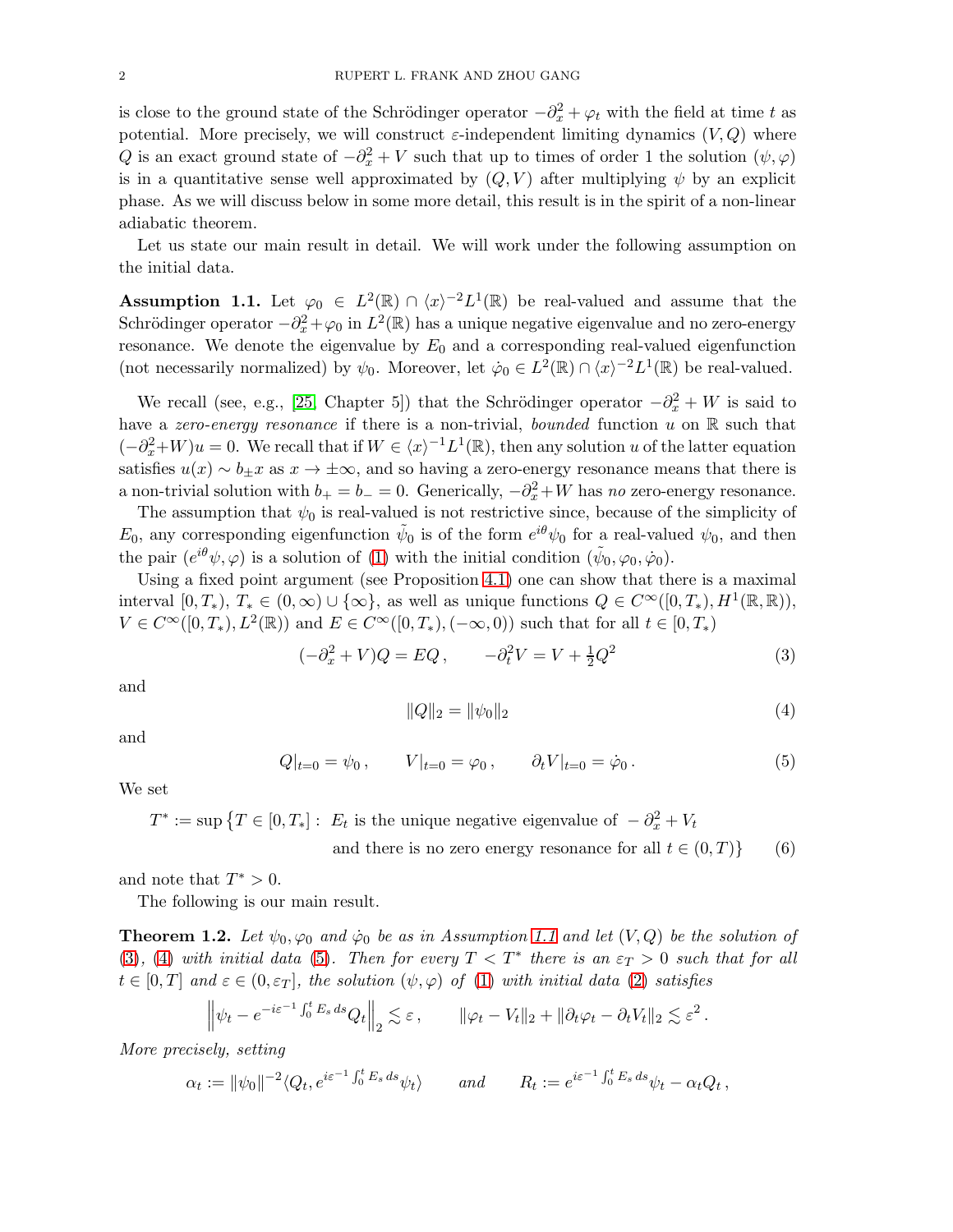is close to the ground state of the Schrödinger operator  $-\partial_x^2 + \varphi_t$  with the field at time t as potential. More precisely, we will construct  $\varepsilon$ -independent limiting dynamics  $(V, Q)$  where Q is an exact ground state of  $-\partial_x^2 + V$  such that up to times of order 1 the solution  $(\psi, \varphi)$ is in a quantitative sense well approximated by  $(Q, V)$  after multiplying  $\psi$  by an explicit phase. As we will discuss below in some more detail, this result is in the spirit of a non-linear adiabatic theorem.

Let us state our main result in detail. We will work under the following assumption on the initial data.

<span id="page-1-0"></span>Assumption 1.1. Let  $\varphi_0 \in L^2(\mathbb{R}) \cap \langle x \rangle^{-2} L^1(\mathbb{R})$  be real-valued and assume that the Schrödinger operator  $-\partial_x^2 + \varphi_0$  in  $L^2(\mathbb{R})$  has a unique negative eigenvalue and no zero-energy resonance. We denote the eigenvalue by  $E_0$  and a corresponding real-valued eigenfunction (not necessarily normalized) by  $\psi_0$ . Moreover, let  $\dot{\varphi}_0 \in L^2(\mathbb{R}) \cap \langle x \rangle^{-2} L^1(\mathbb{R})$  be real-valued.

We recall (see, e.g., [\[25,](#page-32-0) Chapter 5]) that the Schrödinger operator  $-\partial_x^2 + W$  is said to have a zero-energy resonance if there is a non-trivial, bounded function u on R such that  $(-\partial_x^2 + W)u = 0$ . We recall that if  $W \in \langle x \rangle^{-1}L^1(\mathbb{R})$ , then any solution u of the latter equation satisfies  $u(x) \sim b_{\pm} x$  as  $x \to \pm \infty$ , and so having a zero-energy resonance means that there is a non-trivial solution with  $b_+ = b_- = 0$ . Generically,  $-\partial_x^2 + W$  has no zero-energy resonance.

The assumption that  $\psi_0$  is real-valued is not restrictive since, because of the simplicity of  $E_0$ , any corresponding eigenfunction  $\tilde{\psi}_0$  is of the form  $e^{i\theta}\psi_0$  for a real-valued  $\psi_0$ , and then the pair  $(e^{i\theta}\psi, \varphi)$  is a solution of [\(1\)](#page-0-0) with the initial condition  $(\tilde{\psi}_0, \varphi_0, \dot{\varphi}_0)$ .

Using a fixed point argument (see Proposition [4.1\)](#page-15-0) one can show that there is a maximal interval  $[0, T_*)$ ,  $T_* \in (0, \infty) \cup \{\infty\}$ , as well as unique functions  $Q \in C^{\infty}([0, T_*), H^1(\mathbb{R}, \mathbb{R}))$ ,  $V \in C^{\infty}([0,T_*), L^2(\mathbb{R}))$  and  $E \in C^{\infty}([0,T_*), (-\infty,0))$  such that for all  $t \in [0,T_*)$ 

<span id="page-1-1"></span>
$$
(-\partial_x^2 + V)Q = EQ, \qquad -\partial_t^2 V = V + \frac{1}{2}Q^2 \tag{3}
$$

and

<span id="page-1-2"></span>
$$
||Q||_2 = ||\psi_0||_2 \tag{4}
$$

and

<span id="page-1-3"></span>
$$
Q|_{t=0} = \psi_0, \qquad V|_{t=0} = \varphi_0, \qquad \partial_t V|_{t=0} = \dot{\varphi}_0.
$$
 (5)

We set

 $T^* := \sup \{ T \in [0, T_*] : E_t$  is the unique negative eigenvalue of  $-\partial_x^2 + V_t$ 

and there is no zero energy resonance for all  $t \in (0, T)$  (6)

and note that  $T^* > 0$ .

The following is our main result.

<span id="page-1-4"></span>**Theorem 1.2.** Let  $\psi_0$ ,  $\varphi_0$  and  $\dot{\varphi}_0$  be as in Assumption [1.1](#page-1-0) and let  $(V, Q)$  be the solution of [\(3\)](#page-1-1), [\(4\)](#page-1-2) with initial data [\(5\)](#page-1-3). Then for every  $T < T^*$  there is an  $\varepsilon_T > 0$  such that for all  $t \in [0, T]$  and  $\varepsilon \in (0, \varepsilon_T]$ , the solution  $(\psi, \varphi)$  of [\(1\)](#page-0-0) with initial data [\(2\)](#page-0-1) satisfies

$$
\left\|\psi_t - e^{-i\varepsilon^{-1}\int_0^t E_s ds} Q_t\right\|_2 \lesssim \varepsilon, \qquad \|\varphi_t - V_t\|_2 + \|\partial_t \varphi_t - \partial_t V_t\|_2 \lesssim \varepsilon^2.
$$

More precisely, setting

$$
\alpha_t := \|\psi_0\|^{-2} \langle Q_t, e^{i\varepsilon^{-1} \int_0^t E_s ds} \psi_t \rangle \qquad and \qquad R_t := e^{i\varepsilon^{-1} \int_0^t E_s ds} \psi_t - \alpha_t Q_t,
$$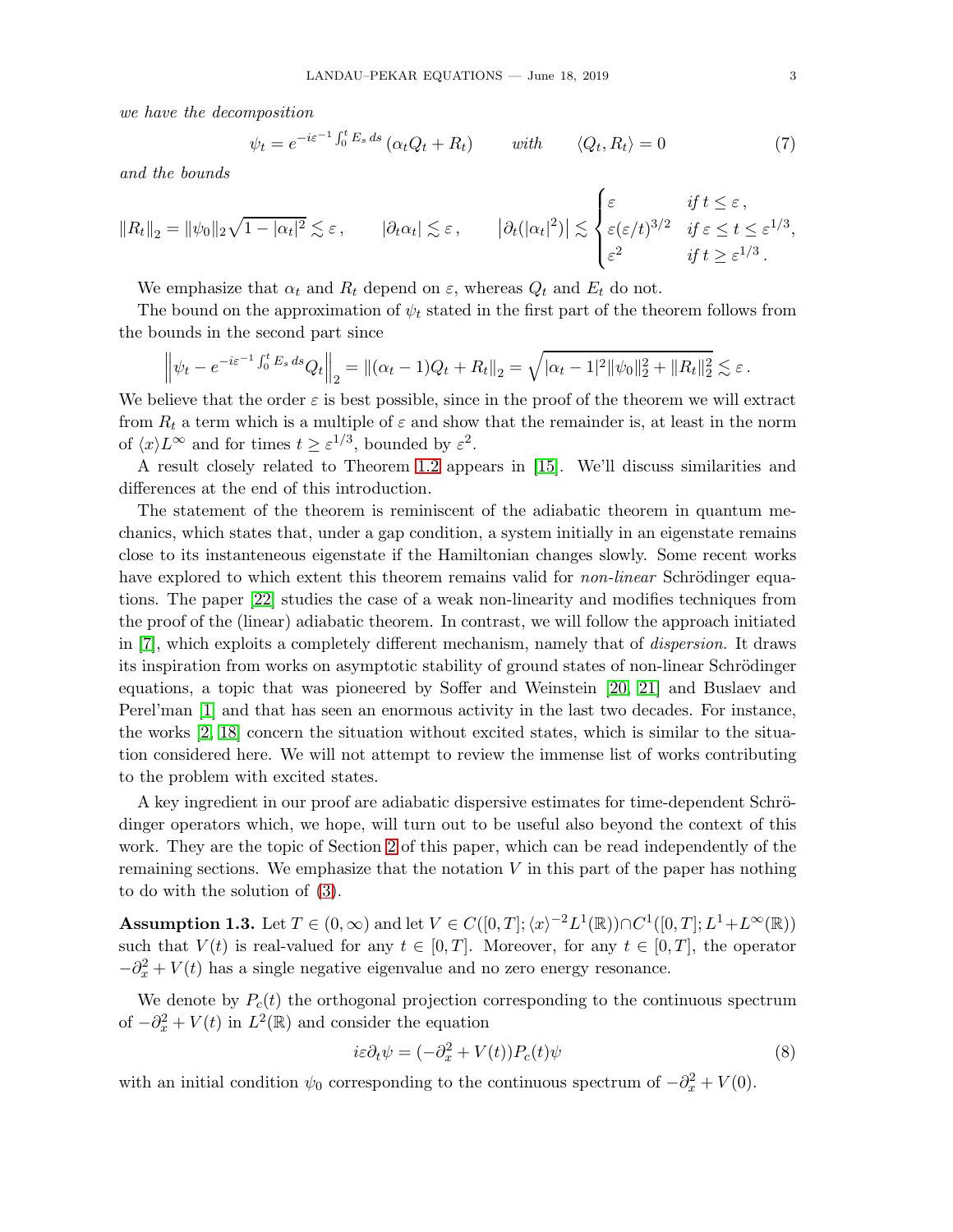we have the decomposition

<span id="page-2-2"></span>
$$
\psi_t = e^{-i\varepsilon^{-1} \int_0^t E_s ds} \left( \alpha_t Q_t + R_t \right) \qquad \text{with} \qquad \langle Q_t, R_t \rangle = 0 \tag{7}
$$

and the bounds

$$
||R_t||_2 = ||\psi_0||_2 \sqrt{1 - |\alpha_t|^2} \lesssim \varepsilon, \qquad |\partial_t \alpha_t| \lesssim \varepsilon, \qquad |\partial_t (|\alpha_t|^2) \lesssim \begin{cases} \varepsilon & \text{if } t \leq \varepsilon, \\ \varepsilon (\varepsilon/t)^{3/2} & \text{if } \varepsilon \leq t \leq \varepsilon^{1/3}, \\ \varepsilon^2 & \text{if } t \geq \varepsilon^{1/3}. \end{cases}
$$

We emphasize that  $\alpha_t$  and  $R_t$  depend on  $\varepsilon$ , whereas  $Q_t$  and  $E_t$  do not.

The bound on the approximation of  $\psi_t$  stated in the first part of the theorem follows from the bounds in the second part since

$$
\left\|\psi_t - e^{-i\varepsilon^{-1}\int_0^t E_s ds} Q_t\right\|_2 = \left\| (\alpha_t - 1)Q_t + R_t \right\|_2 = \sqrt{|\alpha_t - 1|^2 \|\psi_0\|_2^2 + \|R_t\|_2^2} \lesssim \varepsilon.
$$

We believe that the order  $\varepsilon$  is best possible, since in the proof of the theorem we will extract from  $R_t$  a term which is a multiple of  $\varepsilon$  and show that the remainder is, at least in the norm of  $\langle x \rangle L^{\infty}$  and for times  $t \geq \varepsilon^{1/3}$ , bounded by  $\varepsilon^2$ .

A result closely related to Theorem [1.2](#page-1-4) appears in [\[15\]](#page-31-5). We'll discuss similarities and differences at the end of this introduction.

The statement of the theorem is reminiscent of the adiabatic theorem in quantum mechanics, which states that, under a gap condition, a system initially in an eigenstate remains close to its instanteneous eigenstate if the Hamiltonian changes slowly. Some recent works have explored to which extent this theorem remains valid for *non-linear* Schrödinger equations. The paper [\[22\]](#page-32-1) studies the case of a weak non-linearity and modifies techniques from the proof of the (linear) adiabatic theorem. In contrast, we will follow the approach initiated in [\[7\]](#page-31-6), which exploits a completely different mechanism, namely that of dispersion. It draws its inspiration from works on asymptotic stability of ground states of non-linear Schrödinger equations, a topic that was pioneered by Soffer and Weinstein [\[20,](#page-31-7) [21\]](#page-32-2) and Buslaev and Perel'man [\[1\]](#page-31-8) and that has seen an enormous activity in the last two decades. For instance, the works [\[2,](#page-31-9) [18\]](#page-31-10) concern the situation without excited states, which is similar to the situation considered here. We will not attempt to review the immense list of works contributing to the problem with excited states.

A key ingredient in our proof are adiabatic dispersive estimates for time-dependent Schrödinger operators which, we hope, will turn out to be useful also beyond the context of this work. They are the topic of Section [2](#page-4-0) of this paper, which can be read independently of the remaining sections. We emphasize that the notation  $V$  in this part of the paper has nothing to do with the solution of [\(3\)](#page-1-1).

<span id="page-2-1"></span>Assumption 1.3. Let  $T \in (0, \infty)$  and let  $V \in C([0, T]; \langle x \rangle^{-2} L^1(\mathbb{R})) \cap C^1([0, T]; L^1 + L^{\infty}(\mathbb{R}))$ such that  $V(t)$  is real-valued for any  $t \in [0, T]$ . Moreover, for any  $t \in [0, T]$ , the operator  $-\partial_x^2 + V(t)$  has a single negative eigenvalue and no zero energy resonance.

We denote by  $P_c(t)$  the orthogonal projection corresponding to the continuous spectrum of  $-\partial_x^2 + V(t)$  in  $L^2(\mathbb{R})$  and consider the equation

<span id="page-2-0"></span>
$$
i\varepsilon \partial_t \psi = (-\partial_x^2 + V(t))P_c(t)\psi \tag{8}
$$

with an initial condition  $\psi_0$  corresponding to the continuous spectrum of  $-\partial_x^2 + V(0)$ .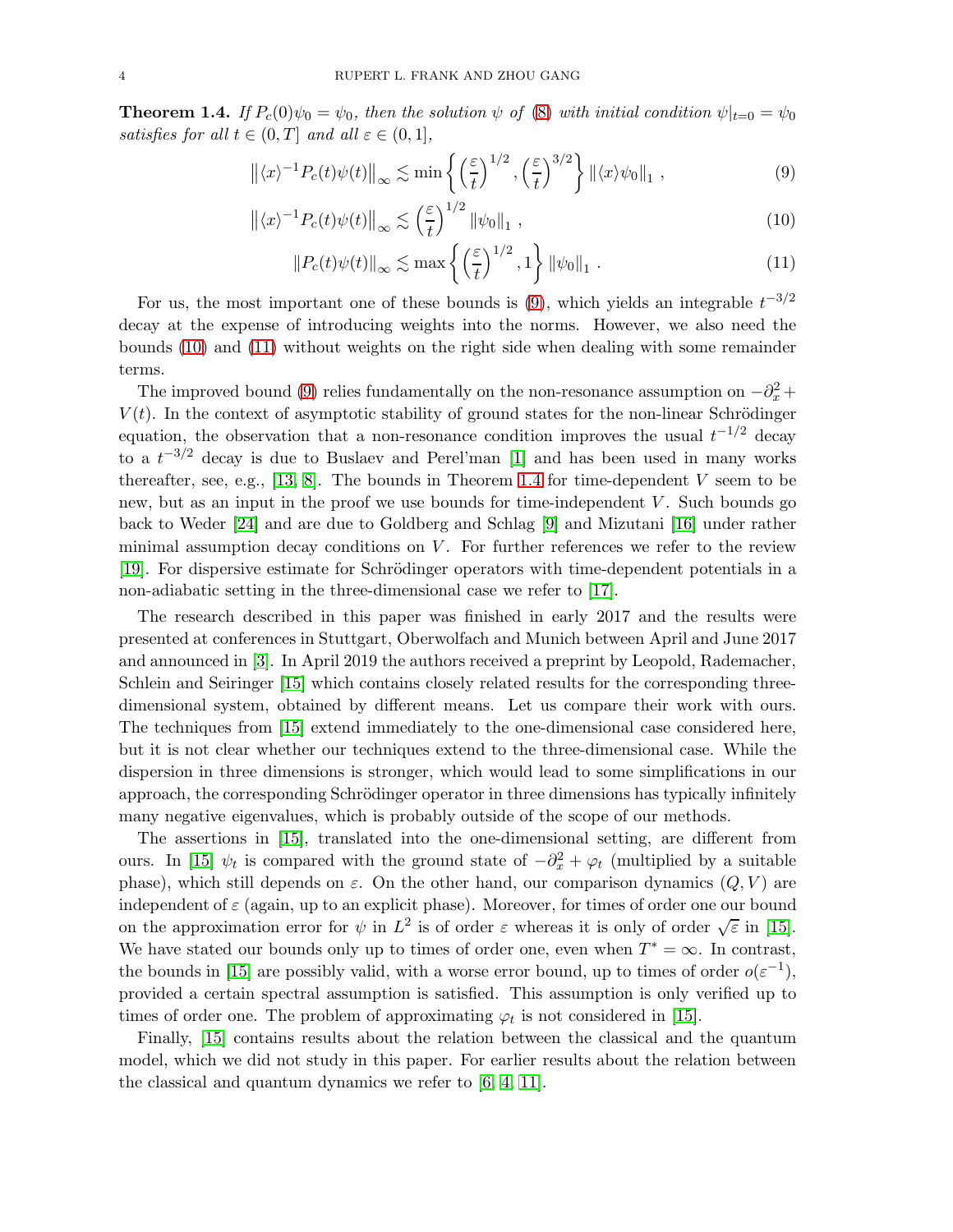<span id="page-3-3"></span>**Theorem 1.4.** If  $P_c(0)\psi_0 = \psi_0$ , then the solution  $\psi$  of [\(8\)](#page-2-0) with initial condition  $\psi|_{t=0} = \psi_0$ satisfies for all  $t \in (0, T]$  and all  $\varepsilon \in (0, 1]$ ,

$$
\left\| \langle x \rangle^{-1} P_c(t) \psi(t) \right\|_{\infty} \lesssim \min \left\{ \left( \frac{\varepsilon}{t} \right)^{1/2}, \left( \frac{\varepsilon}{t} \right)^{3/2} \right\} \left\| \langle x \rangle \psi_0 \right\|_1 , \tag{9}
$$

$$
\left\| \langle x \rangle^{-1} P_c(t) \psi(t) \right\|_{\infty} \lesssim \left( \frac{\varepsilon}{t} \right)^{1/2} \left\| \psi_0 \right\|_{1},\tag{10}
$$

<span id="page-3-2"></span><span id="page-3-1"></span><span id="page-3-0"></span>
$$
\|P_c(t)\psi(t)\|_{\infty} \lesssim \max\left\{ \left(\frac{\varepsilon}{t}\right)^{1/2}, 1\right\} \|\psi_0\|_1 . \tag{11}
$$

For us, the most important one of these bounds is  $(9)$ , which yields an integrable  $t^{-3/2}$ decay at the expense of introducing weights into the norms. However, we also need the bounds [\(10\)](#page-3-1) and [\(11\)](#page-3-2) without weights on the right side when dealing with some remainder terms.

The improved bound [\(9\)](#page-3-0) relies fundamentally on the non-resonance assumption on  $-\partial_x^2 +$  $V(t)$ . In the context of asymptotic stability of ground states for the non-linear Schrödinger equation, the observation that a non-resonance condition improves the usual  $t^{-1/2}$  decay to a  $t^{-3/2}$  decay is due to Buslaev and Perel'man [\[1\]](#page-31-8) and has been used in many works thereafter, see, e.g., [\[13,](#page-31-11) [8\]](#page-31-12). The bounds in Theorem [1.4](#page-3-3) for time-dependent  $V$  seem to be new, but as an input in the proof we use bounds for time-independent  $V$ . Such bounds go back to Weder [\[24\]](#page-32-3) and are due to Goldberg and Schlag [\[9\]](#page-31-13) and Mizutani [\[16\]](#page-31-14) under rather minimal assumption decay conditions on  $V$ . For further references we refer to the review [\[19\]](#page-31-15). For dispersive estimate for Schrödinger operators with time-dependent potentials in a non-adiabatic setting in the three-dimensional case we refer to [\[17\]](#page-31-16).

The research described in this paper was finished in early 2017 and the results were presented at conferences in Stuttgart, Oberwolfach and Munich between April and June 2017 and announced in [\[3\]](#page-31-17). In April 2019 the authors received a preprint by Leopold, Rademacher, Schlein and Seiringer [\[15\]](#page-31-5) which contains closely related results for the corresponding threedimensional system, obtained by different means. Let us compare their work with ours. The techniques from [\[15\]](#page-31-5) extend immediately to the one-dimensional case considered here, but it is not clear whether our techniques extend to the three-dimensional case. While the dispersion in three dimensions is stronger, which would lead to some simplifications in our approach, the corresponding Schrödinger operator in three dimensions has typically infinitely many negative eigenvalues, which is probably outside of the scope of our methods.

The assertions in [\[15\]](#page-31-5), translated into the one-dimensional setting, are different from ours. In [\[15\]](#page-31-5)  $\psi_t$  is compared with the ground state of  $-\partial_x^2 + \varphi_t$  (multiplied by a suitable phase), which still depends on  $\varepsilon$ . On the other hand, our comparison dynamics  $(Q, V)$  are independent of  $\varepsilon$  (again, up to an explicit phase). Moreover, for times of order one our bound on the approximation error for  $\psi$  in  $L^2$  is of order  $\varepsilon$  whereas it is only of order  $\sqrt{\varepsilon}$  in [\[15\]](#page-31-5). We have stated our bounds only up to times of order one, even when  $T^* = \infty$ . In contrast, the bounds in [\[15\]](#page-31-5) are possibly valid, with a worse error bound, up to times of order  $o(\varepsilon^{-1})$ , provided a certain spectral assumption is satisfied. This assumption is only verified up to times of order one. The problem of approximating  $\varphi_t$  is not considered in [\[15\]](#page-31-5).

Finally, [\[15\]](#page-31-5) contains results about the relation between the classical and the quantum model, which we did not study in this paper. For earlier results about the relation between the classical and quantum dynamics we refer to [\[6,](#page-31-18) [4,](#page-31-4) [11\]](#page-31-0).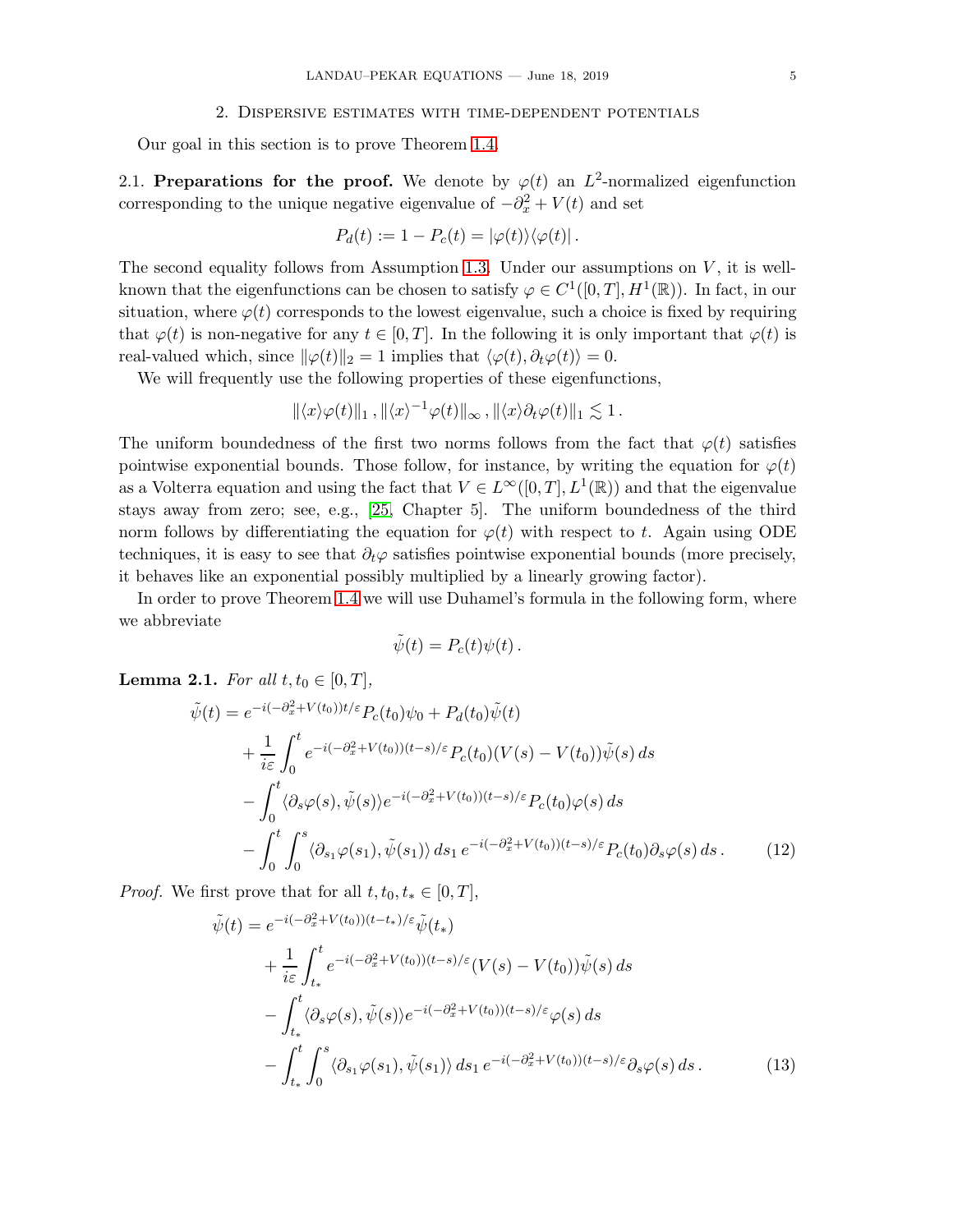### 2. Dispersive estimates with time-dependent potentials

<span id="page-4-3"></span><span id="page-4-0"></span>Our goal in this section is to prove Theorem [1.4.](#page-3-3)

2.1. Preparations for the proof. We denote by  $\varphi(t)$  an  $L^2$ -normalized eigenfunction corresponding to the unique negative eigenvalue of  $-\partial_x^2 + V(t)$  and set

$$
P_d(t) := 1 - P_c(t) = |\varphi(t)\rangle\langle\varphi(t)|.
$$

The second equality follows from Assumption [1.3.](#page-2-1) Under our assumptions on  $V$ , it is wellknown that the eigenfunctions can be chosen to satisfy  $\varphi \in C^1([0,T], H^1(\mathbb{R}))$ . In fact, in our situation, where  $\varphi(t)$  corresponds to the lowest eigenvalue, such a choice is fixed by requiring that  $\varphi(t)$  is non-negative for any  $t \in [0, T]$ . In the following it is only important that  $\varphi(t)$  is real-valued which, since  $\|\varphi(t)\|_2 = 1$  implies that  $\langle \varphi(t), \partial_t \varphi(t) \rangle = 0$ .

We will frequently use the following properties of these eigenfunctions,

$$
\|\langle x\rangle\varphi(t)\|_1\,,\|\langle x\rangle^{-1}\varphi(t)\|_\infty\,,\|\langle x\rangle\partial_t\varphi(t)\|_1\lesssim 1\,.
$$

The uniform boundedness of the first two norms follows from the fact that  $\varphi(t)$  satisfies pointwise exponential bounds. Those follow, for instance, by writing the equation for  $\varphi(t)$ as a Volterra equation and using the fact that  $V \in L^{\infty}([0,T], L^{1}(\mathbb{R}))$  and that the eigenvalue stays away from zero; see, e.g., [\[25,](#page-32-0) Chapter 5]. The uniform boundedness of the third norm follows by differentiating the equation for  $\varphi(t)$  with respect to t. Again using ODE techniques, it is easy to see that  $\partial_t \varphi$  satisfies pointwise exponential bounds (more precisely, it behaves like an exponential possibly multiplied by a linearly growing factor).

In order to prove Theorem [1.4](#page-3-3) we will use Duhamel's formula in the following form, where we abbreviate

<span id="page-4-2"></span><span id="page-4-1"></span>
$$
\tilde{\psi}(t) = P_c(t)\psi(t).
$$

**Lemma 2.1.** For all  $t, t_0 \in [0, T]$ ,

$$
\tilde{\psi}(t) = e^{-i(-\partial_x^2 + V(t_0))t/\varepsilon} P_c(t_0)\psi_0 + P_d(t_0)\tilde{\psi}(t) \n+ \frac{1}{i\varepsilon} \int_0^t e^{-i(-\partial_x^2 + V(t_0))(t-s)/\varepsilon} P_c(t_0)(V(s) - V(t_0))\tilde{\psi}(s) ds \n- \int_0^t \langle \partial_s \varphi(s), \tilde{\psi}(s) \rangle e^{-i(-\partial_x^2 + V(t_0))(t-s)/\varepsilon} P_c(t_0)\varphi(s) ds \n- \int_0^t \int_0^s \langle \partial_{s_1} \varphi(s_1), \tilde{\psi}(s_1) \rangle ds_1 e^{-i(-\partial_x^2 + V(t_0))(t-s)/\varepsilon} P_c(t_0)\partial_s \varphi(s) ds.
$$
\n(12)

*Proof.* We first prove that for all  $t, t_0, t_* \in [0, T]$ ,

$$
\tilde{\psi}(t) = e^{-i(-\partial_x^2 + V(t_0))(t - t_*)/\varepsilon} \tilde{\psi}(t_*)
$$
\n
$$
+ \frac{1}{i\varepsilon} \int_{t_*}^t e^{-i(-\partial_x^2 + V(t_0))(t - s)/\varepsilon} (V(s) - V(t_0)) \tilde{\psi}(s) ds
$$
\n
$$
- \int_{t_*}^t \langle \partial_s \varphi(s), \tilde{\psi}(s) \rangle e^{-i(-\partial_x^2 + V(t_0))(t - s)/\varepsilon} \varphi(s) ds
$$
\n
$$
- \int_{t_*}^t \int_0^s \langle \partial_{s_1} \varphi(s_1), \tilde{\psi}(s_1) \rangle ds_1 e^{-i(-\partial_x^2 + V(t_0))(t - s)/\varepsilon} \partial_s \varphi(s) ds. \tag{13}
$$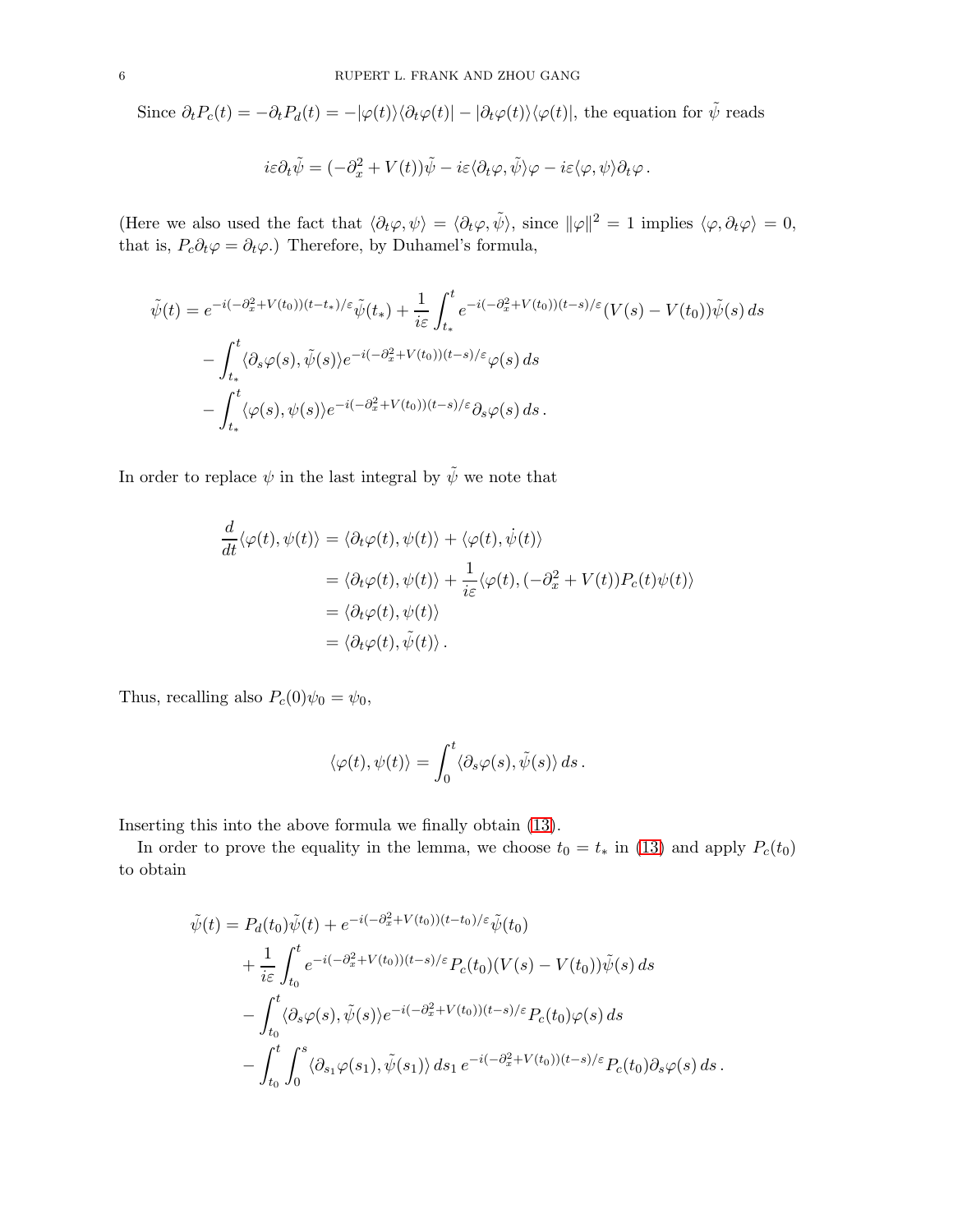Since  $\partial_t P_c(t) = -\partial_t P_d(t) = -|\varphi(t)\rangle\langle\partial_t\varphi(t)| - |\partial_t\varphi(t)\rangle\langle\varphi(t)|$ , the equation for  $\tilde{\psi}$  reads

$$
i\varepsilon\partial_t\tilde{\psi} = (-\partial_x^2 + V(t))\tilde{\psi} - i\varepsilon\langle\partial_t\varphi,\tilde{\psi}\rangle\varphi - i\varepsilon\langle\varphi,\psi\rangle\partial_t\varphi.
$$

(Here we also used the fact that  $\langle \partial_t \varphi, \psi \rangle = \langle \partial_t \varphi, \tilde{\psi} \rangle$ , since  $\|\varphi\|^2 = 1$  implies  $\langle \varphi, \partial_t \varphi \rangle = 0$ , that is,  $P_c \partial_t \varphi = \partial_t \varphi$ .) Therefore, by Duhamel's formula,

$$
\tilde{\psi}(t) = e^{-i(-\partial_x^2 + V(t_0))(t - t_*)/\varepsilon} \tilde{\psi}(t_*) + \frac{1}{i\varepsilon} \int_{t_*}^t e^{-i(-\partial_x^2 + V(t_0))(t - s)/\varepsilon} (V(s) - V(t_0)) \tilde{\psi}(s) ds
$$

$$
- \int_{t_*}^t \langle \partial_s \varphi(s), \tilde{\psi}(s) \rangle e^{-i(-\partial_x^2 + V(t_0))(t - s)/\varepsilon} \varphi(s) ds
$$

$$
- \int_{t_*}^t \langle \varphi(s), \psi(s) \rangle e^{-i(-\partial_x^2 + V(t_0))(t - s)/\varepsilon} \partial_s \varphi(s) ds.
$$

In order to replace  $\psi$  in the last integral by  $\tilde{\psi}$  we note that

$$
\frac{d}{dt}\langle\varphi(t),\psi(t)\rangle = \langle\partial_t\varphi(t),\psi(t)\rangle + \langle\varphi(t),\dot{\psi}(t)\rangle
$$
  
\n
$$
= \langle\partial_t\varphi(t),\psi(t)\rangle + \frac{1}{i\varepsilon}\langle\varphi(t),(-\partial_x^2 + V(t))P_c(t)\psi(t)\rangle
$$
  
\n
$$
= \langle\partial_t\varphi(t),\psi(t)\rangle
$$
  
\n
$$
= \langle\partial_t\varphi(t),\tilde{\psi}(t)\rangle.
$$

Thus, recalling also  $P_c(0)\psi_0 = \psi_0$ ,

$$
\langle \varphi(t), \psi(t) \rangle = \int_0^t \langle \partial_s \varphi(s), \tilde{\psi}(s) \rangle ds.
$$

Inserting this into the above formula we finally obtain [\(13\)](#page-4-1).

In order to prove the equality in the lemma, we choose  $t_0 = t_*$  in [\(13\)](#page-4-1) and apply  $P_c(t_0)$ to obtain

$$
\tilde{\psi}(t) = P_d(t_0)\tilde{\psi}(t) + e^{-i(-\partial_x^2 + V(t_0))(t - t_0)/\varepsilon}\tilde{\psi}(t_0)
$$
\n
$$
+ \frac{1}{i\varepsilon} \int_{t_0}^t e^{-i(-\partial_x^2 + V(t_0))(t - s)/\varepsilon} P_c(t_0) (V(s) - V(t_0))\tilde{\psi}(s) ds
$$
\n
$$
- \int_{t_0}^t \langle \partial_s \varphi(s), \tilde{\psi}(s) \rangle e^{-i(-\partial_x^2 + V(t_0))(t - s)/\varepsilon} P_c(t_0) \varphi(s) ds
$$
\n
$$
- \int_{t_0}^t \int_0^s \langle \partial_{s_1} \varphi(s_1), \tilde{\psi}(s_1) \rangle ds_1 e^{-i(-\partial_x^2 + V(t_0))(t - s)/\varepsilon} P_c(t_0) \partial_s \varphi(s) ds.
$$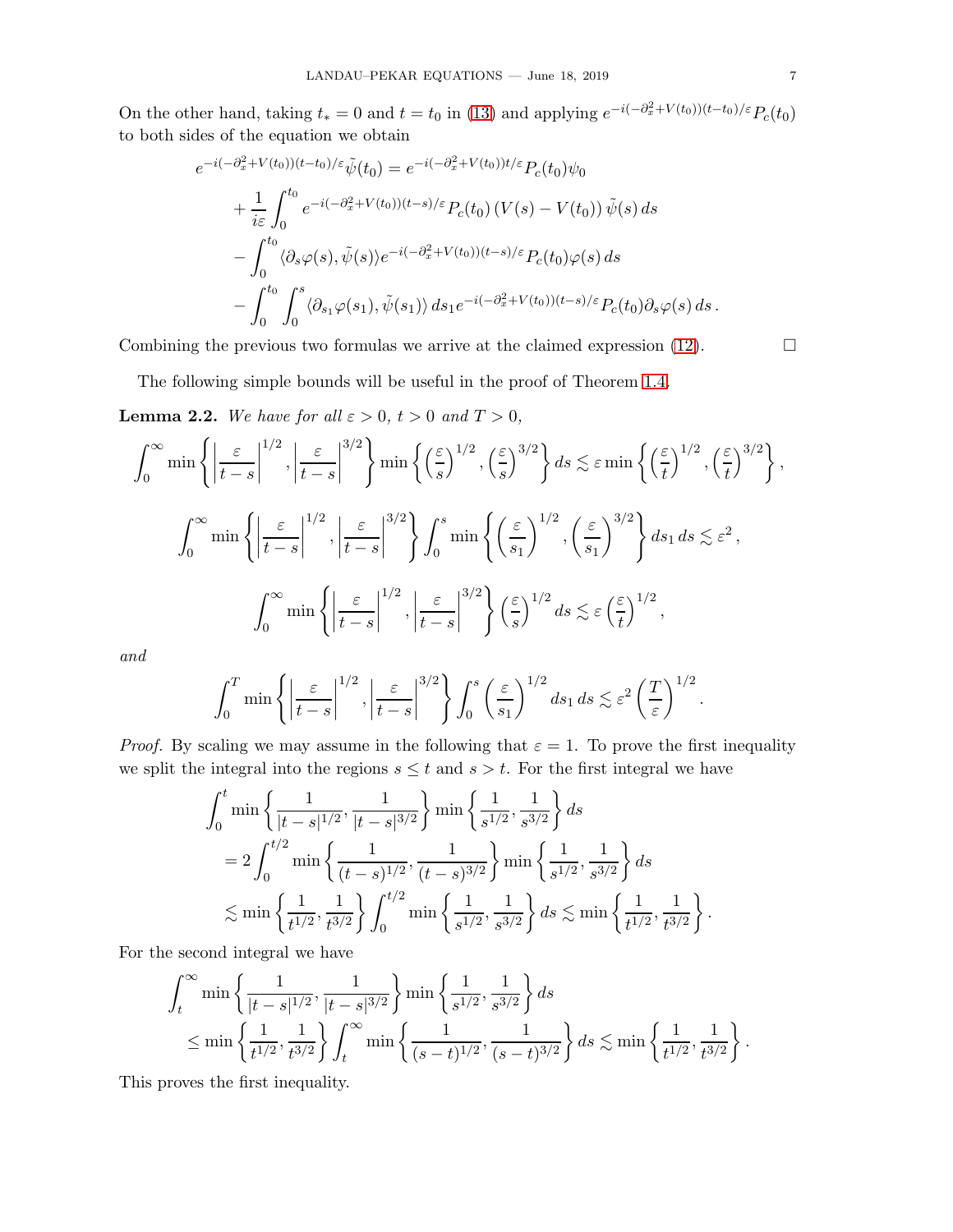On the other hand, taking  $t_* = 0$  and  $t = t_0$  in [\(13\)](#page-4-1) and applying  $e^{-i(-\partial_x^2 + V(t_0))(t-t_0)/\varepsilon}P_c(t_0)$ to both sides of the equation we obtain

$$
e^{-i(-\partial_x^2 + V(t_0))(t-t_0)/\varepsilon}\tilde{\psi}(t_0) = e^{-i(-\partial_x^2 + V(t_0))t/\varepsilon}P_c(t_0)\psi_0
$$
  
+ 
$$
\frac{1}{i\varepsilon}\int_0^{t_0} e^{-i(-\partial_x^2 + V(t_0))(t-s)/\varepsilon}P_c(t_0) (V(s) - V(t_0)) \tilde{\psi}(s) ds
$$
  
- 
$$
\int_0^{t_0} \langle \partial_s \varphi(s), \tilde{\psi}(s) \rangle e^{-i(-\partial_x^2 + V(t_0))(t-s)/\varepsilon}P_c(t_0)\varphi(s) ds
$$
  
- 
$$
\int_0^{t_0} \int_0^s \langle \partial_{s_1}\varphi(s_1), \tilde{\psi}(s_1) \rangle ds_1 e^{-i(-\partial_x^2 + V(t_0))(t-s)/\varepsilon}P_c(t_0)\partial_s\varphi(s) ds.
$$

Combining the previous two formulas we arrive at the claimed expression [\(12\)](#page-4-2).  $\Box$ 

The following simple bounds will be useful in the proof of Theorem [1.4.](#page-3-3)

<span id="page-6-0"></span>**Lemma 2.2.** We have for all  $\varepsilon > 0$ ,  $t > 0$  and  $T > 0$ ,

$$
\int_0^\infty \min\left\{ \left| \frac{\varepsilon}{t-s} \right|^{1/2}, \left| \frac{\varepsilon}{t-s} \right|^{3/2} \right\} \min\left\{ \left( \frac{\varepsilon}{s} \right)^{1/2}, \left( \frac{\varepsilon}{s} \right)^{3/2} \right\} ds \lesssim \varepsilon \min\left\{ \left( \frac{\varepsilon}{t} \right)^{1/2}, \left( \frac{\varepsilon}{t} \right)^{3/2} \right\},
$$

$$
\int_0^\infty \min\left\{ \left| \frac{\varepsilon}{t-s} \right|^{1/2}, \left| \frac{\varepsilon}{t-s} \right|^{3/2} \right\} \int_0^s \min\left\{ \left( \frac{\varepsilon}{s_1} \right)^{1/2}, \left( \frac{\varepsilon}{s_1} \right)^{3/2} \right\} ds_1 ds \lesssim \varepsilon^2,
$$

$$
\int_0^\infty \min\left\{ \left| \frac{\varepsilon}{t-s} \right|^{1/2}, \left| \frac{\varepsilon}{t-s} \right|^{3/2} \right\} \left( \frac{\varepsilon}{s} \right)^{1/2} ds \lesssim \varepsilon \left( \frac{\varepsilon}{t} \right)^{1/2},
$$

and

$$
\int_0^T \min\left\{\left|\frac{\varepsilon}{t-s}\right|^{1/2}, \left|\frac{\varepsilon}{t-s}\right|^{3/2}\right\} \int_0^s \left(\frac{\varepsilon}{s_1}\right)^{1/2} ds_1 ds \lesssim \varepsilon^2 \left(\frac{T}{\varepsilon}\right)^{1/2}.
$$

*Proof.* By scaling we may assume in the following that  $\varepsilon = 1$ . To prove the first inequality we split the integral into the regions  $s \leq t$  and  $s > t$ . For the first integral we have

$$
\int_0^t \min\left\{\frac{1}{|t-s|^{1/2}}, \frac{1}{|t-s|^{3/2}}\right\} \min\left\{\frac{1}{s^{1/2}}, \frac{1}{s^{3/2}}\right\} ds
$$
  
=  $2 \int_0^{t/2} \min\left\{\frac{1}{(t-s)^{1/2}}, \frac{1}{(t-s)^{3/2}}\right\} \min\left\{\frac{1}{s^{1/2}}, \frac{1}{s^{3/2}}\right\} ds$   
 $\lesssim \min\left\{\frac{1}{t^{1/2}}, \frac{1}{t^{3/2}}\right\} \int_0^{t/2} \min\left\{\frac{1}{s^{1/2}}, \frac{1}{s^{3/2}}\right\} ds \lesssim \min\left\{\frac{1}{t^{1/2}}, \frac{1}{t^{3/2}}\right\}.$ 

For the second integral we have

$$
\int_{t}^{\infty} \min\left\{\frac{1}{|t-s|^{1/2}}, \frac{1}{|t-s|^{3/2}}\right\} \min\left\{\frac{1}{s^{1/2}}, \frac{1}{s^{3/2}}\right\} ds
$$
  

$$
\leq \min\left\{\frac{1}{t^{1/2}}, \frac{1}{t^{3/2}}\right\} \int_{t}^{\infty} \min\left\{\frac{1}{(s-t)^{1/2}}, \frac{1}{(s-t)^{3/2}}\right\} ds \lesssim \min\left\{\frac{1}{t^{1/2}}, \frac{1}{t^{3/2}}\right\}.
$$

This proves the first inequality.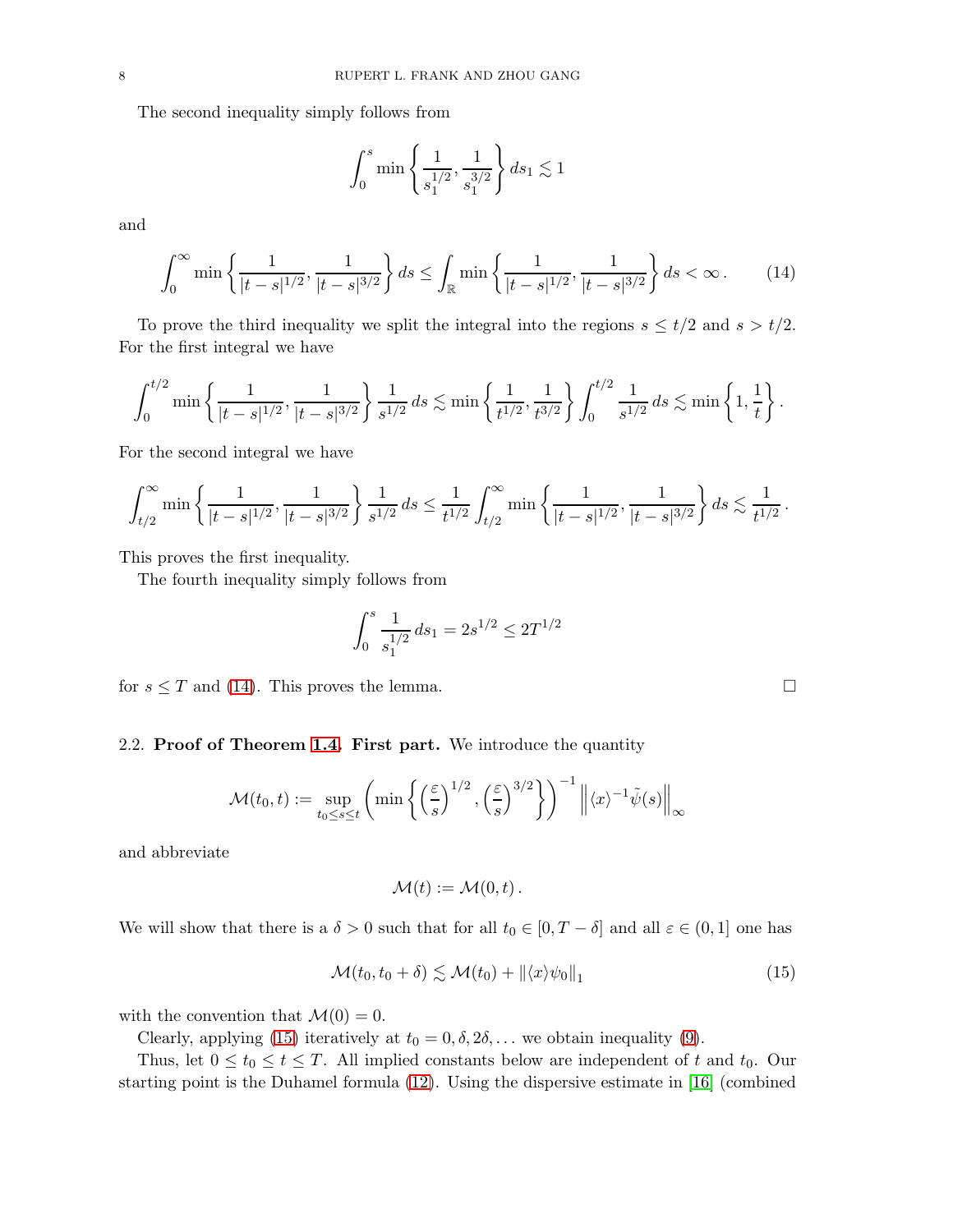The second inequality simply follows from

$$
\int_0^s \min\left\{\frac{1}{s_1^{1/2}}, \frac{1}{s_1^{3/2}}\right\} ds_1 \lesssim 1
$$

and

<span id="page-7-0"></span>
$$
\int_0^\infty \min\left\{\frac{1}{|t-s|^{1/2}}, \frac{1}{|t-s|^{3/2}}\right\} ds \le \int_{\mathbb{R}} \min\left\{\frac{1}{|t-s|^{1/2}}, \frac{1}{|t-s|^{3/2}}\right\} ds < \infty. \tag{14}
$$

To prove the third inequality we split the integral into the regions  $s \leq t/2$  and  $s > t/2$ . For the first integral we have

$$
\int_0^{t/2} \min\left\{ \frac{1}{|t-s|^{1/2}}, \frac{1}{|t-s|^{3/2}} \right\} \frac{1}{s^{1/2}} ds \lesssim \min\left\{ \frac{1}{t^{1/2}}, \frac{1}{t^{3/2}} \right\} \int_0^{t/2} \frac{1}{s^{1/2}} ds \lesssim \min\left\{ 1, \frac{1}{t} \right\}.
$$

For the second integral we have

$$
\int_{t/2}^{\infty} \min\left\{ \frac{1}{|t-s|^{1/2}}, \frac{1}{|t-s|^{3/2}} \right\} \frac{1}{s^{1/2}} ds \leq \frac{1}{t^{1/2}} \int_{t/2}^{\infty} \min\left\{ \frac{1}{|t-s|^{1/2}}, \frac{1}{|t-s|^{3/2}} \right\} ds \lesssim \frac{1}{t^{1/2}}.
$$

This proves the first inequality.

The fourth inequality simply follows from

$$
\int_0^s \frac{1}{s_1^{1/2}} ds_1 = 2s^{1/2} \le 2T^{1/2}
$$

for  $s \leq T$  and [\(14\)](#page-7-0). This proves the lemma.

### 2.2. Proof of Theorem [1.4.](#page-3-3) First part. We introduce the quantity

$$
\mathcal{M}(t_0, t) := \sup_{t_0 \le s \le t} \left( \min \left\{ \left( \frac{\varepsilon}{s} \right)^{1/2}, \left( \frac{\varepsilon}{s} \right)^{3/2} \right\} \right)^{-1} \left\| \langle x \rangle^{-1} \tilde{\psi}(s) \right\|_{\infty}
$$

and abbreviate

$$
\mathcal{M}(t) := \mathcal{M}(0,t) \, .
$$

We will show that there is a  $\delta > 0$  such that for all  $t_0 \in [0, T - \delta]$  and all  $\varepsilon \in (0, 1]$  one has

$$
\mathcal{M}(t_0, t_0 + \delta) \lesssim \mathcal{M}(t_0) + ||\langle x \rangle \psi_0||_1 \tag{15}
$$

with the convention that  $\mathcal{M}(0) = 0$ .

Clearly, applying [\(15\)](#page-7-1) iteratively at  $t_0 = 0, \delta, 2\delta, \ldots$  we obtain inequality [\(9\)](#page-3-0).

Thus, let  $0 \le t_0 \le t \le T$ . All implied constants below are independent of t and  $t_0$ . Our starting point is the Duhamel formula [\(12\)](#page-4-2). Using the dispersive estimate in [\[16\]](#page-31-14) (combined

<span id="page-7-1"></span>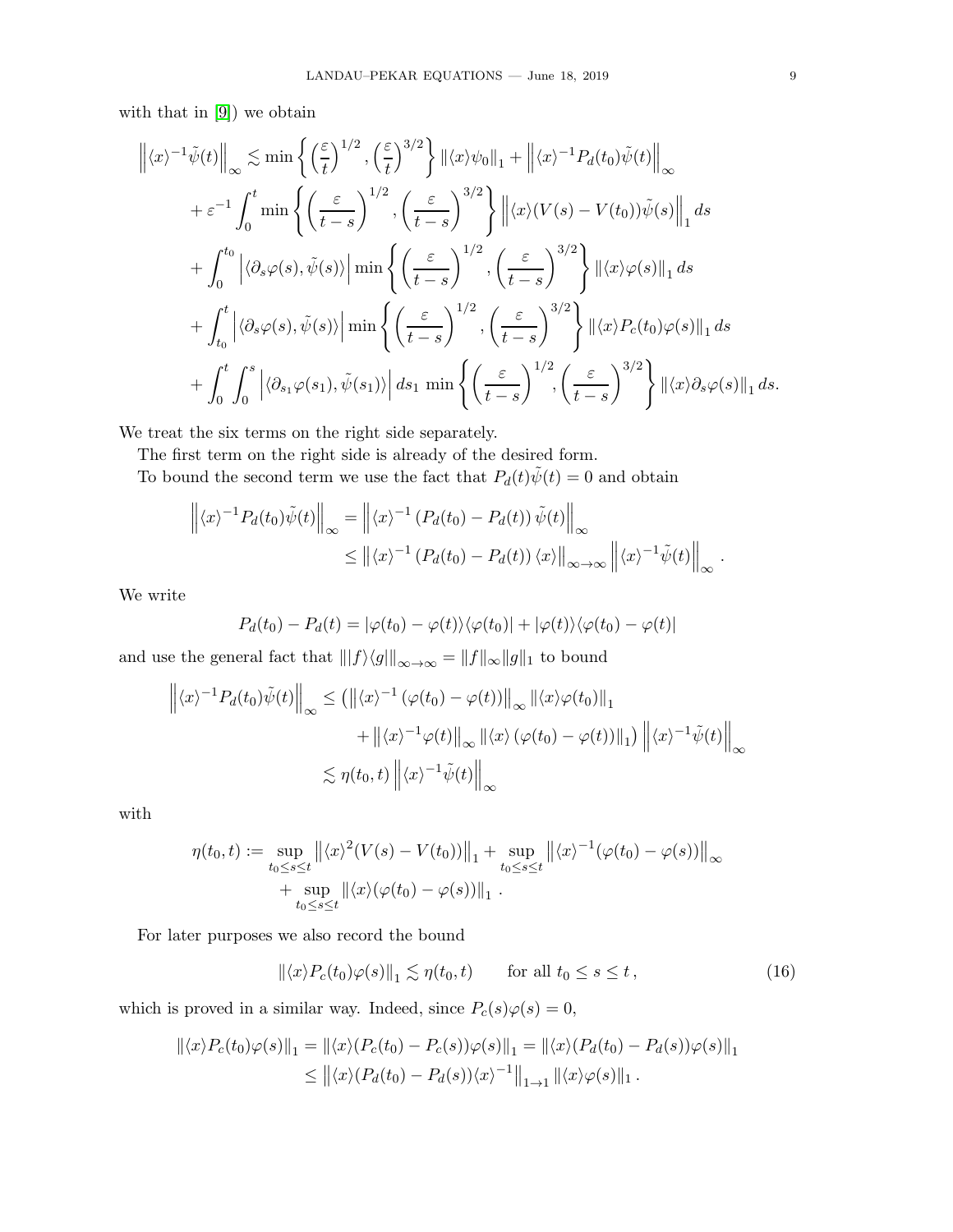with that in [\[9\]](#page-31-13)) we obtain

$$
\left\| \langle x \rangle^{-1} \tilde{\psi}(t) \right\|_{\infty} \lesssim \min \left\{ \left( \frac{\varepsilon}{t} \right)^{1/2}, \left( \frac{\varepsilon}{t} \right)^{3/2} \right\} \left\| \langle x \rangle \psi_0 \right\|_1 + \left\| \langle x \rangle^{-1} P_d(t_0) \tilde{\psi}(t) \right\|_{\infty} \n+ \varepsilon^{-1} \int_0^t \min \left\{ \left( \frac{\varepsilon}{t-s} \right)^{1/2}, \left( \frac{\varepsilon}{t-s} \right)^{3/2} \right\} \left\| \langle x \rangle (V(s) - V(t_0)) \tilde{\psi}(s) \right\|_1 ds \n+ \int_0^{t_0} \left| \langle \partial_s \varphi(s), \tilde{\psi}(s) \rangle \right| \min \left\{ \left( \frac{\varepsilon}{t-s} \right)^{1/2}, \left( \frac{\varepsilon}{t-s} \right)^{3/2} \right\} \left\| \langle x \rangle \varphi(s) \right\|_1 ds \n+ \int_{t_0}^t \left| \langle \partial_s \varphi(s), \tilde{\psi}(s) \rangle \right| \min \left\{ \left( \frac{\varepsilon}{t-s} \right)^{1/2}, \left( \frac{\varepsilon}{t-s} \right)^{3/2} \right\} \left\| \langle x \rangle P_c(t_0) \varphi(s) \right\|_1 ds \n+ \int_0^t \int_0^s \left| \langle \partial_{s_1} \varphi(s_1), \tilde{\psi}(s_1) \rangle \right| ds_1 \min \left\{ \left( \frac{\varepsilon}{t-s} \right)^{1/2}, \left( \frac{\varepsilon}{t-s} \right)^{3/2} \right\} \left\| \langle x \rangle \partial_s \varphi(s) \right\|_1 ds.
$$

We treat the six terms on the right side separately.

The first term on the right side is already of the desired form.

To bound the second term we use the fact that  $P_d(t)\tilde{\psi}(t) = 0$  and obtain

$$
\left\| \langle x \rangle^{-1} P_d(t_0) \tilde{\psi}(t) \right\|_{\infty} = \left\| \langle x \rangle^{-1} \left( P_d(t_0) - P_d(t) \right) \tilde{\psi}(t) \right\|_{\infty}
$$
  

$$
\leq \left\| \langle x \rangle^{-1} \left( P_d(t_0) - P_d(t) \right) \langle x \rangle \right\|_{\infty \to \infty} \left\| \langle x \rangle^{-1} \tilde{\psi}(t) \right\|_{\infty}.
$$

We write

$$
P_d(t_0) - P_d(t) = |\varphi(t_0) - \varphi(t)\rangle\langle\varphi(t_0)| + |\varphi(t)\rangle\langle\varphi(t_0) - \varphi(t)|
$$

and use the general fact that  $\||f\rangle\langle g|\|_{\infty\rightarrow\infty}=\|f\|_{\infty}\|g\|_{1}$  to bound

$$
\left\| \langle x \rangle^{-1} P_d(t_0) \tilde{\psi}(t) \right\|_{\infty} \le \left( \left\| \langle x \rangle^{-1} \left( \varphi(t_0) - \varphi(t) \right) \right\|_{\infty} \left\| \langle x \rangle \varphi(t_0) \right\|_{1} + \left\| \langle x \rangle^{-1} \varphi(t) \right\|_{\infty} \left\| \langle x \rangle \left( \varphi(t_0) - \varphi(t) \right) \right\|_{1} \right) \left\| \langle x \rangle^{-1} \tilde{\psi}(t) \right\|_{\infty}
$$
  

$$
\lesssim \eta(t_0, t) \left\| \langle x \rangle^{-1} \tilde{\psi}(t) \right\|_{\infty}
$$

with

$$
\eta(t_0, t) := \sup_{\substack{t_0 \le s \le t}} \left\| \langle x \rangle^2 (V(s) - V(t_0)) \right\|_1 + \sup_{\substack{t_0 \le s \le t}} \left\| \langle x \rangle^{-1} (\varphi(t_0) - \varphi(s)) \right\|_{\infty}
$$
  
+ 
$$
\sup_{t_0 \le s \le t} \left\| \langle x \rangle (\varphi(t_0) - \varphi(s)) \right\|_1.
$$

For later purposes we also record the bound

<span id="page-8-0"></span>
$$
\|\langle x \rangle P_c(t_0)\varphi(s)\|_1 \lesssim \eta(t_0, t) \qquad \text{for all } t_0 \le s \le t,
$$
\n
$$
(16)
$$

which is proved in a similar way. Indeed, since  $P_c(s)\varphi(s) = 0$ ,

$$
\begin{aligned} \|\langle x \rangle P_c(t_0)\varphi(s)\|_1 &= \|\langle x \rangle (P_c(t_0) - P_c(s))\varphi(s)\|_1 = \|\langle x \rangle (P_d(t_0) - P_d(s))\varphi(s)\|_1 \\ &\le \left\|\langle x \rangle (P_d(t_0) - P_d(s))\langle x \rangle^{-1}\right\|_{1 \to 1} \|\langle x \rangle \varphi(s)\|_1 \,. \end{aligned}
$$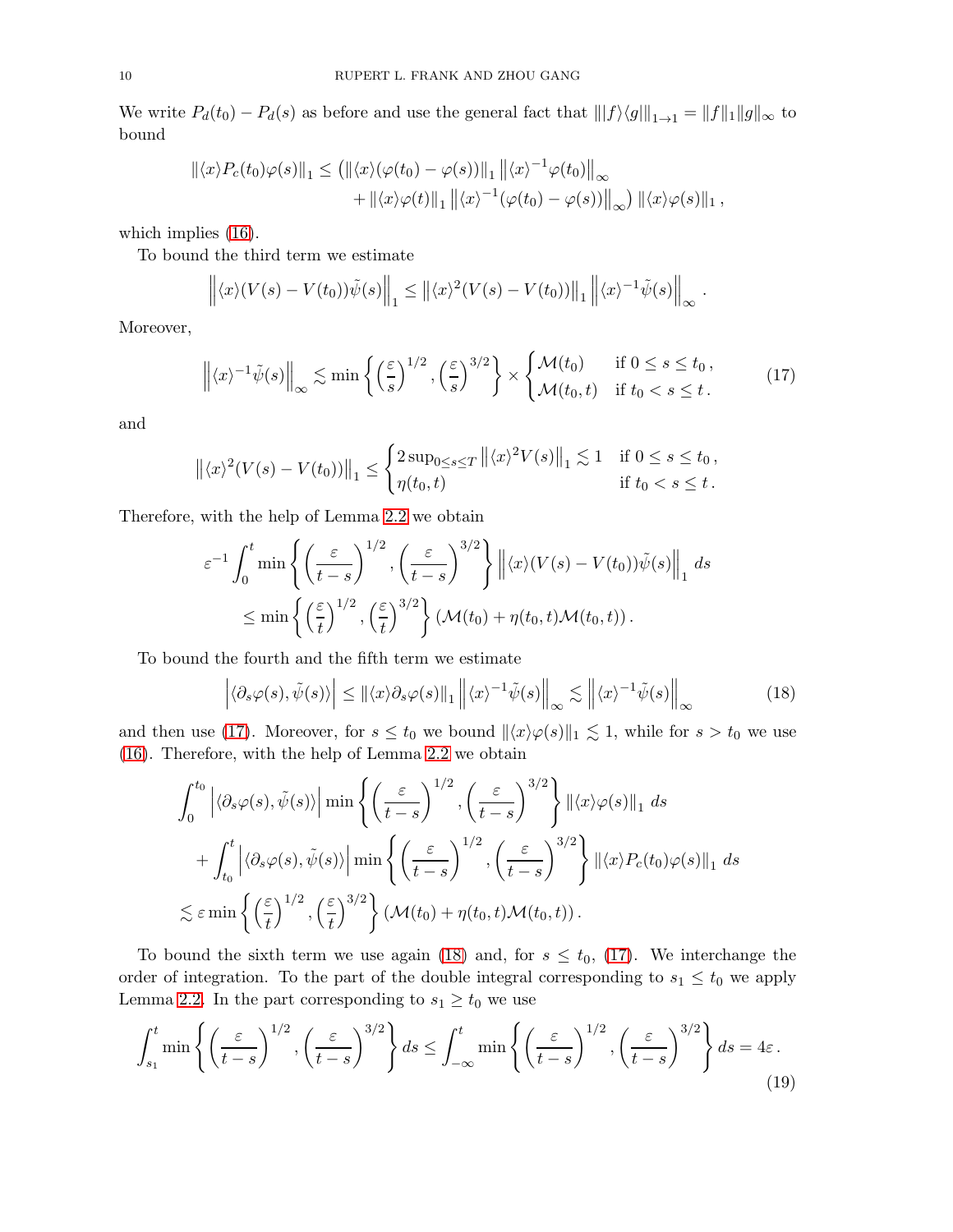We write  $P_d(t_0) - P_d(s)$  as before and use the general fact that  $||f\rangle\langle g||_{1\to 1} = ||f||_1||g||_{\infty}$  to bound

$$
\| \langle x \rangle P_c(t_0) \varphi(s) \|_1 \leq ( \| \langle x \rangle (\varphi(t_0) - \varphi(s)) \|_1 \| \langle x \rangle^{-1} \varphi(t_0) \|_\infty + \| \langle x \rangle \varphi(t) \|_1 \| \langle x \rangle^{-1} (\varphi(t_0) - \varphi(s)) \|_\infty) \| \langle x \rangle \varphi(s) \|_1,
$$

which implies  $(16)$ .

To bound the third term we estimate

$$
\left\| \langle x \rangle (V(s) - V(t_0)) \tilde{\psi}(s) \right\|_1 \leq \left\| \langle x \rangle^2 (V(s) - V(t_0)) \right\|_1 \left\| \langle x \rangle^{-1} \tilde{\psi}(s) \right\|_{\infty}.
$$

Moreover,

<span id="page-9-0"></span>
$$
\left\| \langle x \rangle^{-1} \tilde{\psi}(s) \right\|_{\infty} \lesssim \min \left\{ \left( \frac{\varepsilon}{s} \right)^{1/2}, \left( \frac{\varepsilon}{s} \right)^{3/2} \right\} \times \begin{cases} \mathcal{M}(t_0) & \text{if } 0 \le s \le t_0, \\ \mathcal{M}(t_0, t) & \text{if } t_0 < s \le t. \end{cases} \tag{17}
$$

and

$$
\left\| \langle x \rangle^{2} (V(s) - V(t_{0})) \right\|_{1} \leq \begin{cases} 2 \sup_{0 \leq s \leq T} \left\| \langle x \rangle^{2} V(s) \right\|_{1} \lesssim 1 & \text{if } 0 \leq s \leq t_{0}, \\ \eta(t_{0}, t) & \text{if } t_{0} < s \leq t. \end{cases}
$$

Therefore, with the help of Lemma [2.2](#page-6-0) we obtain

$$
\varepsilon^{-1} \int_0^t \min \left\{ \left( \frac{\varepsilon}{t-s} \right)^{1/2}, \left( \frac{\varepsilon}{t-s} \right)^{3/2} \right\} \left\| \langle x \rangle (V(s) - V(t_0)) \tilde{\psi}(s) \right\|_1 ds
$$
  

$$
\leq \min \left\{ \left( \frac{\varepsilon}{t} \right)^{1/2}, \left( \frac{\varepsilon}{t} \right)^{3/2} \right\} (\mathcal{M}(t_0) + \eta(t_0, t) \mathcal{M}(t_0, t)).
$$

To bound the fourth and the fifth term we estimate

<span id="page-9-1"></span>
$$
\left| \langle \partial_s \varphi(s), \tilde{\psi}(s) \rangle \right| \le ||\langle x \rangle \partial_s \varphi(s)||_1 \left\| \langle x \rangle^{-1} \tilde{\psi}(s) \right\|_{\infty} \lesssim \left\| \langle x \rangle^{-1} \tilde{\psi}(s) \right\|_{\infty} \tag{18}
$$

and then use [\(17\)](#page-9-0). Moreover, for  $s \le t_0$  we bound  $\| \langle x \rangle \varphi(s) \|_1 \lesssim 1$ , while for  $s > t_0$  we use [\(16\)](#page-8-0). Therefore, with the help of Lemma [2.2](#page-6-0) we obtain

$$
\int_{0}^{t_{0}} \left| \langle \partial_{s} \varphi(s), \tilde{\psi}(s) \rangle \right| \min \left\{ \left( \frac{\varepsilon}{t-s} \right)^{1/2}, \left( \frac{\varepsilon}{t-s} \right)^{3/2} \right\} \left\| \langle x \rangle \varphi(s) \right\|_{1} ds
$$
  
+ 
$$
\int_{t_{0}}^{t} \left| \langle \partial_{s} \varphi(s), \tilde{\psi}(s) \rangle \right| \min \left\{ \left( \frac{\varepsilon}{t-s} \right)^{1/2}, \left( \frac{\varepsilon}{t-s} \right)^{3/2} \right\} \left\| \langle x \rangle P_{c}(t_{0}) \varphi(s) \right\|_{1} ds
$$
  

$$
\lesssim \varepsilon \min \left\{ \left( \frac{\varepsilon}{t} \right)^{1/2}, \left( \frac{\varepsilon}{t} \right)^{3/2} \right\} (\mathcal{M}(t_{0}) + \eta(t_{0}, t) \mathcal{M}(t_{0}, t)).
$$

To bound the sixth term we use again [\(18\)](#page-9-1) and, for  $s \leq t_0$ , [\(17\)](#page-9-0). We interchange the order of integration. To the part of the double integral corresponding to  $s_1 \le t_0$  we apply Lemma [2.2.](#page-6-0) In the part corresponding to  $s_1 \ge t_0$  we use

<span id="page-9-2"></span>
$$
\int_{s_1}^t \min\left\{ \left(\frac{\varepsilon}{t-s}\right)^{1/2}, \left(\frac{\varepsilon}{t-s}\right)^{3/2} \right\} ds \le \int_{-\infty}^t \min\left\{ \left(\frac{\varepsilon}{t-s}\right)^{1/2}, \left(\frac{\varepsilon}{t-s}\right)^{3/2} \right\} ds = 4\varepsilon. \tag{19}
$$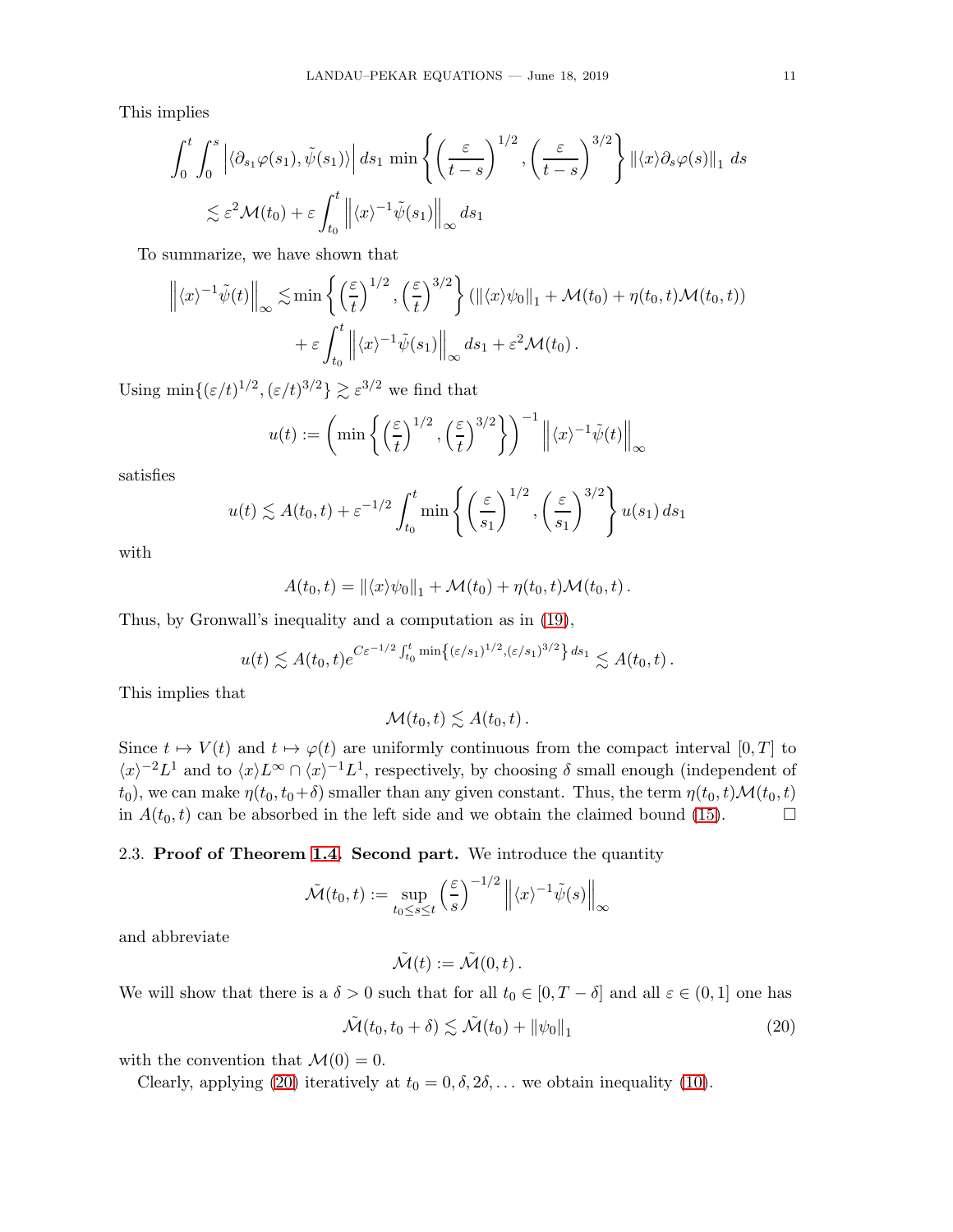This implies

$$
\int_0^t \int_0^s \left| \langle \partial_{s_1} \varphi(s_1), \tilde{\psi}(s_1) \rangle \right| ds_1 \min \left\{ \left( \frac{\varepsilon}{t-s} \right)^{1/2}, \left( \frac{\varepsilon}{t-s} \right)^{3/2} \right\} \left\| \langle x \rangle \partial_s \varphi(s) \right\|_1 ds
$$
  

$$
\lesssim \varepsilon^2 \mathcal{M}(t_0) + \varepsilon \int_{t_0}^t \left\| \langle x \rangle^{-1} \tilde{\psi}(s_1) \right\|_{\infty} ds_1
$$

To summarize, we have shown that

$$
\left\| \langle x \rangle^{-1} \tilde{\psi}(t) \right\|_{\infty} \lesssim \min \left\{ \left( \frac{\varepsilon}{t} \right)^{1/2}, \left( \frac{\varepsilon}{t} \right)^{3/2} \right\} ( \|\langle x \rangle \psi_0\|_1 + \mathcal{M}(t_0) + \eta(t_0, t) \mathcal{M}(t_0, t) ) + \varepsilon \int_{t_0}^t \left\| \langle x \rangle^{-1} \tilde{\psi}(s_1) \right\|_{\infty} ds_1 + \varepsilon^2 \mathcal{M}(t_0) .
$$

Using min $\{(\varepsilon/t)^{1/2}, (\varepsilon/t)^{3/2}\}\gtrsim \varepsilon^{3/2}$  we find that

$$
u(t) := \left(\min\left\{\left(\frac{\varepsilon}{t}\right)^{1/2}, \left(\frac{\varepsilon}{t}\right)^{3/2}\right\}\right)^{-1} \left\|\langle x \rangle^{-1} \tilde{\psi}(t)\right\|_{\infty}
$$

satisfies

$$
u(t) \lesssim A(t_0, t) + \varepsilon^{-1/2} \int_{t_0}^t \min\left\{ \left(\frac{\varepsilon}{s_1}\right)^{1/2}, \left(\frac{\varepsilon}{s_1}\right)^{3/2} \right\} u(s_1) ds_1
$$

with

$$
A(t_0,t) = \|\langle x\rangle\psi_0\|_1 + \mathcal{M}(t_0) + \eta(t_0,t)\mathcal{M}(t_0,t).
$$

Thus, by Gronwall's inequality and a computation as in [\(19\)](#page-9-2),

$$
u(t) \lesssim A(t_0,t)e^{C\varepsilon^{-1/2}\int_{t_0}^t \min\{(\varepsilon/s_1)^{1/2},(\varepsilon/s_1)^{3/2}\} ds_1} \lesssim A(t_0,t).
$$

This implies that

 $\mathcal{M}(t_0,t) \lesssim A(t_0,t)$ .

Since  $t \mapsto V(t)$  and  $t \mapsto \varphi(t)$  are uniformly continuous from the compact interval  $[0, T]$  to  $\langle x \rangle^{-2} L^1$  and to  $\langle x \rangle L^{\infty} \cap \langle x \rangle^{-1} L^1$ , respectively, by choosing  $\delta$  small enough (independent of t<sub>0</sub>), we can make  $\eta(t_0, t_0+\delta)$  smaller than any given constant. Thus, the term  $\eta(t_0, t)\mathcal{M}(t_0, t)$ <br>in  $A(t_0, t)$  can be absorbed in the left side and we obtain the claimed bound (15). in  $A(t_0, t)$  can be absorbed in the left side and we obtain the claimed bound [\(15\)](#page-7-1).

### 2.3. Proof of Theorem [1.4.](#page-3-3) Second part. We introduce the quantity

$$
\tilde{\mathcal{M}}(t_0, t) := \sup_{t_0 \le s \le t} \left( \frac{\varepsilon}{s} \right)^{-1/2} \left\| \langle x \rangle^{-1} \tilde{\psi}(s) \right\|_{\infty}
$$

and abbreviate

<span id="page-10-0"></span>
$$
\tilde{\mathcal{M}}(t) := \tilde{\mathcal{M}}(0,t) \, .
$$

We will show that there is a  $\delta > 0$  such that for all  $t_0 \in [0, T - \delta]$  and all  $\varepsilon \in (0, 1]$  one has

$$
\tilde{\mathcal{M}}(t_0, t_0 + \delta) \lesssim \tilde{\mathcal{M}}(t_0) + \|\psi_0\|_1 \tag{20}
$$

with the convention that  $\mathcal{M}(0) = 0$ .

Clearly, applying [\(20\)](#page-10-0) iteratively at  $t_0 = 0, \delta, 2\delta, \ldots$  we obtain inequality [\(10\)](#page-3-1).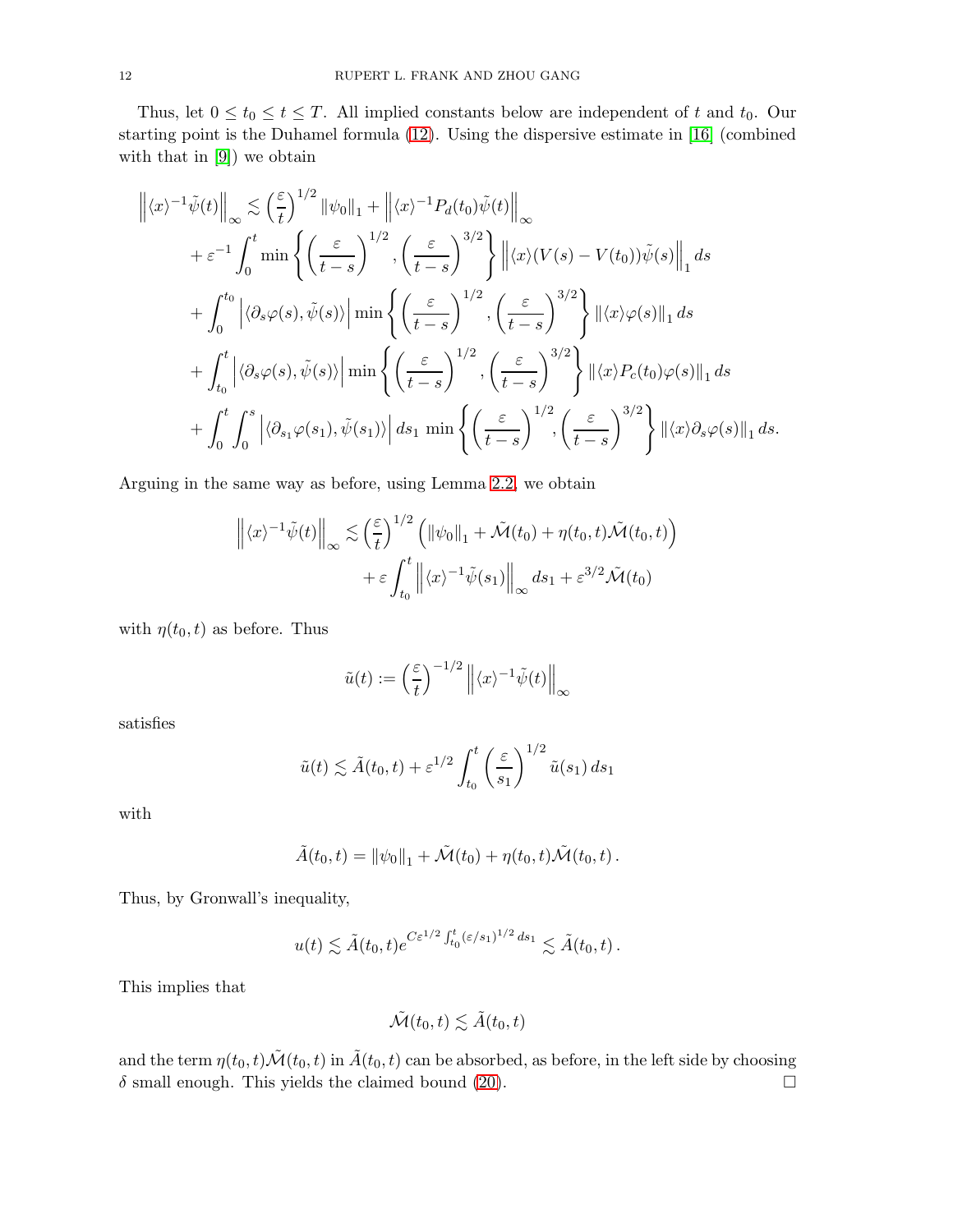Thus, let  $0 \le t_0 \le t \le T$ . All implied constants below are independent of t and  $t_0$ . Our starting point is the Duhamel formula [\(12\)](#page-4-2). Using the dispersive estimate in [\[16\]](#page-31-14) (combined with that in [\[9\]](#page-31-13)) we obtain

$$
\left\| \langle x \rangle^{-1} \tilde{\psi}(t) \right\|_{\infty} \lesssim \left( \frac{\varepsilon}{t} \right)^{1/2} \left\| \psi_0 \right\|_{1} + \left\| \langle x \rangle^{-1} P_d(t_0) \tilde{\psi}(t) \right\|_{\infty} \n+ \varepsilon^{-1} \int_0^t \min \left\{ \left( \frac{\varepsilon}{t-s} \right)^{1/2}, \left( \frac{\varepsilon}{t-s} \right)^{3/2} \right\} \left\| \langle x \rangle (V(s) - V(t_0)) \tilde{\psi}(s) \right\|_1 ds \n+ \int_0^{t_0} \left| \langle \partial_s \varphi(s), \tilde{\psi}(s) \rangle \right| \min \left\{ \left( \frac{\varepsilon}{t-s} \right)^{1/2}, \left( \frac{\varepsilon}{t-s} \right)^{3/2} \right\} \left\| \langle x \rangle \varphi(s) \right\|_1 ds \n+ \int_{t_0}^t \left| \langle \partial_s \varphi(s), \tilde{\psi}(s) \rangle \right| \min \left\{ \left( \frac{\varepsilon}{t-s} \right)^{1/2}, \left( \frac{\varepsilon}{t-s} \right)^{3/2} \right\} \left\| \langle x \rangle P_c(t_0) \varphi(s) \right\|_1 ds \n+ \int_0^t \int_0^s \left| \langle \partial_{s_1} \varphi(s_1), \tilde{\psi}(s_1) \rangle \right| ds_1 \min \left\{ \left( \frac{\varepsilon}{t-s} \right)^{1/2}, \left( \frac{\varepsilon}{t-s} \right)^{3/2} \right\} \left\| \langle x \rangle \partial_s \varphi(s) \right\|_1 ds.
$$

Arguing in the same way as before, using Lemma [2.2,](#page-6-0) we obtain

$$
\left\| \langle x \rangle^{-1} \tilde{\psi}(t) \right\|_{\infty} \lesssim \left( \frac{\varepsilon}{t} \right)^{1/2} \left( \|\psi_0\|_1 + \tilde{\mathcal{M}}(t_0) + \eta(t_0, t) \tilde{\mathcal{M}}(t_0, t) \right) + \varepsilon \int_{t_0}^t \left\| \langle x \rangle^{-1} \tilde{\psi}(s_1) \right\|_{\infty} ds_1 + \varepsilon^{3/2} \tilde{\mathcal{M}}(t_0)
$$

with  $\eta(t_0, t)$  as before. Thus

$$
\tilde{u}(t) := \left(\frac{\varepsilon}{t}\right)^{-1/2} \left\| \langle x \rangle^{-1} \tilde{\psi}(t) \right\|_{\infty}
$$

satisfies

$$
\tilde{u}(t) \lesssim \tilde{A}(t_0, t) + \varepsilon^{1/2} \int_{t_0}^t \left(\frac{\varepsilon}{s_1}\right)^{1/2} \tilde{u}(s_1) ds_1
$$

with

$$
\tilde{A}(t_0,t) = ||\psi_0||_1 + \tilde{\mathcal{M}}(t_0) + \eta(t_0,t)\tilde{\mathcal{M}}(t_0,t).
$$

Thus, by Gronwall's inequality,

$$
u(t) \lesssim \tilde{A}(t_0, t) e^{C\varepsilon^{1/2} \int_{t_0}^t (\varepsilon/s_1)^{1/2} ds_1} \lesssim \tilde{A}(t_0, t) .
$$

This implies that

$$
\tilde{\mathcal{M}}(t_0,t) \lesssim \tilde{A}(t_0,t)
$$

and the term  $\eta(t_0, t)\tilde{\mathcal{M}}(t_0, t)$  in  $\tilde{A}(t_0, t)$  can be absorbed, as before, in the left side by choosing  $\delta$  small enough. This yields the claimed bound (20).  $\delta$  small enough. This yields the claimed bound [\(20\)](#page-10-0).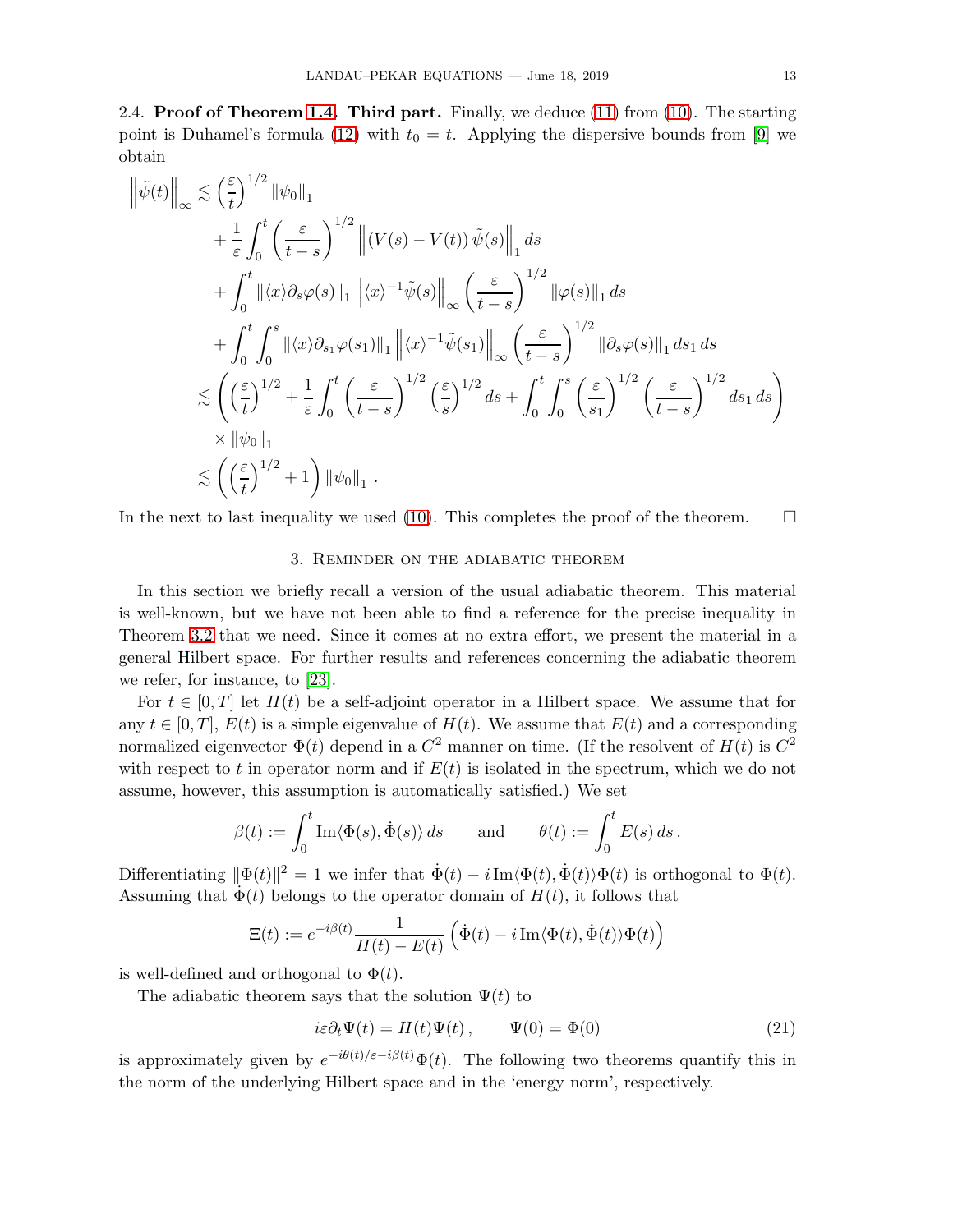2.4. **Proof of Theorem [1.4.](#page-3-3) Third part.** Finally, we deduce  $(11)$  from  $(10)$ . The starting point is Duhamel's formula [\(12\)](#page-4-2) with  $t_0 = t$ . Applying the dispersive bounds from [\[9\]](#page-31-13) we obtain

$$
\left\|\tilde{\psi}(t)\right\|_{\infty} \lesssim \left(\frac{\varepsilon}{t}\right)^{1/2} \|\psi_0\|_1
$$
  
+  $\frac{1}{\varepsilon} \int_0^t \left(\frac{\varepsilon}{t-s}\right)^{1/2} \left\| (V(s) - V(t)) \tilde{\psi}(s) \right\|_1 ds$   
+  $\int_0^t \|\langle x \rangle \partial_s \varphi(s) \|\_1 \left\| \langle x \rangle^{-1} \tilde{\psi}(s) \right\|_{\infty} \left(\frac{\varepsilon}{t-s}\right)^{1/2} \|\varphi(s) \|\_1 ds$   
+  $\int_0^t \int_0^s \|\langle x \rangle \partial_{s_1} \varphi(s_1) \|\_1 \left\| \langle x \rangle^{-1} \tilde{\psi}(s_1) \right\|_{\infty} \left(\frac{\varepsilon}{t-s}\right)^{1/2} \|\partial_s \varphi(s) \|\_1 ds_1 ds$   
 $\lesssim \left( \left(\frac{\varepsilon}{t}\right)^{1/2} + \frac{1}{\varepsilon} \int_0^t \left(\frac{\varepsilon}{t-s}\right)^{1/2} \left(\frac{\varepsilon}{s}\right)^{1/2} ds + \int_0^t \int_0^s \left(\frac{\varepsilon}{s_1}\right)^{1/2} \left(\frac{\varepsilon}{t-s}\right)^{1/2} ds_1 ds \right)$   
 $\times \|\psi_0\|_1$   
 $\lesssim \left( \left(\frac{\varepsilon}{t}\right)^{1/2} + 1 \right) \|\psi_0\|_1.$ 

<span id="page-12-1"></span>In the next to last inequality we used [\(10\)](#page-3-1). This completes the proof of the theorem.  $\Box$ 

### 3. Reminder on the adiabatic theorem

In this section we briefly recall a version of the usual adiabatic theorem. This material is well-known, but we have not been able to find a reference for the precise inequality in Theorem [3.2](#page-14-0) that we need. Since it comes at no extra effort, we present the material in a general Hilbert space. For further results and references concerning the adiabatic theorem we refer, for instance, to [\[23\]](#page-32-4).

For  $t \in [0, T]$  let  $H(t)$  be a self-adjoint operator in a Hilbert space. We assume that for any  $t \in [0, T]$ ,  $E(t)$  is a simple eigenvalue of  $H(t)$ . We assume that  $E(t)$  and a corresponding normalized eigenvector  $\Phi(t)$  depend in a  $C^2$  manner on time. (If the resolvent of  $H(t)$  is  $C^2$ with respect to t in operator norm and if  $E(t)$  is isolated in the spectrum, which we do not assume, however, this assumption is automatically satisfied.) We set

$$
\beta(t) := \int_0^t \operatorname{Im} \langle \Phi(s), \dot{\Phi}(s) \rangle ds \quad \text{and} \quad \theta(t) := \int_0^t E(s) \, ds \, .
$$

Differentiating  $\|\Phi(t)\|^2 = 1$  we infer that  $\dot{\Phi}(t) - i\operatorname{Im}\langle \Phi(t), \dot{\Phi}(t)\rangle \Phi(t)$  is orthogonal to  $\Phi(t)$ . Assuming that  $\dot{\Phi}(t)$  belongs to the operator domain of  $H(t)$ , it follows that

$$
\Xi(t) := e^{-i\beta(t)} \frac{1}{H(t) - E(t)} \left( \dot{\Phi}(t) - i \operatorname{Im} \langle \Phi(t), \dot{\Phi}(t) \rangle \Phi(t) \right)
$$

is well-defined and orthogonal to  $\Phi(t)$ .

The adiabatic theorem says that the solution  $\Psi(t)$  to

<span id="page-12-0"></span>
$$
i\varepsilon \partial_t \Psi(t) = H(t)\Psi(t), \qquad \Psi(0) = \Phi(0)
$$
\n(21)

is approximately given by  $e^{-i\theta(t)/\varepsilon-i\beta(t)}\Phi(t)$ . The following two theorems quantify this in the norm of the underlying Hilbert space and in the 'energy norm', respectively.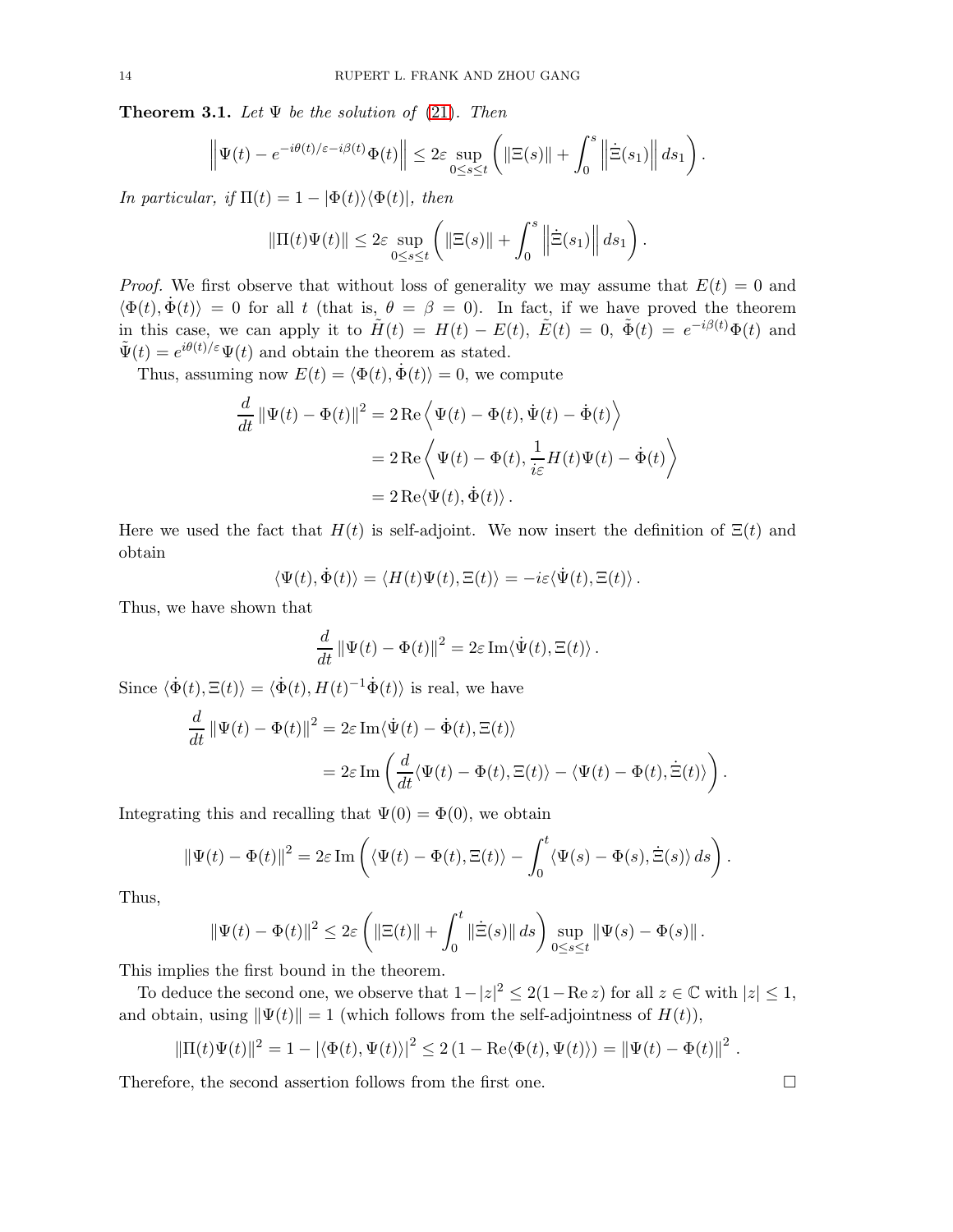<span id="page-13-0"></span>**Theorem 3.1.** Let  $\Psi$  be the solution of [\(21\)](#page-12-0). Then

$$
\left\|\Psi(t)-e^{-i\theta(t)/\varepsilon-i\beta(t)}\Phi(t)\right\|\leq 2\varepsilon \sup_{0\leq s\leq t}\left(\left\|\Xi(s)\right\|+\int_0^s\left\|\dot{\Xi}(s_1)\right\|ds_1\right).
$$

In particular, if  $\Pi(t) = 1 - |\Phi(t)\rangle \langle \Phi(t)|$ , then

$$
\|\Pi(t)\Psi(t)\| \leq 2\varepsilon \sup_{0\leq s\leq t} \left( \|\Xi(s)\| + \int_0^s \left\|\dot{\Xi}(s_1)\right\| ds_1 \right).
$$

*Proof.* We first observe that without loss of generality we may assume that  $E(t) = 0$  and  $\langle \Phi(t), \dot{\Phi}(t) \rangle = 0$  for all t (that is,  $\theta = \beta = 0$ ). In fact, if we have proved the theorem in this case, we can apply it to  $\tilde{H}(t) = H(t) - E(t)$ ,  $\tilde{E}(t) = 0$ ,  $\tilde{\Phi}(t) = e^{-i\beta(t)}\Phi(t)$  and  $\tilde{\Psi}(t) = e^{i\theta(t)/\varepsilon} \Psi(t)$  and obtain the theorem as stated.

Thus, assuming now  $E(t) = \langle \Phi(t), \dot{\Phi}(t) \rangle = 0$ , we compute

$$
\frac{d}{dt} \|\Psi(t) - \Phi(t)\|^2 = 2 \operatorname{Re} \left\langle \Psi(t) - \Phi(t), \dot{\Psi}(t) - \dot{\Phi}(t) \right\rangle
$$

$$
= 2 \operatorname{Re} \left\langle \Psi(t) - \Phi(t), \frac{1}{i \varepsilon} H(t) \Psi(t) - \dot{\Phi}(t) \right\rangle
$$

$$
= 2 \operatorname{Re} \langle \Psi(t), \dot{\Phi}(t) \rangle.
$$

Here we used the fact that  $H(t)$  is self-adjoint. We now insert the definition of  $\Xi(t)$  and obtain

$$
\langle \Psi(t), \dot{\Phi}(t) \rangle = \langle H(t) \Psi(t), \Xi(t) \rangle = -i \varepsilon \langle \dot{\Psi}(t), \Xi(t) \rangle.
$$

Thus, we have shown that

$$
\frac{d}{dt} \|\Psi(t) - \Phi(t)\|^2 = 2\varepsilon \operatorname{Im}\langle \dot{\Psi}(t), \Xi(t) \rangle.
$$

Since  $\langle \dot{\Phi}(t), \Xi(t) \rangle = \langle \dot{\Phi}(t), H(t)^{-1} \dot{\Phi}(t) \rangle$  is real, we have

$$
\frac{d}{dt} ||\Psi(t) - \Phi(t)||^2 = 2\varepsilon \operatorname{Im} \langle \dot{\Psi}(t) - \dot{\Phi}(t), \Xi(t) \rangle
$$
  
= 
$$
2\varepsilon \operatorname{Im} \left( \frac{d}{dt} \langle \Psi(t) - \Phi(t), \Xi(t) \rangle - \langle \Psi(t) - \Phi(t), \dot{\Xi}(t) \rangle \right).
$$

Integrating this and recalling that  $\Psi(0) = \Phi(0)$ , we obtain

$$
\|\Psi(t) - \Phi(t)\|^2 = 2\varepsilon \operatorname{Im} \left( \langle \Psi(t) - \Phi(t), \Xi(t) \rangle - \int_0^t \langle \Psi(s) - \Phi(s), \dot{\Xi}(s) \rangle ds \right).
$$

Thus,

$$
\|\Psi(t) - \Phi(t)\|^2 \le 2\varepsilon \left( \|\Xi(t)\| + \int_0^t \|\dot{\Xi}(s)\| \, ds \right) \sup_{0 \le s \le t} \|\Psi(s) - \Phi(s)\|.
$$

This implies the first bound in the theorem.

To deduce the second one, we observe that  $1-|z|^2 \leq 2(1-\text{Re } z)$  for all  $z \in \mathbb{C}$  with  $|z| \leq 1$ , and obtain, using  $\|\Psi(t)\| = 1$  (which follows from the self-adjointness of  $H(t)$ ),

$$
\|\Pi(t)\Psi(t)\|^2 = 1 - |\langle \Phi(t), \Psi(t) \rangle|^2 \le 2(1 - \text{Re}\langle \Phi(t), \Psi(t) \rangle) = \|\Psi(t) - \Phi(t)\|^2.
$$

Therefore, the second assertion follows from the first one.

$$
\qquad \qquad \Box
$$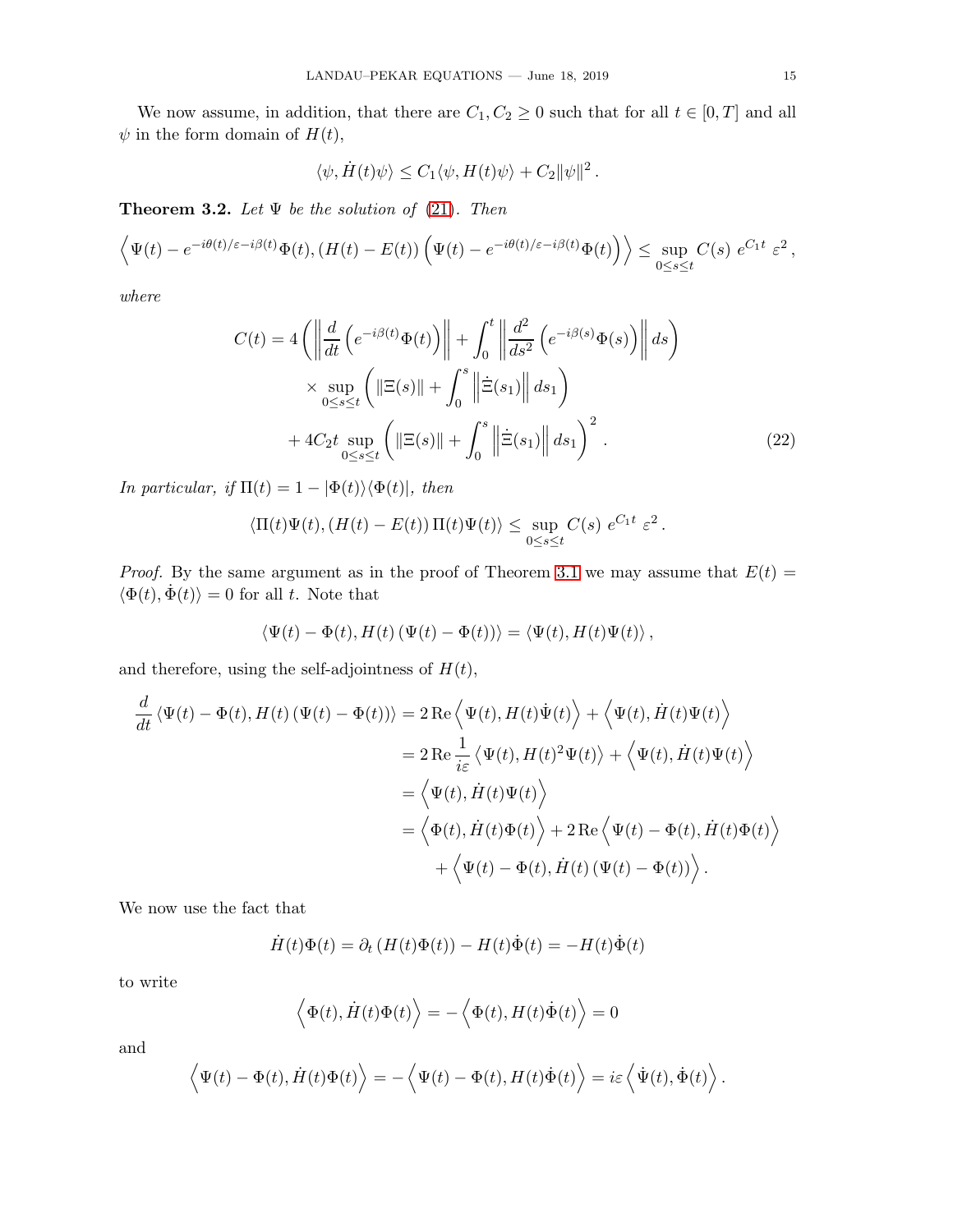We now assume, in addition, that there are  $C_1, C_2 \geq 0$  such that for all  $t \in [0, T]$  and all  $\psi$  in the form domain of  $H(t)$ ,

<span id="page-14-1"></span>
$$
\langle \psi, \dot{H}(t)\psi \rangle \leq C_1 \langle \psi, H(t)\psi \rangle + C_2 ||\psi||^2.
$$

<span id="page-14-0"></span>**Theorem 3.2.** Let  $\Psi$  be the solution of [\(21\)](#page-12-0). Then

$$
\left\langle \Psi(t) - e^{-i\theta(t)/\varepsilon - i\beta(t)} \Phi(t), (H(t) - E(t)) \left( \Psi(t) - e^{-i\theta(t)/\varepsilon - i\beta(t)} \Phi(t) \right) \right\rangle \leq \sup_{0 \leq s \leq t} C(s) e^{C_1 t} \varepsilon^2,
$$

where

$$
C(t) = 4 \left( \left\| \frac{d}{dt} \left( e^{-i\beta(t)} \Phi(t) \right) \right\| + \int_0^t \left\| \frac{d^2}{ds^2} \left( e^{-i\beta(s)} \Phi(s) \right) \right\| ds \right)
$$
  
 
$$
\times \sup_{0 \le s \le t} \left( \left\| \Xi(s) \right\| + \int_0^s \left\| \dot{\Xi}(s_1) \right\| ds_1 \right)
$$
  
 
$$
+ 4C_2 t \sup_{0 \le s \le t} \left( \left\| \Xi(s) \right\| + \int_0^s \left\| \dot{\Xi}(s_1) \right\| ds_1 \right)^2.
$$
 (22)

In particular, if  $\Pi(t) = 1 - |\Phi(t)\rangle \langle \Phi(t)|$ , then

$$
\langle \Pi(t)\Psi(t), (H(t)-E(t))\Pi(t)\Psi(t)\rangle \leq \sup_{0\leq s\leq t} C(s) e^{C_1 t} \varepsilon^2.
$$

*Proof.* By the same argument as in the proof of Theorem [3.1](#page-13-0) we may assume that  $E(t) =$  $\langle \Phi(t), \dot{\Phi}(t) \rangle = 0$  for all t. Note that

$$
\langle \Psi(t) - \Phi(t), H(t) (\Psi(t) - \Phi(t)) \rangle = \langle \Psi(t), H(t) \Psi(t) \rangle,
$$

and therefore, using the self-adjointness of  $H(t)$ ,

$$
\frac{d}{dt} \langle \Psi(t) - \Phi(t), H(t) (\Psi(t) - \Phi(t)) \rangle = 2 \operatorname{Re} \langle \Psi(t), H(t) \dot{\Psi}(t) \rangle + \langle \Psi(t), \dot{H}(t) \Psi(t) \rangle
$$
  
\n
$$
= 2 \operatorname{Re} \frac{1}{i \varepsilon} \langle \Psi(t), H(t)^2 \Psi(t) \rangle + \langle \Psi(t), \dot{H}(t) \Psi(t) \rangle
$$
  
\n
$$
= \langle \Psi(t), \dot{H}(t) \Psi(t) \rangle
$$
  
\n
$$
= \langle \Phi(t), \dot{H}(t) \Phi(t) \rangle + 2 \operatorname{Re} \langle \Psi(t) - \Phi(t), \dot{H}(t) \Phi(t) \rangle
$$
  
\n
$$
+ \langle \Psi(t) - \Phi(t), \dot{H}(t) (\Psi(t) - \Phi(t)) \rangle.
$$

We now use the fact that

$$
\dot{H}(t)\Phi(t) = \partial_t \left( H(t)\Phi(t) \right) - H(t)\dot{\Phi}(t) = -H(t)\dot{\Phi}(t)
$$

to write

$$
\langle \Phi(t), \dot{H}(t)\Phi(t) \rangle = -\langle \Phi(t), H(t)\dot{\Phi}(t) \rangle = 0
$$

and

$$
\left\langle \Psi(t)-\Phi(t),\dot{H}(t)\Phi(t)\right\rangle =-\left\langle \Psi(t)-\Phi(t),H(t)\dot{\Phi}(t)\right\rangle =i\varepsilon\left\langle \dot{\Psi}(t),\dot{\Phi}(t)\right\rangle .
$$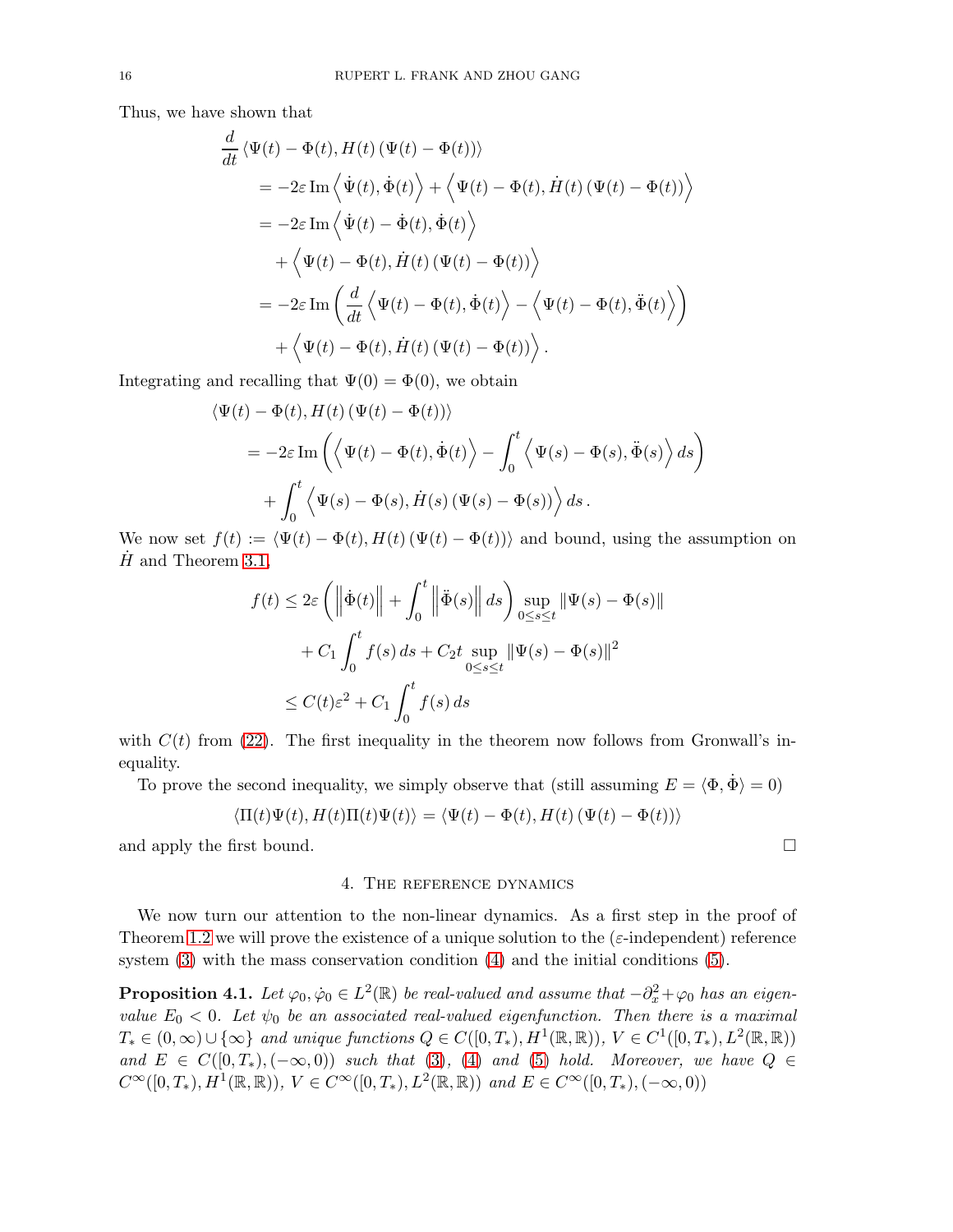Thus, we have shown that

$$
\frac{d}{dt} \langle \Psi(t) - \Phi(t), H(t) (\Psi(t) - \Phi(t)) \rangle \n= -2\varepsilon \operatorname{Im} \langle \dot{\Psi}(t), \dot{\Phi}(t) \rangle + \langle \Psi(t) - \Phi(t), \dot{H}(t) (\Psi(t) - \Phi(t)) \rangle \n= -2\varepsilon \operatorname{Im} \langle \dot{\Psi}(t) - \dot{\Phi}(t), \dot{\Phi}(t) \rangle \n+ \langle \Psi(t) - \Phi(t), \dot{H}(t) (\Psi(t) - \Phi(t)) \rangle \n= -2\varepsilon \operatorname{Im} \left( \frac{d}{dt} \langle \Psi(t) - \Phi(t), \dot{\Phi}(t) \rangle - \langle \Psi(t) - \Phi(t), \ddot{\Phi}(t) \rangle \right) \n+ \langle \Psi(t) - \Phi(t), \dot{H}(t) (\Psi(t) - \Phi(t)) \rangle.
$$

Integrating and recalling that  $\Psi(0) = \Phi(0)$ , we obtain

$$
\langle \Psi(t) - \Phi(t), H(t) (\Psi(t) - \Phi(t)) \rangle
$$
  
=  $-2\varepsilon \operatorname{Im} \left( \langle \Psi(t) - \Phi(t), \dot{\Phi}(t) \rangle - \int_0^t \langle \Psi(s) - \Phi(s), \ddot{\Phi}(s) \rangle ds \right)$   
+  $\int_0^t \langle \Psi(s) - \Phi(s), \dot{H}(s) (\Psi(s) - \Phi(s)) \rangle ds.$ 

We now set  $f(t) := \langle \Psi(t) - \Phi(t), H(t) (\Psi(t) - \Phi(t)) \rangle$  and bound, using the assumption on  $H$  and Theorem [3.1,](#page-13-0)

$$
f(t) \le 2\varepsilon \left( \left\| \dot{\Phi}(t) \right\| + \int_0^t \left\| \ddot{\Phi}(s) \right\| ds \right) \sup_{0 \le s \le t} \left\| \Psi(s) - \Phi(s) \right\|
$$
  
+  $C_1 \int_0^t f(s) ds + C_2 t \sup_{0 \le s \le t} \left\| \Psi(s) - \Phi(s) \right\|^2$   

$$
\le C(t)\varepsilon^2 + C_1 \int_0^t f(s) ds
$$

with  $C(t)$  from [\(22\)](#page-14-1). The first inequality in the theorem now follows from Gronwall's inequality.

To prove the second inequality, we simply observe that (still assuming  $E = \langle \Phi, \dot{\Phi} \rangle = 0$ )

$$
\langle \Pi(t)\Psi(t), H(t)\Pi(t)\Psi(t)\rangle = \langle \Psi(t) - \Phi(t), H(t) (\Psi(t) - \Phi(t))\rangle
$$

and apply the first bound.  $\square$ 

### 4. The reference dynamics

We now turn our attention to the non-linear dynamics. As a first step in the proof of Theorem [1.2](#page-1-4) we will prove the existence of a unique solution to the  $(\varepsilon$ -independent) reference system [\(3\)](#page-1-1) with the mass conservation condition [\(4\)](#page-1-2) and the initial conditions [\(5\)](#page-1-3).

<span id="page-15-0"></span>**Proposition 4.1.** Let  $\varphi_0, \dot{\varphi}_0 \in L^2(\mathbb{R})$  be real-valued and assume that  $-\partial_x^2 + \varphi_0$  has an eigenvalue  $E_0 < 0$ . Let  $\psi_0$  be an associated real-valued eigenfunction. Then there is a maximal  $T_* \in (0,\infty) \cup \{\infty\}$  and unique functions  $Q \in C([0,T_*), H^1(\mathbb{R}, \mathbb{R}))$ ,  $V \in C^1([0,T_*), L^2(\mathbb{R}, \mathbb{R}))$ and  $E \in C([0,T_*), (-\infty,0))$  such that [\(3\)](#page-1-1), [\(4\)](#page-1-2) and [\(5\)](#page-1-3) hold. Moreover, we have  $Q \in$  $C^{\infty}([0,T_*), H^1(\mathbb{R}, \mathbb{R}))$ ,  $V \in C^{\infty}([0,T_*), L^2(\mathbb{R}, \mathbb{R}))$  and  $E \in C^{\infty}([0,T_*), (-\infty, 0))$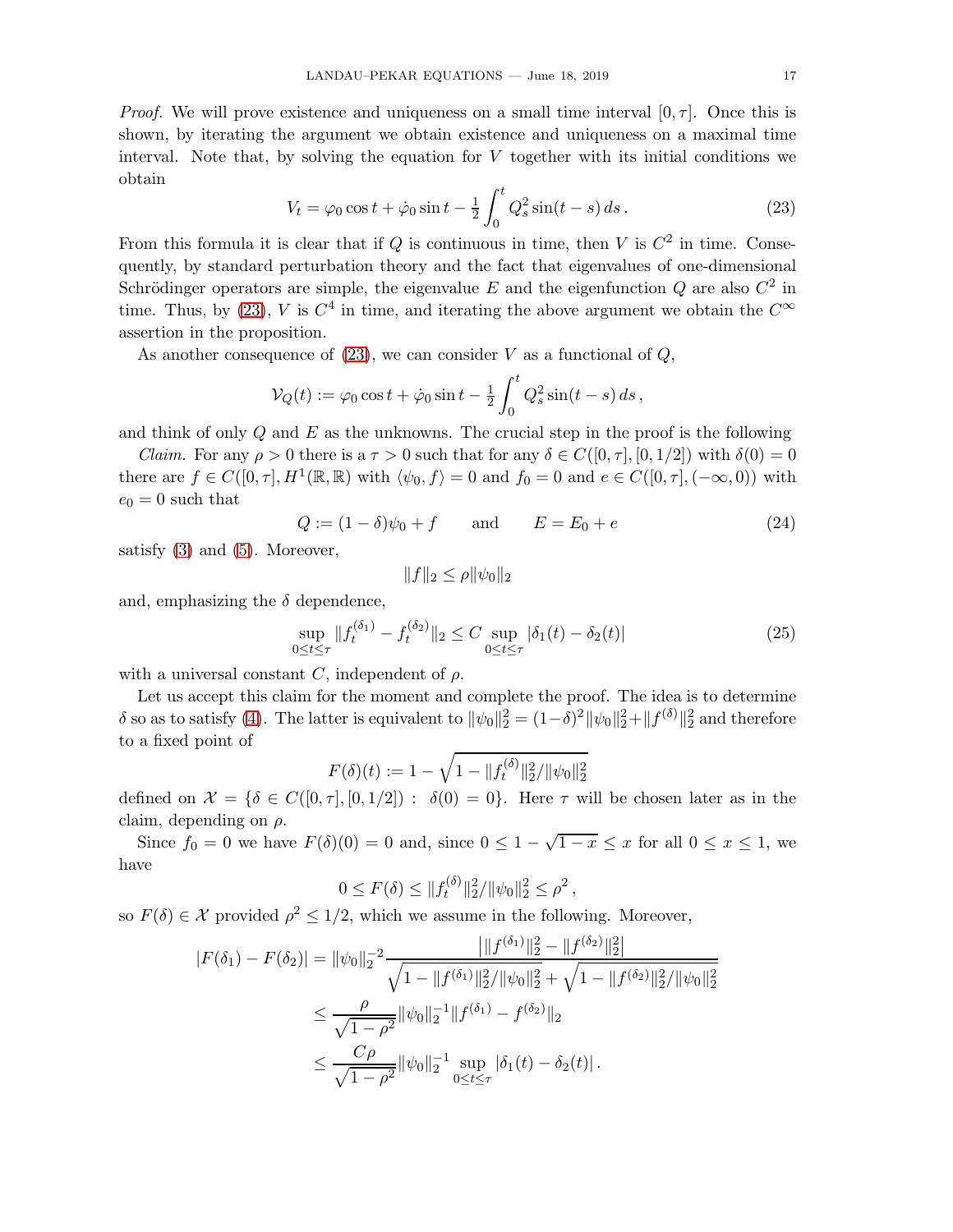*Proof.* We will prove existence and uniqueness on a small time interval  $[0, \tau]$ . Once this is shown, by iterating the argument we obtain existence and uniqueness on a maximal time interval. Note that, by solving the equation for  $V$  together with its initial conditions we obtain

<span id="page-16-0"></span>
$$
V_t = \varphi_0 \cos t + \dot{\varphi}_0 \sin t - \frac{1}{2} \int_0^t Q_s^2 \sin(t - s) \, ds \,. \tag{23}
$$

From this formula it is clear that if  $Q$  is continuous in time, then V is  $C^2$  in time. Consequently, by standard perturbation theory and the fact that eigenvalues of one-dimensional Schrödinger operators are simple, the eigenvalue E and the eigenfunction Q are also  $C^2$  in time. Thus, by [\(23\)](#page-16-0), V is  $C^4$  in time, and iterating the above argument we obtain the  $C^{\infty}$ assertion in the proposition.

As another consequence of  $(23)$ , we can consider V as a functional of  $Q$ ,

$$
\mathcal{V}_Q(t) := \varphi_0 \cos t + \dot{\varphi}_0 \sin t - \frac{1}{2} \int_0^t Q_s^2 \sin(t - s) \, ds \,,
$$

and think of only  $Q$  and  $E$  as the unknowns. The crucial step in the proof is the following

*Claim.* For any  $\rho > 0$  there is a  $\tau > 0$  such that for any  $\delta \in C([0, \tau], [0, 1/2])$  with  $\delta(0) = 0$ there are  $f \in C([0, \tau], H^1(\mathbb{R}, \mathbb{R})$  with  $\langle \psi_0, f \rangle = 0$  and  $f_0 = 0$  and  $e \in C([0, \tau], (-\infty, 0))$  with  $e_0 = 0$  such that

<span id="page-16-2"></span>
$$
Q := (1 - \delta)\psi_0 + f \quad \text{and} \quad E = E_0 + e \tag{24}
$$

satisfy [\(3\)](#page-1-1) and [\(5\)](#page-1-3). Moreover,

$$
||f||_2 \le \rho ||\psi_0||_2
$$

and, emphasizing the  $\delta$  dependence,

<span id="page-16-1"></span>
$$
\sup_{0 \le t \le \tau} \|f_t^{(\delta_1)} - f_t^{(\delta_2)}\|_2 \le C \sup_{0 \le t \le \tau} |\delta_1(t) - \delta_2(t)| \tag{25}
$$

with a universal constant C, independent of  $\rho$ .

Let us accept this claim for the moment and complete the proof. The idea is to determine δ so as to satisfy [\(4\)](#page-1-2). The latter is equivalent to  $\|\psi_0\|_2^2 = (1-\delta)^2 \|\psi_0\|_2^2 + \|f^{(\delta)}\|_2^2$  and therefore to a fixed point of

$$
F(\delta)(t) := 1 - \sqrt{1 - ||f_t^{(\delta)}||_2^2/||\psi_0||_2^2}
$$

defined on  $\mathcal{X} = \{\delta \in C([0, \tau], [0, 1/2]) : \delta(0) = 0\}.$  Here  $\tau$  will be chosen later as in the claim, depending on  $\rho$ .

Since  $f_0 = 0$  we have  $F(\delta)(0) = 0$  and, since  $0 \leq 1 - \sqrt{1-x} \leq x$  for all  $0 \leq x \leq 1$ , we have

$$
0 \leq F(\delta) \leq ||f_t^{(\delta)}||_2^2 / ||\psi_0||_2^2 \leq \rho^2,
$$

so  $F(\delta) \in \mathcal{X}$  provided  $\rho^2 \leq 1/2$ , which we assume in the following. Moreover,

$$
|F(\delta_1) - F(\delta_2)| = ||\psi_0||_2^{-2} \frac{||f^{(\delta_1)}||_2^2 - ||f^{(\delta_2)}||_2^2|}{\sqrt{1 - ||f^{(\delta_1)}||_2^2/||\psi_0||_2^2} + \sqrt{1 - ||f^{(\delta_2)}||_2^2/||\psi_0||_2^2}}
$$
  
\n
$$
\leq \frac{\rho}{\sqrt{1 - \rho^2}} ||\psi_0||_2^{-1} ||f^{(\delta_1)} - f^{(\delta_2)}||_2
$$
  
\n
$$
\leq \frac{C\rho}{\sqrt{1 - \rho^2}} ||\psi_0||_2^{-1} \sup_{0 \leq t \leq \tau} |\delta_1(t) - \delta_2(t)|.
$$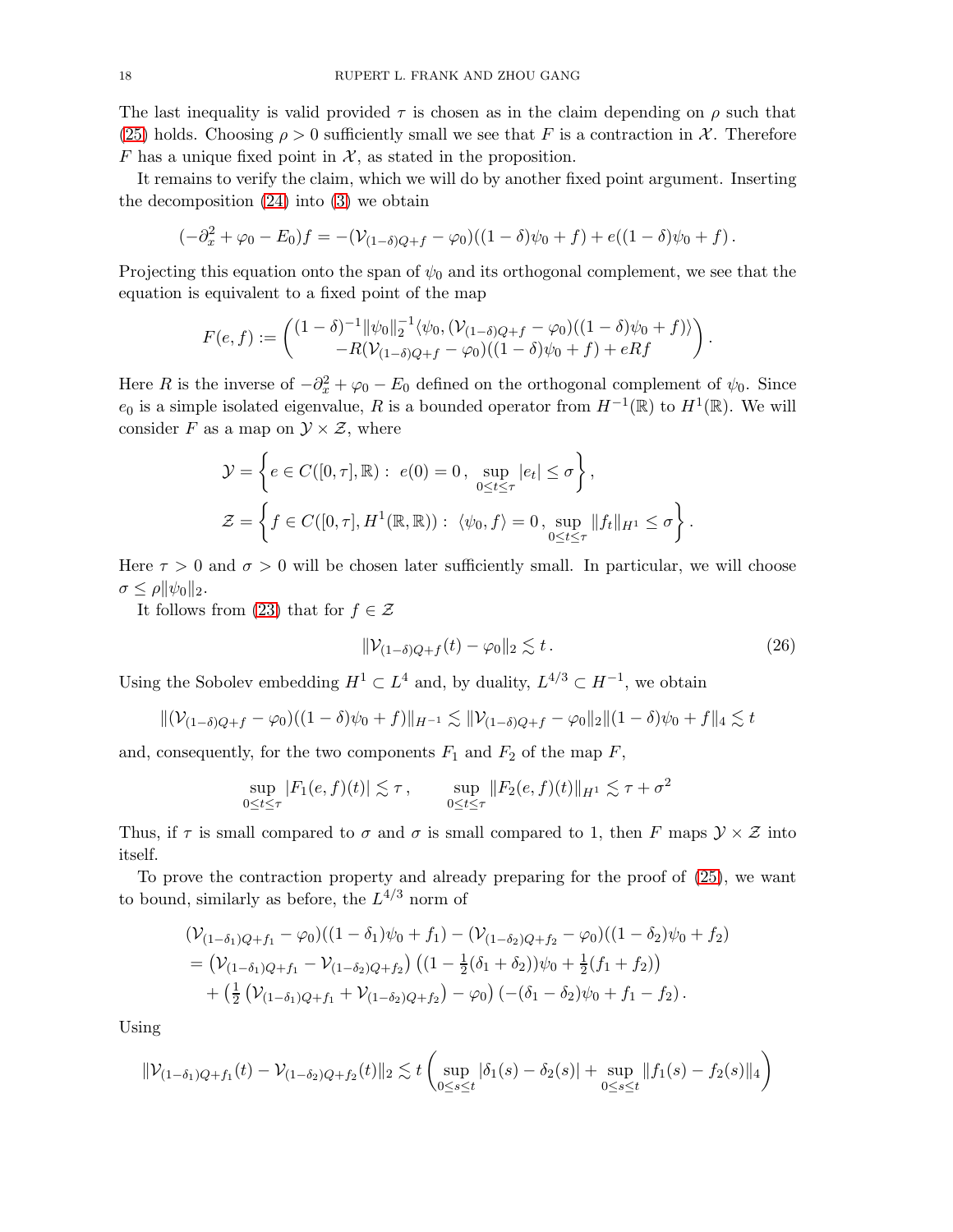The last inequality is valid provided  $\tau$  is chosen as in the claim depending on  $\rho$  such that [\(25\)](#page-16-1) holds. Choosing  $\rho > 0$  sufficiently small we see that F is a contraction in X. Therefore F has a unique fixed point in  $\mathcal{X}$ , as stated in the proposition.

It remains to verify the claim, which we will do by another fixed point argument. Inserting the decomposition [\(24\)](#page-16-2) into [\(3\)](#page-1-1) we obtain

$$
(-\partial_x^2 + \varphi_0 - E_0)f = -(\mathcal{V}_{(1-\delta)Q+f} - \varphi_0)((1-\delta)\psi_0 + f) + e((1-\delta)\psi_0 + f).
$$

Projecting this equation onto the span of  $\psi_0$  and its orthogonal complement, we see that the equation is equivalent to a fixed point of the map

$$
F(e,f) := \begin{pmatrix} (1-\delta)^{-1} ||\psi_0||_2^{-1} \langle \psi_0, (\mathcal{V}_{(1-\delta)Q+f} - \varphi_0)((1-\delta)\psi_0 + f) \rangle \\ -R(\mathcal{V}_{(1-\delta)Q+f} - \varphi_0)((1-\delta)\psi_0 + f) + eRf \end{pmatrix}.
$$

Here R is the inverse of  $-\partial_x^2 + \varphi_0 - E_0$  defined on the orthogonal complement of  $\psi_0$ . Since  $e_0$  is a simple isolated eigenvalue, R is a bounded operator from  $H^{-1}(\mathbb{R})$  to  $H^1(\mathbb{R})$ . We will consider F as a map on  $\mathcal{Y} \times \mathcal{Z}$ , where

$$
\mathcal{Y} = \left\{ e \in C([0, \tau], \mathbb{R}) : e(0) = 0, \sup_{0 \le t \le \tau} |e_t| \le \sigma \right\},
$$
  

$$
\mathcal{Z} = \left\{ f \in C([0, \tau], H^1(\mathbb{R}, \mathbb{R})) : \langle \psi_0, f \rangle = 0, \sup_{0 \le t \le \tau} ||f_t||_{H^1} \le \sigma \right\}.
$$

Here  $\tau > 0$  and  $\sigma > 0$  will be chosen later sufficiently small. In particular, we will choose  $\sigma \leq \rho ||\psi_0||_2.$ 

It follows from [\(23\)](#page-16-0) that for  $f \in \mathcal{Z}$ 

<span id="page-17-0"></span>
$$
\|\mathcal{V}_{(1-\delta)Q+f}(t) - \varphi_0\|_2 \lesssim t. \tag{26}
$$

Using the Sobolev embedding  $H^1 \subset L^4$  and, by duality,  $L^{4/3} \subset H^{-1}$ , we obtain

$$
\|(\mathcal{V}_{(1-\delta)Q+f} - \varphi_0)((1-\delta)\psi_0 + f)\|_{H^{-1}} \lesssim \|\mathcal{V}_{(1-\delta)Q+f} - \varphi_0\|_2 \|(1-\delta)\psi_0 + f\|_4 \lesssim t
$$

and, consequently, for the two components  $F_1$  and  $F_2$  of the map  $F$ ,

$$
\sup_{0\leq t\leq \tau} |F_1(e,f)(t)| \lesssim \tau, \qquad \sup_{0\leq t\leq \tau} \|F_2(e,f)(t)\|_{H^1} \lesssim \tau + \sigma^2
$$

Thus, if  $\tau$  is small compared to  $\sigma$  and  $\sigma$  is small compared to 1, then F maps  $\mathcal{Y} \times \mathcal{Z}$  into itself.

To prove the contraction property and already preparing for the proof of [\(25\)](#page-16-1), we want to bound, similarly as before, the  $L^{4/3}$  norm of

$$
(\mathcal{V}_{(1-\delta_1)Q+f_1} - \varphi_0)((1-\delta_1)\psi_0 + f_1) - (\mathcal{V}_{(1-\delta_2)Q+f_2} - \varphi_0)((1-\delta_2)\psi_0 + f_2)
$$
  
=  $(\mathcal{V}_{(1-\delta_1)Q+f_1} - \mathcal{V}_{(1-\delta_2)Q+f_2}) ((1 - \frac{1}{2}(\delta_1 + \delta_2))\psi_0 + \frac{1}{2}(f_1 + f_2))$   
+  $(\frac{1}{2}(\mathcal{V}_{(1-\delta_1)Q+f_1} + \mathcal{V}_{(1-\delta_2)Q+f_2}) - \varphi_0) (-(\delta_1 - \delta_2)\psi_0 + f_1 - f_2).$ 

Using

$$
\|\mathcal{V}_{(1-\delta_1)Q+f_1}(t) - \mathcal{V}_{(1-\delta_2)Q+f_2}(t)\|_2 \lesssim t \left( \sup_{0 \le s \le t} |\delta_1(s) - \delta_2(s)| + \sup_{0 \le s \le t} \|f_1(s) - f_2(s)\|_4 \right)
$$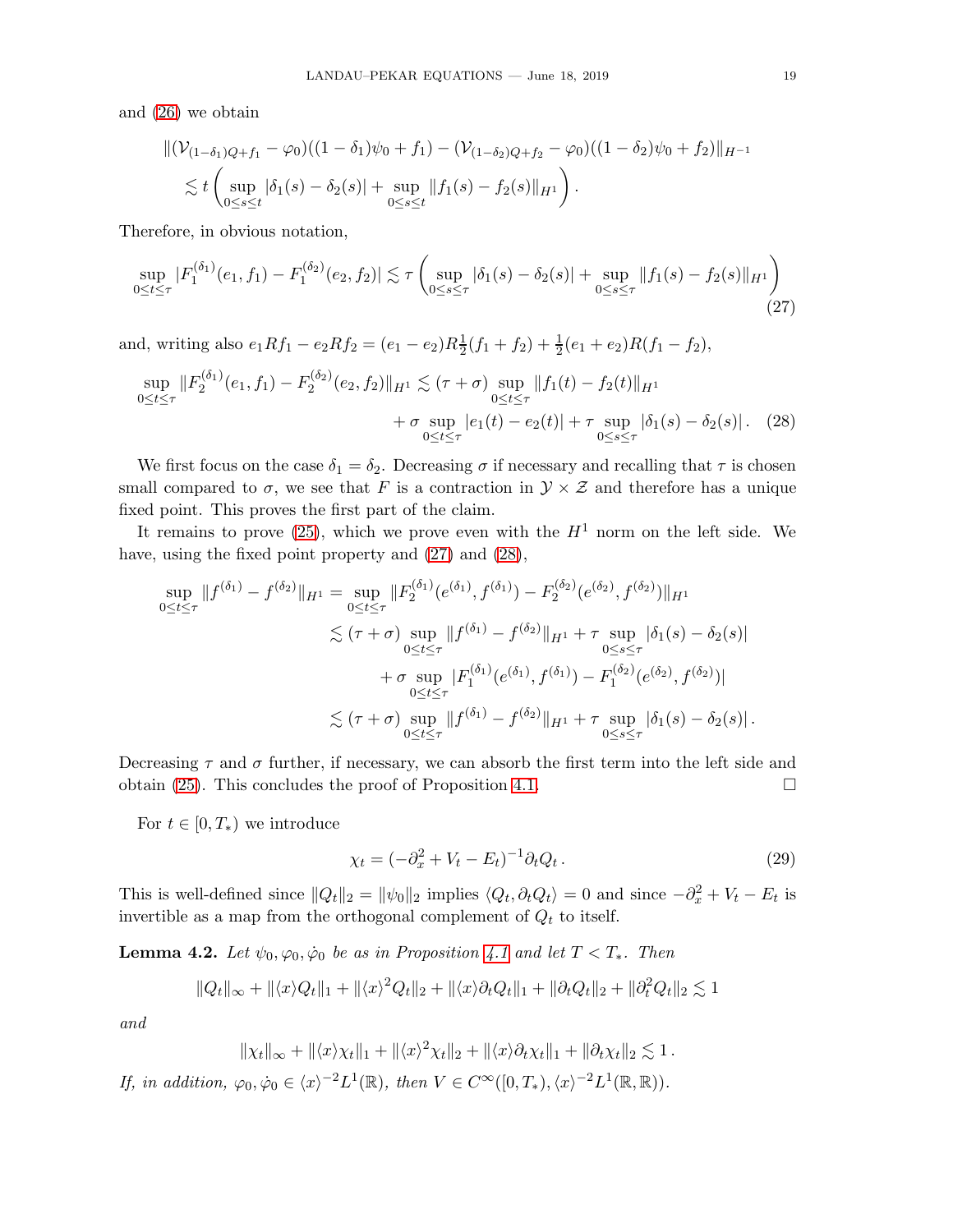and [\(26\)](#page-17-0) we obtain

<span id="page-18-0"></span>
$$
\begin{aligned} &\|(\mathcal{V}_{(1-\delta_1)Q+f_1}-\varphi_0)((1-\delta_1)\psi_0+f_1)-(\mathcal{V}_{(1-\delta_2)Q+f_2}-\varphi_0)((1-\delta_2)\psi_0+f_2)\|_{H^{-1}}\\ &\lesssim t\left(\sup_{0\leq s\leq t}|\delta_1(s)-\delta_2(s)|+\sup_{0\leq s\leq t}\|f_1(s)-f_2(s)\|_{H^1}\right). \end{aligned}
$$

Therefore, in obvious notation,

$$
\sup_{0 \le t \le \tau} |F_1^{(\delta_1)}(e_1, f_1) - F_1^{(\delta_2)}(e_2, f_2)| \lesssim \tau \left( \sup_{0 \le s \le \tau} |\delta_1(s) - \delta_2(s)| + \sup_{0 \le s \le \tau} ||f_1(s) - f_2(s)||_{H^1} \right)
$$
\n(27)

and, writing also  $e_1Rf_1 - e_2Rf_2 = (e_1 - e_2)R\frac{1}{2}$  $\frac{1}{2}(f_1+f_2)+\frac{1}{2}(e_1+e_2)R(f_1-f_2),$ 

$$
\sup_{0 \le t \le \tau} \|F_2^{(\delta_1)}(e_1, f_1) - F_2^{(\delta_2)}(e_2, f_2)\|_{H^1} \lesssim (\tau + \sigma) \sup_{0 \le t \le \tau} \|f_1(t) - f_2(t)\|_{H^1} + \sigma \sup_{0 \le t \le \tau} |e_1(t) - e_2(t)| + \tau \sup_{0 \le s \le \tau} |\delta_1(s) - \delta_2(s)|. \tag{28}
$$

We first focus on the case  $\delta_1 = \delta_2$ . Decreasing  $\sigma$  if necessary and recalling that  $\tau$  is chosen small compared to  $\sigma$ , we see that F is a contraction in  $\mathcal{Y} \times \mathcal{Z}$  and therefore has a unique fixed point. This proves the first part of the claim.

It remains to prove [\(25\)](#page-16-1), which we prove even with the  $H^1$  norm on the left side. We have, using the fixed point property and  $(27)$  and  $(28)$ ,

$$
\sup_{0 \leq t \leq \tau} \|f^{(\delta_1)} - f^{(\delta_2)}\|_{H^1} = \sup_{0 \leq t \leq \tau} \|F_2^{(\delta_1)}(e^{(\delta_1)}, f^{(\delta_1)}) - F_2^{(\delta_2)}(e^{(\delta_2)}, f^{(\delta_2)})\|_{H^1}
$$
  

$$
\leq (\tau + \sigma) \sup_{0 \leq t \leq \tau} \|f^{(\delta_1)} - f^{(\delta_2)}\|_{H^1} + \tau \sup_{0 \leq s \leq \tau} |\delta_1(s) - \delta_2(s)|
$$
  

$$
+ \sigma \sup_{0 \leq t \leq \tau} |F_1^{(\delta_1)}(e^{(\delta_1)}, f^{(\delta_1)}) - F_1^{(\delta_2)}(e^{(\delta_2)}, f^{(\delta_2)})|
$$
  

$$
\leq (\tau + \sigma) \sup_{0 \leq t \leq \tau} \|f^{(\delta_1)} - f^{(\delta_2)}\|_{H^1} + \tau \sup_{0 \leq s \leq \tau} |\delta_1(s) - \delta_2(s)|.
$$

Decreasing  $\tau$  and  $\sigma$  further, if necessary, we can absorb the first term into the left side and obtain [\(25\)](#page-16-1). This concludes the proof of Proposition [4.1.](#page-15-0)  $\Box$ 

For  $t \in [0, T_*)$  we introduce

<span id="page-18-2"></span><span id="page-18-1"></span>
$$
\chi_t = (-\partial_x^2 + V_t - E_t)^{-1} \partial_t Q_t.
$$
\n
$$
(29)
$$

This is well-defined since  $||Q_t||_2 = ||\psi_0||_2$  implies  $\langle Q_t, \partial_t Q_t \rangle = 0$  and since  $-\partial_x^2 + V_t - E_t$  is invertible as a map from the orthogonal complement of  $Q_t$  to itself.

<span id="page-18-3"></span>**Lemma 4.2.** Let  $\psi_0, \varphi_0, \dot{\varphi}_0$  be as in Proposition [4.1](#page-15-0) and let  $T < T_*$ . Then

$$
||Q_t||_{\infty} + ||\langle x \rangle Q_t||_1 + ||\langle x \rangle^2 Q_t||_2 + ||\langle x \rangle \partial_t Q_t||_1 + ||\partial_t Q_t||_2 + ||\partial_t^2 Q_t||_2 \lesssim 1
$$

and

$$
\|\chi_t\|_{\infty} + \|\langle x \rangle \chi_t\|_1 + \|\langle x \rangle^2 \chi_t\|_2 + \|\langle x \rangle \partial_t \chi_t\|_1 + \|\partial_t \chi_t\|_2 \lesssim 1.
$$

If, in addition,  $\varphi_0, \dot{\varphi}_0 \in \langle x \rangle^{-2} L^1(\mathbb{R})$ , then  $V \in C^\infty([0, T_*), \langle x \rangle^{-2} L^1(\mathbb{R}, \mathbb{R})$ .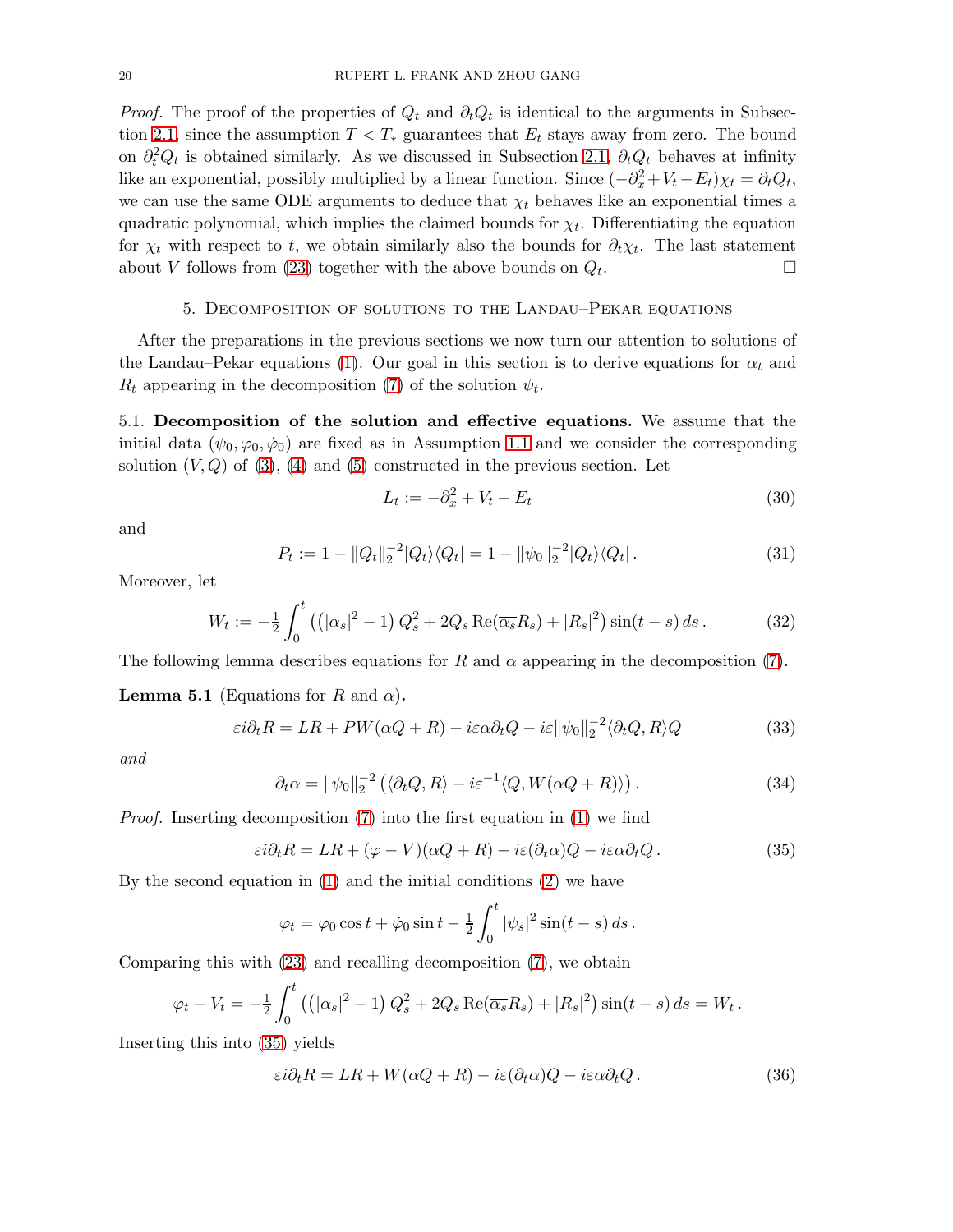*Proof.* The proof of the properties of  $Q_t$  and  $\partial_t Q_t$  is identical to the arguments in Subsec-tion [2.1,](#page-4-3) since the assumption  $T < T_*$  guarantees that  $E_t$  stays away from zero. The bound on  $\partial_t^2 Q_t$  is obtained similarly. As we discussed in Subsection [2.1,](#page-4-3)  $\partial_t Q_t$  behaves at infinity like an exponential, possibly multiplied by a linear function. Since  $(-\partial_x^2 + V_t - E_t)\chi_t = \partial_t Q_t$ , we can use the same ODE arguments to deduce that  $\chi_t$  behaves like an exponential times a quadratic polynomial, which implies the claimed bounds for  $\chi_t$ . Differentiating the equation for  $\chi_t$  with respect to t, we obtain similarly also the bounds for  $\partial_t \chi_t$ . The last statement about V follows from [\(23\)](#page-16-0) together with the above bounds on  $Q_t$ . . — Первый процесс в постановки программа в серверном професс в серверном производительно с производите с прои<br>В серверном производительно с производительно с производительно с производительно с производительно с производ

### 5. Decomposition of solutions to the Landau–Pekar equations

After the preparations in the previous sections we now turn our attention to solutions of the Landau–Pekar equations [\(1\)](#page-0-0). Our goal in this section is to derive equations for  $\alpha_t$  and  $R_t$  appearing in the decomposition [\(7\)](#page-2-2) of the solution  $\psi_t$ .

5.1. Decomposition of the solution and effective equations. We assume that the initial data  $(\psi_0, \varphi_0, \dot{\varphi}_0)$  are fixed as in Assumption [1.1](#page-1-0) and we consider the corresponding solution  $(V, Q)$  of  $(3)$ ,  $(4)$  and  $(5)$  constructed in the previous section. Let

$$
L_t := -\partial_x^2 + V_t - E_t \tag{30}
$$

and

$$
P_t := 1 - ||Q_t||_2^{-2} |Q_t\rangle\langle Q_t| = 1 - ||\psi_0||_2^{-2} |Q_t\rangle\langle Q_t|.
$$
\n(31)

Moreover, let

<span id="page-19-4"></span>
$$
W_t := -\frac{1}{2} \int_0^t \left( \left( |\alpha_s|^2 - 1 \right) Q_s^2 + 2Q_s \operatorname{Re}(\overline{\alpha_s} R_s) + |R_s|^2 \right) \sin(t - s) \, ds \,. \tag{32}
$$

The following lemma describes equations for R and  $\alpha$  appearing in the decomposition [\(7\)](#page-2-2).

<span id="page-19-5"></span>**Lemma 5.1** (Equations for R and  $\alpha$ ).

<span id="page-19-3"></span>
$$
\varepsilon i \partial_t R = LR + PW(\alpha Q + R) - i\varepsilon \alpha \partial_t Q - i\varepsilon ||\psi_0||_2^{-2} \langle \partial_t Q, R \rangle Q \tag{33}
$$

and

<span id="page-19-1"></span>
$$
\partial_t \alpha = \|\psi_0\|_2^{-2} \left( \langle \partial_t Q, R \rangle - i \varepsilon^{-1} \langle Q, W(\alpha Q + R) \rangle \right). \tag{34}
$$

Proof. Inserting decomposition [\(7\)](#page-2-2) into the first equation in [\(1\)](#page-0-0) we find

$$
\varepsilon i \partial_t R = LR + (\varphi - V)(\alpha Q + R) - i\varepsilon (\partial_t \alpha)Q - i\varepsilon \alpha \partial_t Q. \tag{35}
$$

By the second equation in [\(1\)](#page-0-0) and the initial conditions [\(2\)](#page-0-1) we have

<span id="page-19-0"></span>
$$
\varphi_t = \varphi_0 \cos t + \dot{\varphi}_0 \sin t - \frac{1}{2} \int_0^t |\psi_s|^2 \sin(t - s) ds.
$$

Comparing this with [\(23\)](#page-16-0) and recalling decomposition [\(7\)](#page-2-2), we obtain

$$
\varphi_t - V_t = -\frac{1}{2} \int_0^t \left( \left( |\alpha_s|^2 - 1 \right) Q_s^2 + 2Q_s \operatorname{Re}(\overline{\alpha_s} R_s) + |R_s|^2 \right) \sin(t - s) ds = W_t.
$$

Inserting this into [\(35\)](#page-19-0) yields

<span id="page-19-2"></span>
$$
\varepsilon i \partial_t R = LR + W(\alpha Q + R) - i\varepsilon (\partial_t \alpha) Q - i\varepsilon \alpha \partial_t Q. \tag{36}
$$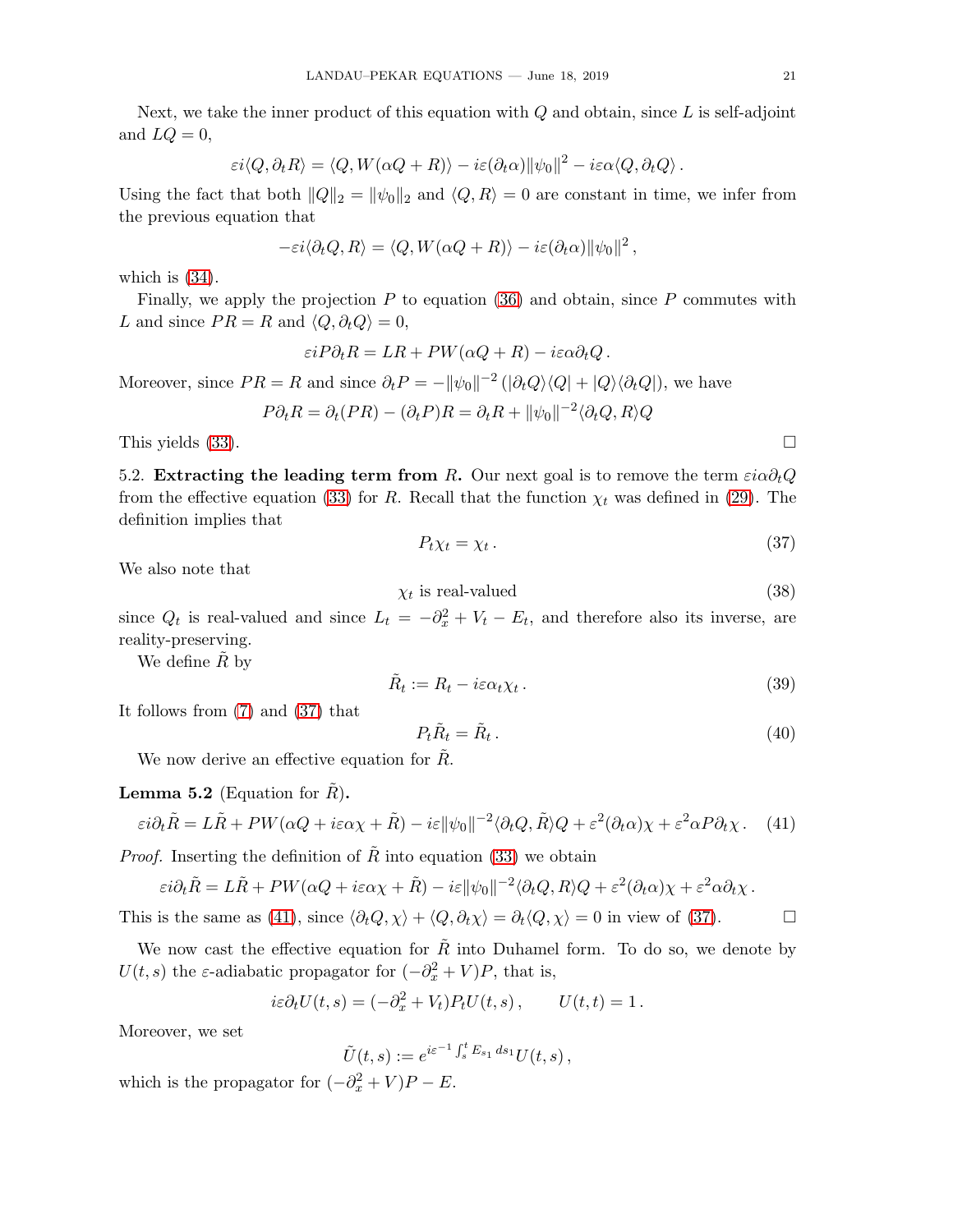Next, we take the inner product of this equation with  $Q$  and obtain, since  $L$  is self-adjoint and  $LQ = 0$ ,

$$
\varepsilon i \langle Q, \partial_t R \rangle = \langle Q, W(\alpha Q + R) \rangle - i \varepsilon (\partial_t \alpha) ||\psi_0||^2 - i \varepsilon \alpha \langle Q, \partial_t Q \rangle.
$$

Using the fact that both  $||Q||_2 = ||\psi_0||_2$  and  $\langle Q, R \rangle = 0$  are constant in time, we infer from the previous equation that

$$
-\varepsilon i \langle \partial_t Q, R \rangle = \langle Q, W(\alpha Q + R) \rangle - i \varepsilon (\partial_t \alpha) ||\psi_0||^2,
$$

which is [\(34\)](#page-19-1).

Finally, we apply the projection  $P$  to equation [\(36\)](#page-19-2) and obtain, since  $P$  commutes with L and since  $PR = R$  and  $\langle Q, \partial_t Q \rangle = 0$ ,

$$
\varepsilon i P \partial_t R = LR + PW(\alpha Q + R) - i\varepsilon \alpha \partial_t Q.
$$

Moreover, since  $PR = R$  and since  $\partial_t P = -\|\psi_0\|^{-2} (\|\partial_t Q \rangle \langle Q| + |Q \rangle \langle \partial_t Q|)$ , we have

$$
P\partial_t R = \partial_t (PR) - (\partial_t P)R = \partial_t R + ||\psi_0||^{-2} \langle \partial_t Q, R \rangle Q
$$

This yields  $(33)$ .

5.2. Extracting the leading term from R. Our next goal is to remove the term  $e^{i\alpha\partial_tQ}$ from the effective equation [\(33\)](#page-19-3) for R. Recall that the function  $\chi_t$  was defined in [\(29\)](#page-18-2). The definition implies that

<span id="page-20-0"></span>
$$
P_t \chi_t = \chi_t \,. \tag{37}
$$

We also note that

<span id="page-20-4"></span>
$$
\chi_t \text{ is real-valued} \tag{38}
$$

since  $Q_t$  is real-valued and since  $L_t = -\partial_x^2 + V_t - E_t$ , and therefore also its inverse, are reality-preserving.

We define  $\tilde{R}$  by

<span id="page-20-3"></span>
$$
\tilde{R}_t := R_t - i\varepsilon \alpha_t \chi_t \,. \tag{39}
$$

It follows from [\(7\)](#page-2-2) and [\(37\)](#page-20-0) that

<span id="page-20-2"></span>
$$
P_t \tilde{R}_t = \tilde{R}_t \,. \tag{40}
$$

We now derive an effective equation for  $R$ .

**Lemma 5.2** (Equation for  $\tilde{R}$ ).

<span id="page-20-1"></span>
$$
\varepsilon i \partial_t \tilde{R} = L\tilde{R} + PW(\alpha Q + i\varepsilon \alpha \chi + \tilde{R}) - i\varepsilon \|\psi_0\|^{-2} \langle \partial_t Q, \tilde{R} \rangle Q + \varepsilon^2 (\partial_t \alpha) \chi + \varepsilon^2 \alpha P \partial_t \chi. \tag{41}
$$

*Proof.* Inserting the definition of  $\tilde{R}$  into equation [\(33\)](#page-19-3) we obtain

$$
\varepsilon i \partial_t \tilde{R} = L\tilde{R} + PW(\alpha Q + i\varepsilon \alpha \chi + \tilde{R}) - i\varepsilon ||\psi_0||^{-2} \langle \partial_t Q, R \rangle Q + \varepsilon^2 (\partial_t \alpha) \chi + \varepsilon^2 \alpha \partial_t \chi.
$$

This is the same as [\(41\)](#page-20-1), since  $\langle \partial_t Q, \chi \rangle + \langle Q, \partial_t \chi \rangle = \partial_t \langle Q, \chi \rangle = 0$  in view of [\(37\)](#page-20-0).

We now cast the effective equation for  $\tilde{R}$  into Duhamel form. To do so, we denote by  $U(t, s)$  the  $\varepsilon$ -adiabatic propagator for  $(-\partial_x^2 + V)P$ , that is,

$$
i\varepsilon \partial_t U(t,s) = (-\partial_x^2 + V_t) P_t U(t,s), \qquad U(t,t) = 1.
$$

Moreover, we set

$$
\tilde{U}(t,s) := e^{i\varepsilon^{-1}\int_s^t E_{s_1} ds_1} U(t,s),
$$

which is the propagator for  $(-\partial_x^2 + V)P - E$ .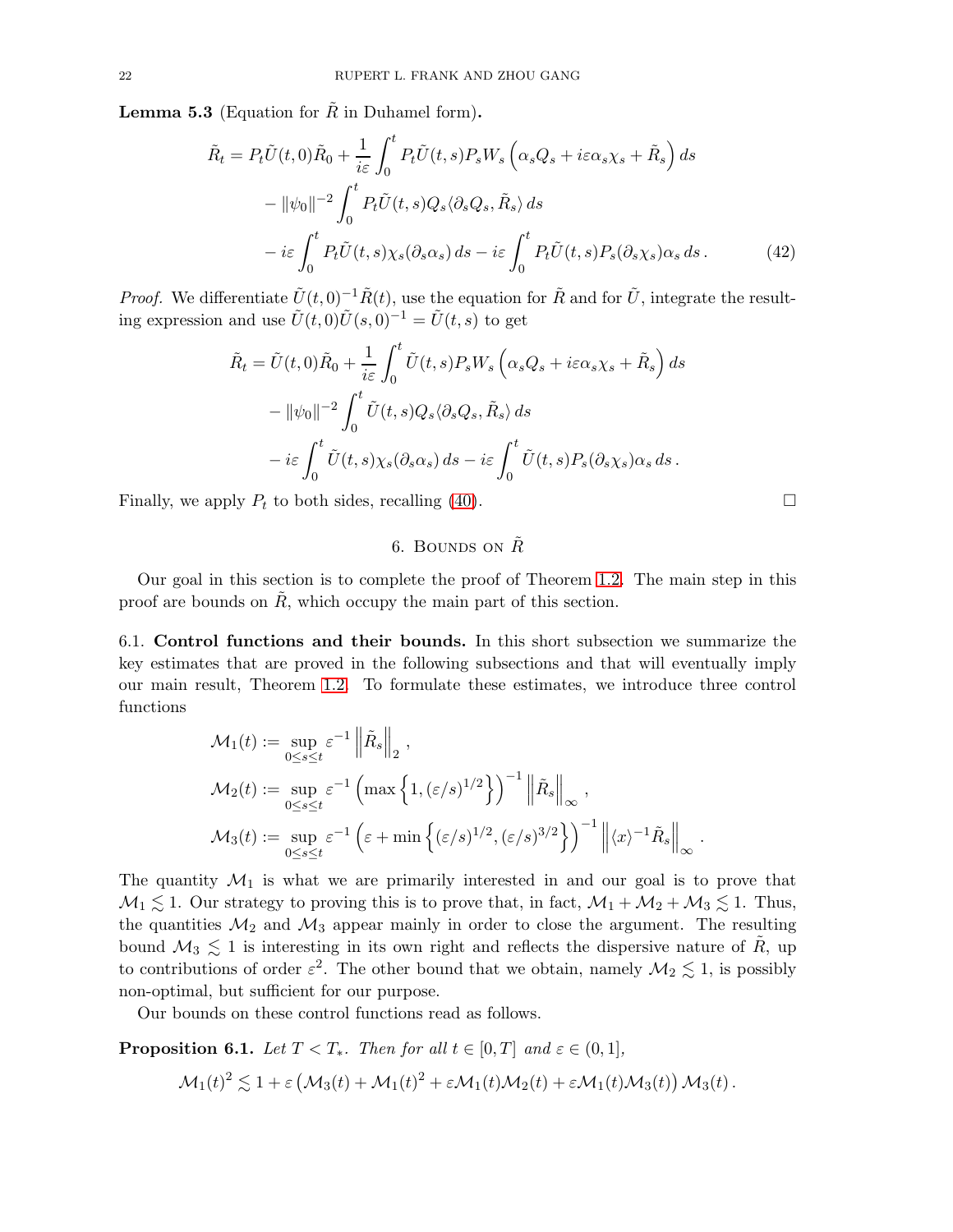**Lemma 5.3** (Equation for  $\tilde{R}$  in Duhamel form).

$$
\tilde{R}_t = P_t \tilde{U}(t,0)\tilde{R}_0 + \frac{1}{i\varepsilon} \int_0^t P_t \tilde{U}(t,s)P_s W_s \left(\alpha_s Q_s + i\varepsilon \alpha_s \chi_s + \tilde{R}_s\right) ds \n- ||\psi_0||^{-2} \int_0^t P_t \tilde{U}(t,s)Q_s \langle \partial_s Q_s, \tilde{R}_s \rangle ds \n- i\varepsilon \int_0^t P_t \tilde{U}(t,s) \chi_s(\partial_s \alpha_s) ds - i\varepsilon \int_0^t P_t \tilde{U}(t,s)P_s(\partial_s \chi_s) \alpha_s ds.
$$
\n(42)

*Proof.* We differentiate  $\tilde{U}(t, 0)^{-1} \tilde{R}(t)$ , use the equation for  $\tilde{R}$  and for  $\tilde{U}$ , integrate the resulting expression and use  $\tilde{U}(t,0)\tilde{U}(s,0)^{-1} = \tilde{U}(t,s)$  to get

$$
\tilde{R}_t = \tilde{U}(t,0)\tilde{R}_0 + \frac{1}{i\varepsilon} \int_0^t \tilde{U}(t,s)P_s W_s \left(\alpha_s Q_s + i\varepsilon \alpha_s \chi_s + \tilde{R}_s\right) ds
$$

$$
- \|\psi_0\|^{-2} \int_0^t \tilde{U}(t,s)Q_s \langle \partial_s Q_s, \tilde{R}_s \rangle ds
$$

$$
- i\varepsilon \int_0^t \tilde{U}(t,s) \chi_s(\partial_s \alpha_s) ds - i\varepsilon \int_0^t \tilde{U}(t,s)P_s(\partial_s \chi_s) \alpha_s ds.
$$

Finally, we apply  $P_t$  to both sides, recalling [\(40\)](#page-20-2).

# <span id="page-21-1"></span>6. BOUNDS ON  $\tilde{R}$

Our goal in this section is to complete the proof of Theorem [1.2.](#page-1-4) The main step in this proof are bounds on  $\tilde{R}$ , which occupy the main part of this section.

6.1. Control functions and their bounds. In this short subsection we summarize the key estimates that are proved in the following subsections and that will eventually imply our main result, Theorem [1.2.](#page-1-4) To formulate these estimates, we introduce three control functions

$$
\mathcal{M}_1(t) := \sup_{0 \le s \le t} \varepsilon^{-1} \left\| \tilde{R}_s \right\|_2,
$$
  
\n
$$
\mathcal{M}_2(t) := \sup_{0 \le s \le t} \varepsilon^{-1} \left( \max \left\{ 1, (\varepsilon/s)^{1/2} \right\} \right)^{-1} \left\| \tilde{R}_s \right\|_\infty,
$$
  
\n
$$
\mathcal{M}_3(t) := \sup_{0 \le s \le t} \varepsilon^{-1} \left( \varepsilon + \min \left\{ (\varepsilon/s)^{1/2}, (\varepsilon/s)^{3/2} \right\} \right)^{-1} \left\| \langle x \rangle^{-1} \tilde{R}_s \right\|_\infty.
$$

The quantity  $\mathcal{M}_1$  is what we are primarily interested in and our goal is to prove that  $M_1 \lesssim 1$ . Our strategy to proving this is to prove that, in fact,  $M_1 + M_2 + M_3 \lesssim 1$ . Thus, the quantities  $\mathcal{M}_2$  and  $\mathcal{M}_3$  appear mainly in order to close the argument. The resulting bound  $\mathcal{M}_3 \lesssim 1$  is interesting in its own right and reflects the dispersive nature of  $\tilde{R}$ , up to contributions of order  $\varepsilon^2$ . The other bound that we obtain, namely  $\mathcal{M}_2 \lesssim 1$ , is possibly non-optimal, but sufficient for our purpose.

Our bounds on these control functions read as follows.

<span id="page-21-0"></span>**Proposition 6.1.** Let  $T < T_*$ . Then for all  $t \in [0, T]$  and  $\varepsilon \in (0, 1]$ ,

$$
\mathcal{M}_1(t)^2 \lesssim 1 + \varepsilon \left( \mathcal{M}_3(t) + \mathcal{M}_1(t)^2 + \varepsilon \mathcal{M}_1(t) \mathcal{M}_2(t) + \varepsilon \mathcal{M}_1(t) \mathcal{M}_3(t) \right) \mathcal{M}_3(t).
$$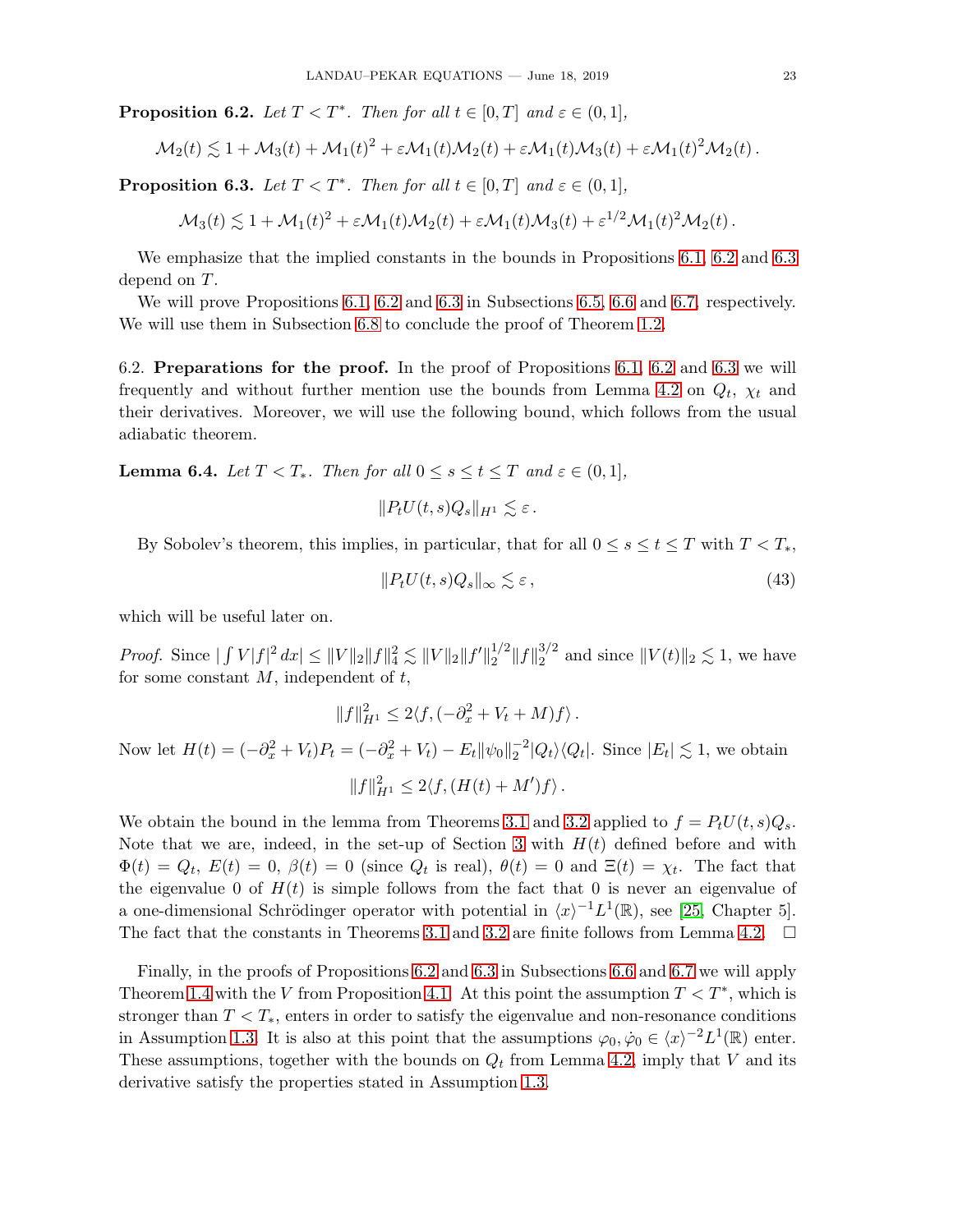<span id="page-22-0"></span>**Proposition 6.2.** Let  $T < T^*$ . Then for all  $t \in [0, T]$  and  $\varepsilon \in (0, 1]$ ,

$$
\mathcal{M}_2(t) \lesssim 1 + \mathcal{M}_3(t) + \mathcal{M}_1(t)^2 + \varepsilon \mathcal{M}_1(t) \mathcal{M}_2(t) + \varepsilon \mathcal{M}_1(t) \mathcal{M}_3(t) + \varepsilon \mathcal{M}_1(t)^2 \mathcal{M}_2(t).
$$

<span id="page-22-1"></span>**Proposition 6.3.** Let  $T < T^*$ . Then for all  $t \in [0, T]$  and  $\varepsilon \in (0, 1]$ ,

$$
\mathcal{M}_3(t) \lesssim 1 + \mathcal{M}_1(t)^2 + \varepsilon \mathcal{M}_1(t) \mathcal{M}_2(t) + \varepsilon \mathcal{M}_1(t) \mathcal{M}_3(t) + \varepsilon^{1/2} \mathcal{M}_1(t)^2 \mathcal{M}_2(t).
$$

We emphasize that the implied constants in the bounds in Propositions [6.1,](#page-21-0) [6.2](#page-22-0) and [6.3](#page-22-1) depend on T.

We will prove Propositions [6.1,](#page-21-0) [6.2](#page-22-0) and [6.3](#page-22-1) in Subsections [6.5,](#page-26-0) [6.6](#page-27-0) and [6.7,](#page-28-0) respectively. We will use them in Subsection [6.8](#page-30-0) to conclude the proof of Theorem [1.2.](#page-1-4)

6.2. Preparations for the proof. In the proof of Propositions [6.1,](#page-21-0) [6.2](#page-22-0) and [6.3](#page-22-1) we will frequently and without further mention use the bounds from Lemma [4.2](#page-18-3) on  $Q_t$ ,  $\chi_t$  and their derivatives. Moreover, we will use the following bound, which follows from the usual adiabatic theorem.

**Lemma 6.4.** Let  $T < T_*$ . Then for all  $0 \leq s \leq t \leq T$  and  $\varepsilon \in (0,1]$ ,

$$
||P_tU(t,s)Q_s||_{H^1} \lesssim \varepsilon.
$$

By Sobolev's theorem, this implies, in particular, that for all  $0 \le s \le t \le T$  with  $T < T_*$ ,

<span id="page-22-2"></span>
$$
||P_t U(t, s) Q_s||_{\infty} \lesssim \varepsilon \,, \tag{43}
$$

which will be useful later on.

*Proof.* Since  $|\int V|f|^2 dx \le ||V||_2||f||_4^2 \lesssim ||V||_2||f'||_2^{1/2}$  $\frac{1}{2}$   $||f||_2^{3/2}$  $_2^{3/2}$  and since  $||V(t)||_2 \lesssim 1$ , we have for some constant  $M$ , independent of  $t$ ,

$$
||f||_{H^1}^2 \le 2\langle f, (-\partial_x^2 + V_t + M)f \rangle.
$$

Now let  $H(t) = (-\partial_x^2 + V_t)P_t = (-\partial_x^2 + V_t) - E_t ||\psi_0||_2^{-2} |Q_t\rangle\langle Q_t|$ . Since  $|E_t| \lesssim 1$ , we obtain  $||f||_{H^1}^2 \leq 2\langle f, (H(t) + M')f \rangle.$ 

We obtain the bound in the lemma from Theorems [3.1](#page-13-0) and [3.2](#page-14-0) applied to  $f = P_t U(t, s) Q_s$ . Note that we are, indeed, in the set-up of Section [3](#page-12-1) with  $H(t)$  defined before and with  $\Phi(t) = Q_t, E(t) = 0, \beta(t) = 0$  (since  $Q_t$  is real),  $\theta(t) = 0$  and  $\Xi(t) = \chi_t$ . The fact that the eigenvalue 0 of  $H(t)$  is simple follows from the fact that 0 is never an eigenvalue of a one-dimensional Schrödinger operator with potential in  $\langle x \rangle^{-1} L^1(\mathbb{R})$ , see [\[25,](#page-32-0) Chapter 5]. The fact that the constants in Theorems [3.1](#page-13-0) and [3.2](#page-14-0) are finite follows from Lemma [4.2.](#page-18-3)  $\Box$ 

Finally, in the proofs of Propositions [6.2](#page-22-0) and [6.3](#page-22-1) in Subsections [6.6](#page-27-0) and [6.7](#page-28-0) we will apply Theorem [1.4](#page-3-3) with the V from Proposition [4.1.](#page-15-0) At this point the assumption  $T < T^*$ , which is stronger than  $T < T_*$ , enters in order to satisfy the eigenvalue and non-resonance conditions in Assumption [1.3.](#page-2-1) It is also at this point that the assumptions  $\varphi_0, \dot{\varphi}_0 \in \langle x \rangle^{-2} L^1(\mathbb{R})$  enter. These assumptions, together with the bounds on  $Q_t$  from Lemma [4.2,](#page-18-3) imply that V and its derivative satisfy the properties stated in Assumption [1.3.](#page-2-1)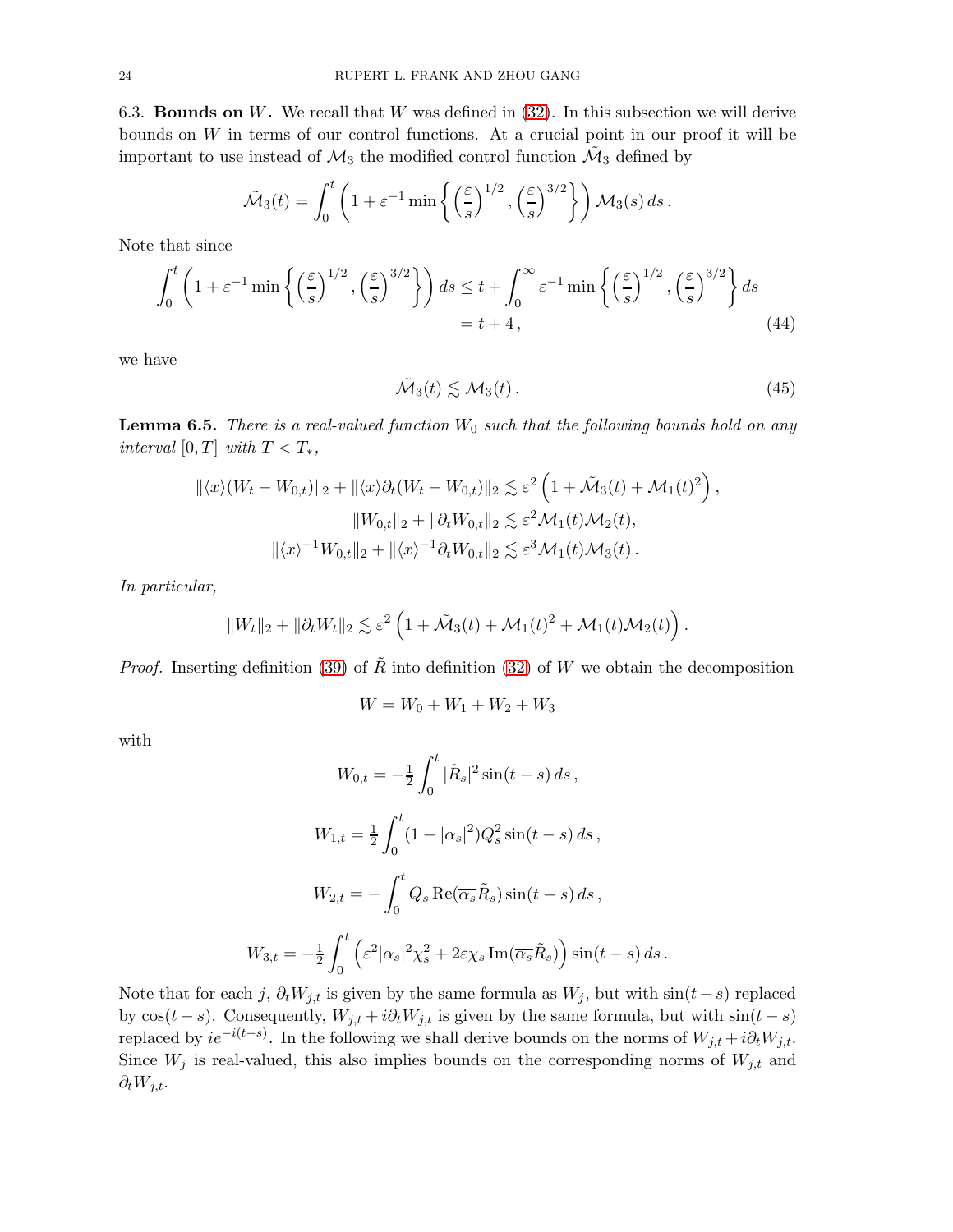6.3. **Bounds on W.** We recall that W was defined in  $(32)$ . In this subsection we will derive bounds on W in terms of our control functions. At a crucial point in our proof it will be important to use instead of  $\mathcal{M}_3$  the modified control function  $\tilde{\mathcal{M}}_3$  defined by

$$
\tilde{\mathcal{M}}_3(t) = \int_0^t \left(1 + \varepsilon^{-1} \min \left\{ \left(\frac{\varepsilon}{s}\right)^{1/2}, \left(\frac{\varepsilon}{s}\right)^{3/2} \right\} \right) \mathcal{M}_3(s) ds.
$$

Note that since

$$
\int_0^t \left(1 + \varepsilon^{-1} \min\left\{ \left(\frac{\varepsilon}{s}\right)^{1/2}, \left(\frac{\varepsilon}{s}\right)^{3/2} \right\} \right) ds \le t + \int_0^\infty \varepsilon^{-1} \min\left\{ \left(\frac{\varepsilon}{s}\right)^{1/2}, \left(\frac{\varepsilon}{s}\right)^{3/2} \right\} ds
$$
  
=  $t + 4$ , (44)

we have

<span id="page-23-1"></span><span id="page-23-0"></span>
$$
\tilde{\mathcal{M}}_3(t) \lesssim \mathcal{M}_3(t). \tag{45}
$$

<span id="page-23-2"></span>**Lemma 6.5.** There is a real-valued function  $W_0$  such that the following bounds hold on any interval [0, T] with  $T < T_*$ ,

$$
\begin{aligned} \|\langle x \rangle (W_t - W_{0,t})\|_2 + \|\langle x \rangle \partial_t (W_t - W_{0,t})\|_2 &\lesssim \varepsilon^2 \left(1 + \tilde{\mathcal{M}}_3(t) + \mathcal{M}_1(t)^2\right), \\ \|W_{0,t}\|_2 + \|\partial_t W_{0,t}\|_2 &\lesssim \varepsilon^2 \mathcal{M}_1(t) \mathcal{M}_2(t), \\ \|\langle x \rangle^{-1} W_{0,t}\|_2 + \|\langle x \rangle^{-1} \partial_t W_{0,t}\|_2 &\lesssim \varepsilon^3 \mathcal{M}_1(t) \mathcal{M}_3(t) \,. \end{aligned}
$$

In particular,

$$
||W_t||_2 + ||\partial_t W_t||_2 \lesssim \varepsilon^2 \left(1 + \tilde{\mathcal{M}}_3(t) + \mathcal{M}_1(t)^2 + \mathcal{M}_1(t)\mathcal{M}_2(t)\right).
$$

*Proof.* Inserting definition [\(39\)](#page-20-3) of  $\tilde{R}$  into definition [\(32\)](#page-19-4) of W we obtain the decomposition

$$
W = W_0 + W_1 + W_2 + W_3
$$

with

$$
W_{0,t} = -\frac{1}{2} \int_0^t |\tilde{R}_s|^2 \sin(t-s) ds,
$$
  

$$
W_{1,t} = \frac{1}{2} \int_0^t (1 - |\alpha_s|^2) Q_s^2 \sin(t-s) ds,
$$
  

$$
W_{2,t} = -\int_0^t Q_s \operatorname{Re}(\overline{\alpha_s} \tilde{R}_s) \sin(t-s) ds,
$$
  

$$
W_{3,t} = -\frac{1}{2} \int_0^t \left(\varepsilon^2 |\alpha_s|^2 \chi_s^2 + 2\varepsilon \chi_s \operatorname{Im}(\overline{\alpha_s} \tilde{R}_s)\right) \sin(t-s) ds.
$$

Note that for each j,  $\partial_t W_{j,t}$  is given by the same formula as  $W_j$ , but with  $\sin(t-s)$  replaced by  $cos(t - s)$ . Consequently,  $W_{j,t} + i\partial_t W_{j,t}$  is given by the same formula, but with  $sin(t - s)$ replaced by  $ie^{-i(t-s)}$ . In the following we shall derive bounds on the norms of  $W_{j,t} + i\partial_t W_{j,t}$ . Since  $W_j$  is real-valued, this also implies bounds on the corresponding norms of  $W_{j,t}$  and  $\partial_t W_{j,t}$ .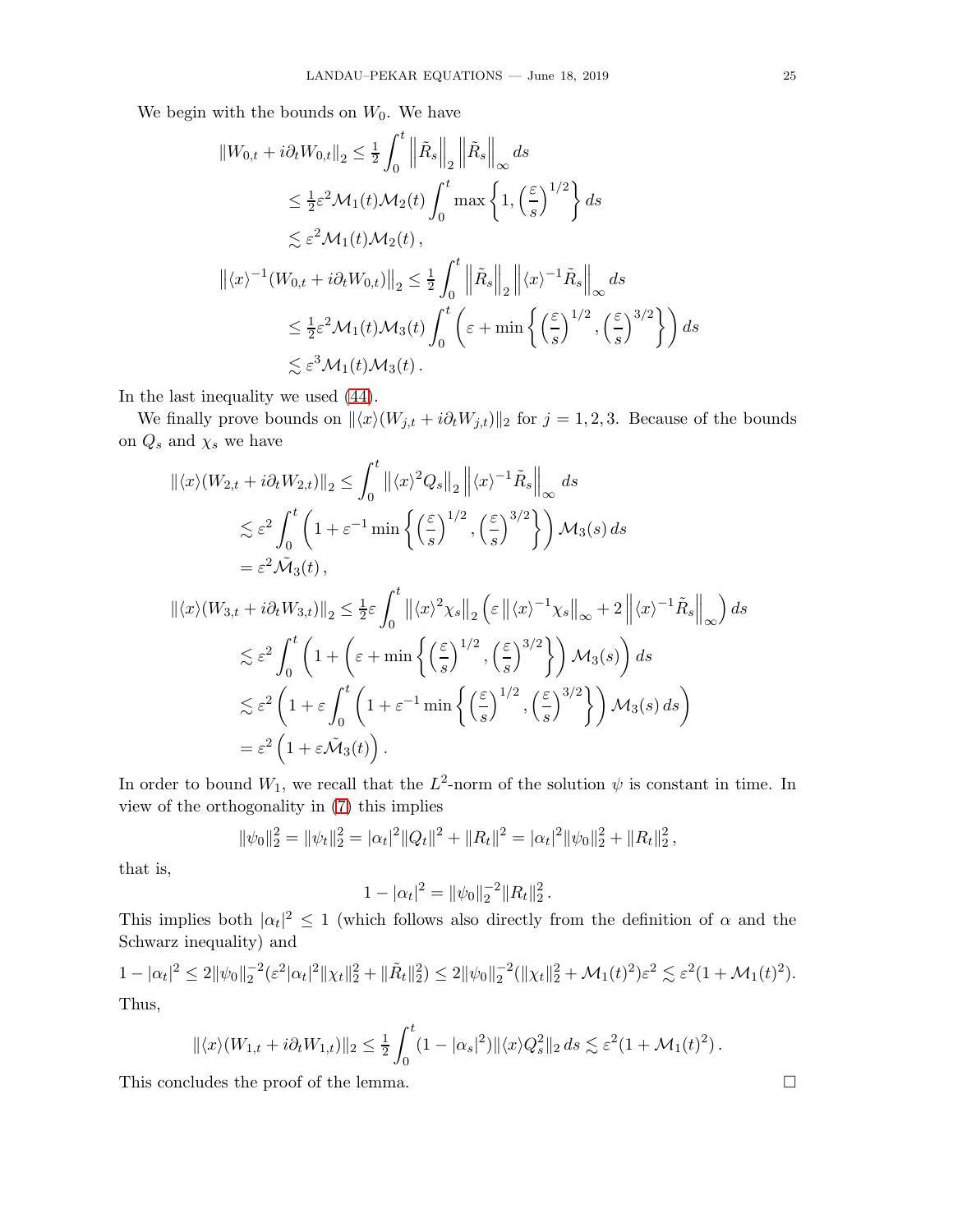We begin with the bounds on  $W_0$ . We have

$$
\|W_{0,t} + i\partial_t W_{0,t}\|_2 \le \frac{1}{2} \int_0^t \left\|\tilde{R}_s\right\|_2 \left\|\tilde{R}_s\right\|_\infty ds
$$
  
\n
$$
\le \frac{1}{2} \varepsilon^2 \mathcal{M}_1(t) \mathcal{M}_2(t) \int_0^t \max\left\{1, \left(\frac{\varepsilon}{s}\right)^{1/2}\right\} ds
$$
  
\n
$$
\lesssim \varepsilon^2 \mathcal{M}_1(t) \mathcal{M}_2(t),
$$
  
\n
$$
\left\|\langle x \rangle^{-1} (W_{0,t} + i\partial_t W_{0,t})\right\|_2 \le \frac{1}{2} \int_0^t \left\|\tilde{R}_s\right\|_2 \left\|\langle x \rangle^{-1} \tilde{R}_s\right\|_\infty ds
$$
  
\n
$$
\le \frac{1}{2} \varepsilon^2 \mathcal{M}_1(t) \mathcal{M}_3(t) \int_0^t \left(\varepsilon + \min\left\{\left(\frac{\varepsilon}{s}\right)^{1/2}, \left(\frac{\varepsilon}{s}\right)^{3/2}\right\}\right) ds
$$
  
\n
$$
\lesssim \varepsilon^3 \mathcal{M}_1(t) \mathcal{M}_3(t).
$$

In the last inequality we used [\(44\)](#page-23-0).

We finally prove bounds on  $\| \langle x \rangle(W_{j,t} + i\partial_t W_{j,t}) \|_2$  for  $j = 1, 2, 3$ . Because of the bounds on  $Q_s$  and  $\chi_s$  we have

$$
\begin{split}\n\|\langle x\rangle(W_{2,t} + i\partial_t W_{2,t})\|_2 &\leq \int_0^t \left\|\langle x\rangle^2 Q_s\right\|_2 \left\|\langle x\rangle^{-1} \tilde{R}_s\right\|_\infty ds \\
&\leq \varepsilon^2 \int_0^t \left(1 + \varepsilon^{-1} \min\left\{\left(\frac{\varepsilon}{s}\right)^{1/2}, \left(\frac{\varepsilon}{s}\right)^{3/2}\right\}\right) \mathcal{M}_3(s) \, ds \\
&= \varepsilon^2 \tilde{\mathcal{M}}_3(t), \\
\|\langle x\rangle(W_{3,t} + i\partial_t W_{3,t})\|_2 &\leq \frac{1}{2}\varepsilon \int_0^t \left\|\langle x\rangle^2 \chi_s\right\|_2 \left(\varepsilon \left\|\langle x\rangle^{-1} \chi_s\right\|_\infty + 2 \left\|\langle x\rangle^{-1} \tilde{R}_s\right\|_\infty\right) ds \\
&\leq \varepsilon^2 \int_0^t \left(1 + \left(\varepsilon + \min\left\{\left(\frac{\varepsilon}{s}\right)^{1/2}, \left(\frac{\varepsilon}{s}\right)^{3/2}\right\}\right) \mathcal{M}_3(s)\right) ds \\
&\leq \varepsilon^2 \left(1 + \varepsilon \int_0^t \left(1 + \varepsilon^{-1} \min\left\{\left(\frac{\varepsilon}{s}\right)^{1/2}, \left(\frac{\varepsilon}{s}\right)^{3/2}\right\}\right) \mathcal{M}_3(s) \, ds\right) \\
&= \varepsilon^2 \left(1 + \varepsilon \tilde{\mathcal{M}}_3(t)\right).\n\end{split}
$$

In order to bound  $W_1$ , we recall that the  $L^2$ -norm of the solution  $\psi$  is constant in time. In view of the orthogonality in [\(7\)](#page-2-2) this implies

$$
\|\psi_0\|_2^2 = \|\psi_t\|_2^2 = |\alpha_t|^2 \|Q_t\|^2 + \|R_t\|^2 = |\alpha_t|^2 \|\psi_0\|_2^2 + \|R_t\|_2^2,
$$

that is,

$$
1 - |\alpha_t|^2 = \|\psi_0\|_2^{-2} \|R_t\|_2^2.
$$

This implies both  $|\alpha_t|^2 \leq 1$  (which follows also directly from the definition of  $\alpha$  and the Schwarz inequality) and

$$
1 - |\alpha_t|^2 \le 2\|\psi_0\|_2^{-2} (\varepsilon^2 |\alpha_t|^2 \|\chi_t\|_2^2 + \|\tilde{R}_t\|_2^2) \le 2\|\psi_0\|_2^{-2} (\|\chi_t\|_2^2 + \mathcal{M}_1(t)^2) \varepsilon^2 \lesssim \varepsilon^2 (1 + \mathcal{M}_1(t)^2).
$$
  
Thus,

$$
\|\langle x\rangle(W_{1,t} + i\partial_t W_{1,t})\|_2 \leq \frac{1}{2} \int_0^t (1 - |\alpha_s|^2) \|\langle x\rangle Q_s^2\|_2 ds \lesssim \varepsilon^2 (1 + \mathcal{M}_1(t)^2).
$$

This concludes the proof of the lemma.

$$
\Box
$$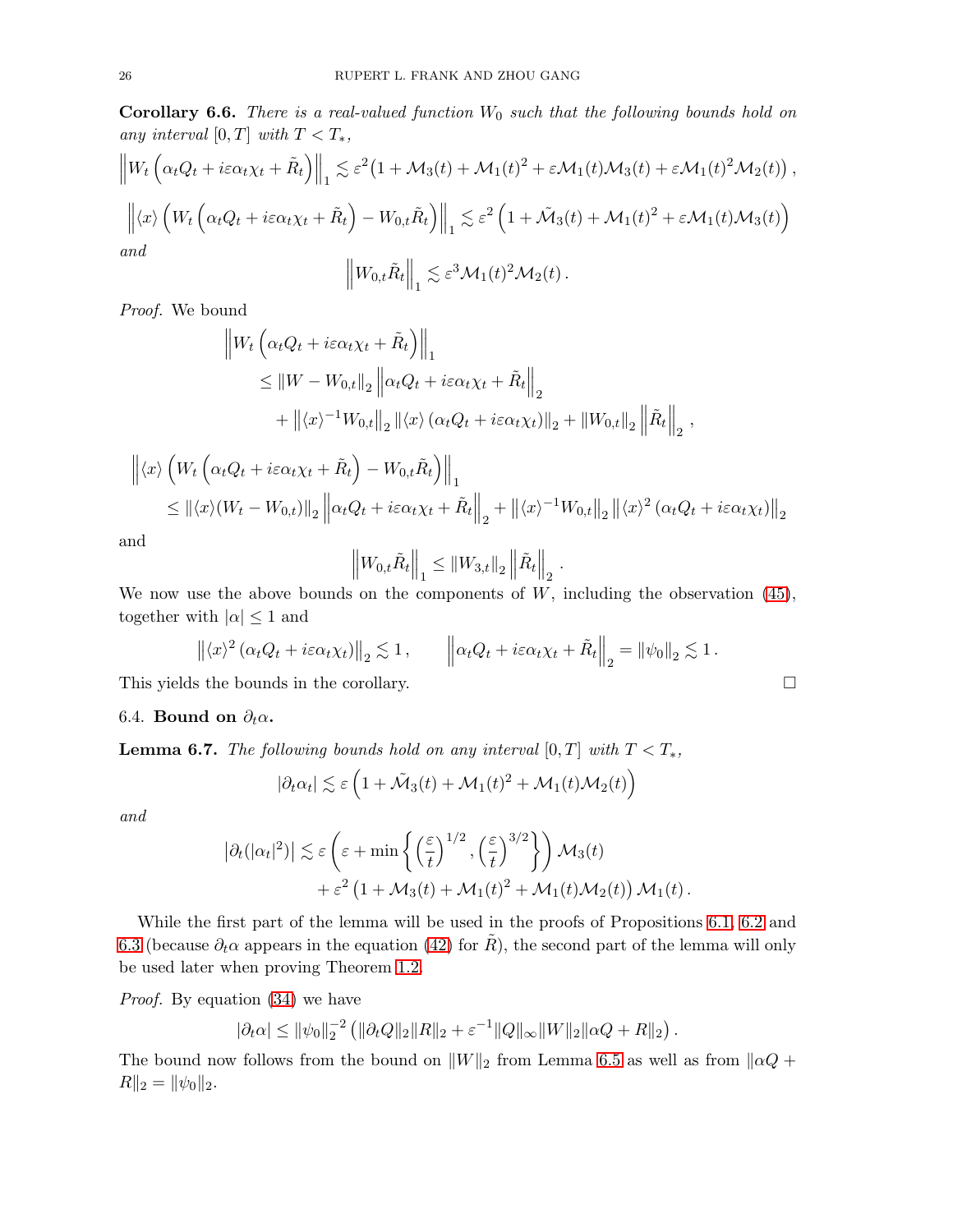<span id="page-25-0"></span>**Corollary 6.6.** There is a real-valued function  $W_0$  such that the following bounds hold on any interval  $[0, T]$  with  $T < T_*$ ,

$$
\|W_t\left(\alpha_t Q_t + i\varepsilon\alpha_t \chi_t + \tilde{R}_t\right)\|_1 \lesssim \varepsilon^2 \left(1 + \mathcal{M}_3(t) + \mathcal{M}_1(t)^2 + \varepsilon \mathcal{M}_1(t) \mathcal{M}_3(t) + \varepsilon \mathcal{M}_1(t)^2 \mathcal{M}_2(t)\right),
$$
  

$$
\left\| \langle x \rangle \left( W_t\left(\alpha_t Q_t + i\varepsilon\alpha_t \chi_t + \tilde{R}_t\right) - W_{0,t}\tilde{R}_t \right) \right\|_1 \lesssim \varepsilon^2 \left(1 + \tilde{\mathcal{M}}_3(t) + \mathcal{M}_1(t)^2 + \varepsilon \mathcal{M}_1(t) \mathcal{M}_3(t)\right)
$$
  
and  

$$
\left\| W_{0,t}\tilde{R}_t \right\|_1 \lesssim \varepsilon^3 \mathcal{M}_1(t)^2 \mathcal{M}_2(t).
$$

Proof. We bound

$$
\|W_t\left(\alpha_t Q_t + i\varepsilon \alpha_t \chi_t + \tilde{R}_t\right)\|_1
$$
  
\n
$$
\leq \|W - W_{0,t}\|_2 \left\|\alpha_t Q_t + i\varepsilon \alpha_t \chi_t + \tilde{R}_t\right\|_2
$$
  
\n
$$
+ \left\|\langle x \rangle^{-1} W_{0,t}\right\|_2 \left\|\langle x \rangle \left(\alpha_t Q_t + i\varepsilon \alpha_t \chi_t\right)\right\|_2 + \left\|W_{0,t}\right\|_2 \left\|\tilde{R}_t\right\|_2,
$$

$$
\left\| \langle x \rangle \left( W_t \left( \alpha_t Q_t + i \varepsilon \alpha_t \chi_t + \tilde{R}_t \right) - W_{0,t} \tilde{R}_t \right) \right\|_1
$$
  
\n
$$
\leq \left\| \langle x \rangle (W_t - W_{0,t}) \right\|_2 \left\| \alpha_t Q_t + i \varepsilon \alpha_t \chi_t + \tilde{R}_t \right\|_2 + \left\| \langle x \rangle^{-1} W_{0,t} \right\|_2 \left\| \langle x \rangle^2 \left( \alpha_t Q_t + i \varepsilon \alpha_t \chi_t \right) \right\|_2
$$

and

$$
\left\|W_{0,t}\tilde{R}_t\right\|_1 \leq \left\|W_{3,t}\right\|_2 \left\|\tilde{R}_t\right\|_2.
$$

We now use the above bounds on the components of  $W$ , including the observation  $(45)$ , together with  $|\alpha| \leq 1$  and

$$
\left\| \langle x \rangle^2 \left( \alpha_t Q_t + i \varepsilon \alpha_t \chi_t \right) \right\|_2 \lesssim 1, \qquad \left\| \alpha_t Q_t + i \varepsilon \alpha_t \chi_t + \tilde{R}_t \right\|_2 = \left\| \psi_0 \right\|_2 \lesssim 1.
$$

This yields the bounds in the corollary.

### 6.4. Bound on  $\partial_t \alpha$ .

<span id="page-25-1"></span>**Lemma 6.7.** The following bounds hold on any interval  $[0, T]$  with  $T < T_*$ ,

$$
|\partial_t \alpha_t| \lesssim \varepsilon \left(1 + \tilde{\mathcal{M}}_3(t) + \mathcal{M}_1(t)^2 + \mathcal{M}_1(t)\mathcal{M}_2(t)\right)
$$

and

$$
\left|\partial_t(|\alpha_t|^2)\right| \lesssim \varepsilon \left(\varepsilon + \min\left\{\left(\frac{\varepsilon}{t}\right)^{1/2}, \left(\frac{\varepsilon}{t}\right)^{3/2}\right\}\right) \mathcal{M}_3(t) + \varepsilon^2 \left(1 + \mathcal{M}_3(t) + \mathcal{M}_1(t)^2 + \mathcal{M}_1(t)\mathcal{M}_2(t)\right) \mathcal{M}_1(t).
$$

While the first part of the lemma will be used in the proofs of Propositions [6.1,](#page-21-0) [6.2](#page-22-0) and [6.3](#page-22-1) (because  $\partial_t \alpha$  appears in the equation [\(42\)](#page-21-1) for R), the second part of the lemma will only be used later when proving Theorem [1.2.](#page-1-4)

Proof. By equation [\(34\)](#page-19-1) we have

$$
|\partial_t \alpha| \leq ||\psi_0||_2^{-2} (||\partial_t Q||_2 ||R||_2 + \varepsilon^{-1} ||Q||_{\infty} ||W||_2 ||\alpha Q + R||_2).
$$

The bound now follows from the bound on  $||W||_2$  from Lemma [6.5](#page-23-2) as well as from  $||\alpha Q +$  $R||_2 = ||\psi_0||_2.$ 

$$
\Box
$$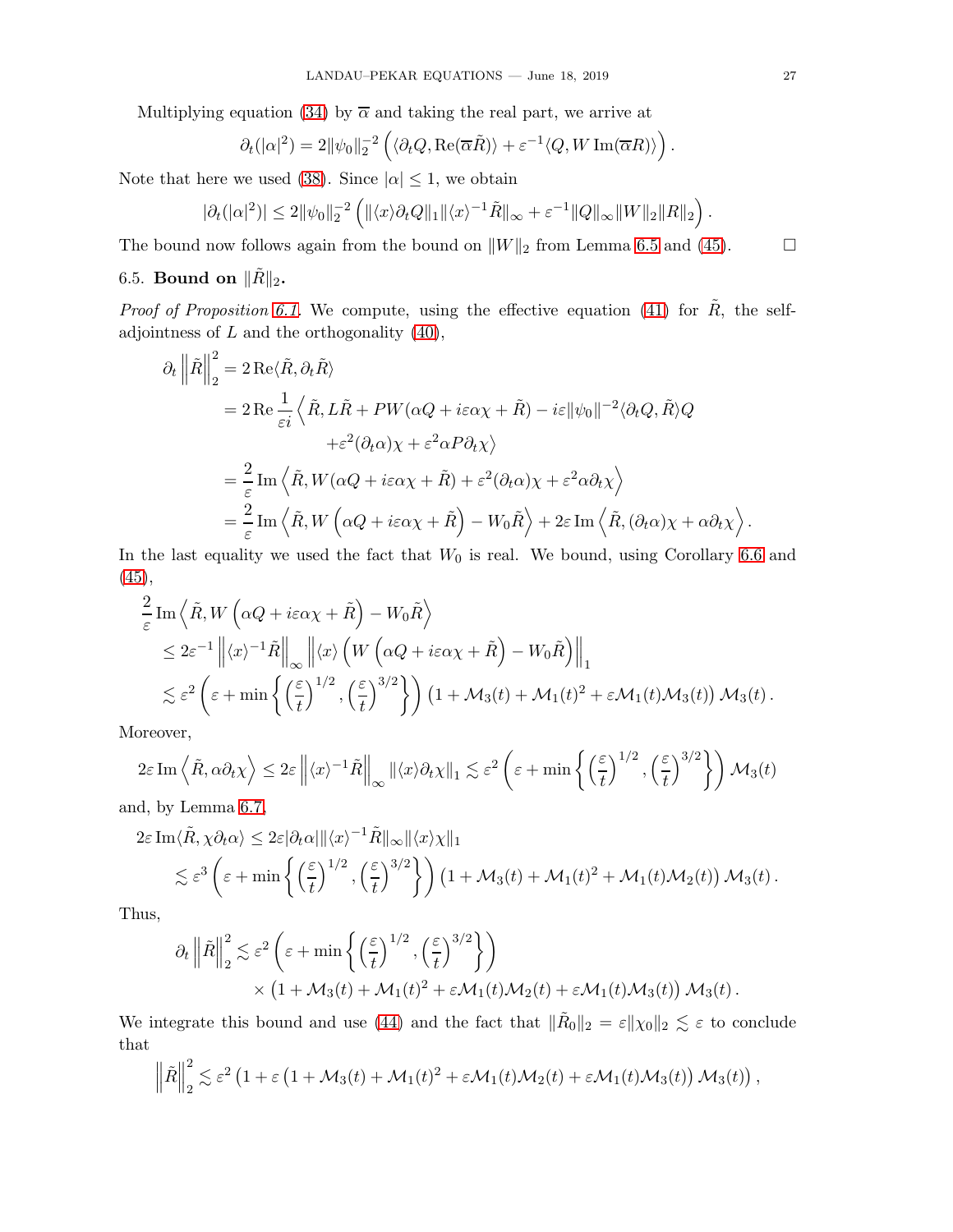Multiplying equation [\(34\)](#page-19-1) by  $\overline{\alpha}$  and taking the real part, we arrive at

$$
\partial_t(|\alpha|^2) = 2\|\psi_0\|_2^{-2}\left(\langle \partial_t Q, \text{Re}(\overline{\alpha}\tilde{R})\rangle + \varepsilon^{-1}\langle Q, W \text{Im}(\overline{\alpha}R)\rangle\right)
$$

Note that here we used [\(38\)](#page-20-4). Since  $|\alpha| \leq 1$ , we obtain

$$
|\partial_t(|\alpha|^2)| \leq 2\|\psi_0\|_2^{-2}\left(\|\langle x\rangle\partial_tQ\|_1\|\langle x\rangle^{-1}\tilde{R}\|_{\infty} + \varepsilon^{-1}\|Q\|_{\infty}\|W\|_2\|R\|_2\right).
$$

<span id="page-26-0"></span>The bound now follows again from the bound on  $||W||_2$  from Lemma [6.5](#page-23-2) and [\(45\)](#page-23-1).  $\Box$ 

# 6.5. Bound on  $\|\tilde{R}\|_2$ .

*Proof of Proposition [6.1.](#page-21-0)* We compute, using the effective equation [\(41\)](#page-20-1) for  $\tilde{R}$ , the selfadjointness of  $L$  and the orthogonality  $(40)$ ,

$$
\partial_t \left\| \tilde{R} \right\|_2^2 = 2 \operatorname{Re} \langle \tilde{R}, \partial_t \tilde{R} \rangle
$$
  
\n
$$
= 2 \operatorname{Re} \frac{1}{\varepsilon i} \left\langle \tilde{R}, L\tilde{R} + PW(\alpha Q + i\varepsilon \alpha \chi + \tilde{R}) - i\varepsilon ||\psi_0||^{-2} \langle \partial_t Q, \tilde{R} \rangle Q
$$
  
\n
$$
+ \varepsilon^2 (\partial_t \alpha) \chi + \varepsilon^2 \alpha P \partial_t \chi \right\rangle
$$
  
\n
$$
= \frac{2}{\varepsilon} \operatorname{Im} \left\langle \tilde{R}, W(\alpha Q + i\varepsilon \alpha \chi + \tilde{R}) + \varepsilon^2 (\partial_t \alpha) \chi + \varepsilon^2 \alpha \partial_t \chi \right\rangle
$$
  
\n
$$
= \frac{2}{\varepsilon} \operatorname{Im} \left\langle \tilde{R}, W(\alpha Q + i\varepsilon \alpha \chi + \tilde{R}) - W_0 \tilde{R} \right\rangle + 2\varepsilon \operatorname{Im} \left\langle \tilde{R}, (\partial_t \alpha) \chi + \alpha \partial_t \chi \right\rangle.
$$

In the last equality we used the fact that  $W_0$  is real. We bound, using Corollary [6.6](#page-25-0) and  $(45),$  $(45),$ 

$$
\frac{2}{\varepsilon} \text{Im} \left\langle \tilde{R}, W\left(\alpha Q + i\varepsilon \alpha \chi + \tilde{R}\right) - W_0 \tilde{R} \right\rangle \n\leq 2\varepsilon^{-1} \left\| \langle x \rangle^{-1} \tilde{R} \right\|_{\infty} \left\| \langle x \rangle \left( W\left(\alpha Q + i\varepsilon \alpha \chi + \tilde{R}\right) - W_0 \tilde{R} \right) \right\|_1 \n\lesssim \varepsilon^2 \left( \varepsilon + \min \left\{ \left(\frac{\varepsilon}{t}\right)^{1/2}, \left(\frac{\varepsilon}{t}\right)^{3/2} \right\} \right) \left( 1 + \mathcal{M}_3(t) + \mathcal{M}_1(t)^2 + \varepsilon \mathcal{M}_1(t) \mathcal{M}_3(t) \right) \mathcal{M}_3(t) .
$$

Moreover,

$$
2\varepsilon \operatorname{Im}\left\langle \tilde{R}, \alpha \partial_t \chi \right\rangle \leq 2\varepsilon \left\| \langle x \rangle^{-1} \tilde{R} \right\|_{\infty} \left\| \langle x \rangle \partial_t \chi \right\|_1 \lesssim \varepsilon^2 \left( \varepsilon + \min \left\{ \left( \frac{\varepsilon}{t} \right)^{1/2}, \left( \frac{\varepsilon}{t} \right)^{3/2} \right\} \right) \mathcal{M}_3(t)
$$

and, by Lemma [6.7,](#page-25-1)

$$
2\varepsilon \operatorname{Im}\langle \tilde{R}, \chi \partial_t \alpha \rangle \leq 2\varepsilon |\partial_t \alpha| ||\langle x \rangle^{-1} \tilde{R}||_{\infty} ||\langle x \rangle \chi||_1
$$
  
\$\lesssim \varepsilon^3 \left( \varepsilon + \min \left\{ \left( \frac{\varepsilon}{t} \right)^{1/2}, \left( \frac{\varepsilon}{t} \right)^{3/2} \right\} \right) \left( 1 + \mathcal{M}\_3(t) + \mathcal{M}\_1(t)^2 + \mathcal{M}\_1(t) \mathcal{M}\_2(t) \right) \mathcal{M}\_3(t)\$.

Thus,

$$
\partial_t \left\| \tilde{R} \right\|_2^2 \lesssim \varepsilon^2 \left( \varepsilon + \min \left\{ \left( \frac{\varepsilon}{t} \right)^{1/2}, \left( \frac{\varepsilon}{t} \right)^{3/2} \right\} \right) \times \left( 1 + \mathcal{M}_3(t) + \mathcal{M}_1(t)^2 + \varepsilon \mathcal{M}_1(t) \mathcal{M}_2(t) + \varepsilon \mathcal{M}_1(t) \mathcal{M}_3(t) \right) \mathcal{M}_3(t) .
$$

We integrate this bound and use [\(44\)](#page-23-0) and the fact that  $\|\tilde{R}_0\|_2 = \varepsilon \|\chi_0\|_2 \lesssim \varepsilon$  to conclude that

$$
\left\|\tilde{R}\right\|_{2}^{2} \lesssim \varepsilon^{2} \left(1+\varepsilon\left(1+\mathcal{M}_{3}(t)+\mathcal{M}_{1}(t)^{2}+\varepsilon \mathcal{M}_{1}(t)\mathcal{M}_{2}(t)+\varepsilon \mathcal{M}_{1}(t)\mathcal{M}_{3}(t)\right)\mathcal{M}_{3}(t)\right),
$$

.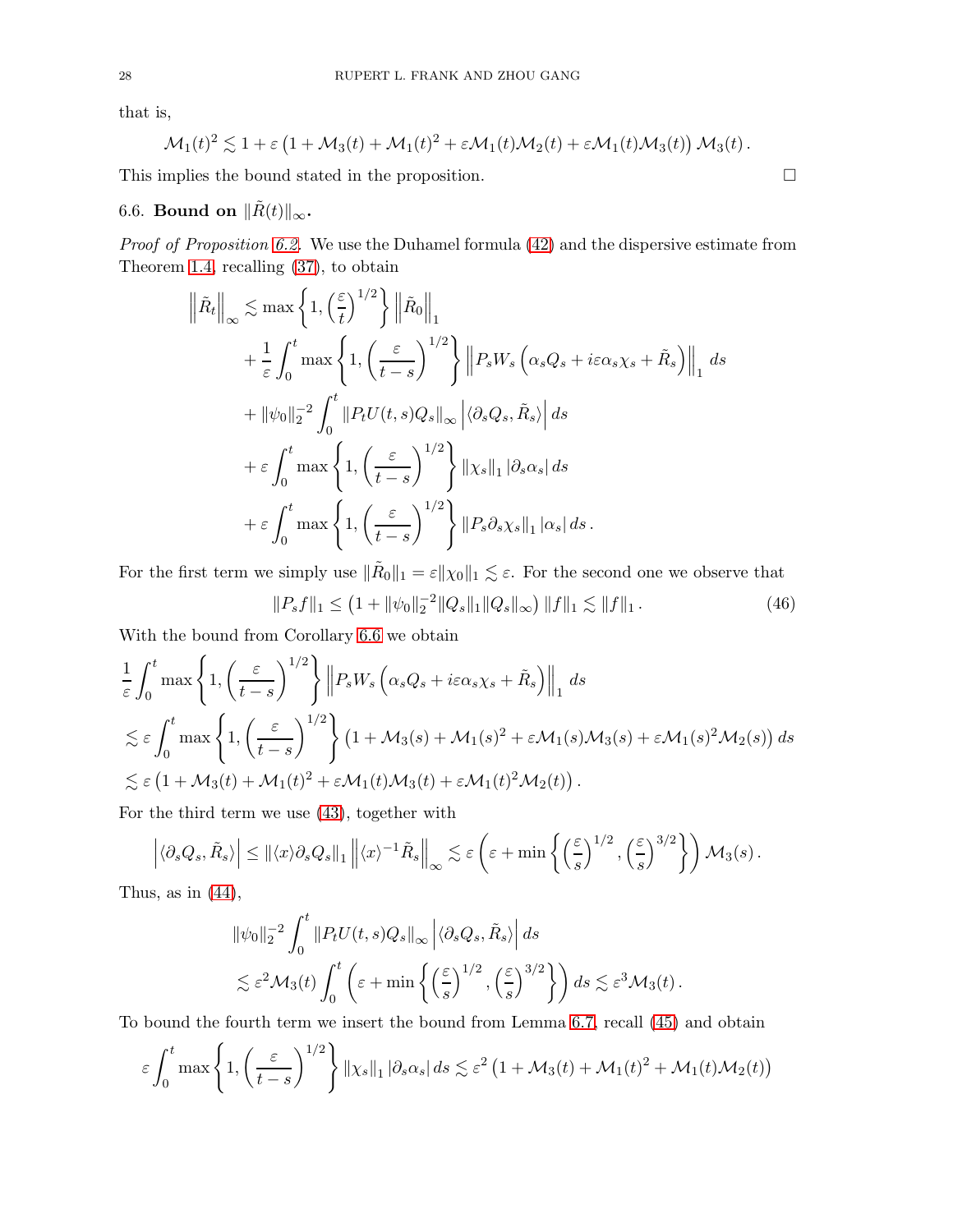that is,

$$
\mathcal{M}_1(t)^2 \lesssim 1 + \varepsilon \left(1 + \mathcal{M}_3(t) + \mathcal{M}_1(t)^2 + \varepsilon \mathcal{M}_1(t) \mathcal{M}_2(t) + \varepsilon \mathcal{M}_1(t) \mathcal{M}_3(t)\right) \mathcal{M}_3(t).
$$

<span id="page-27-0"></span>This implies the bound stated in the proposition.  $\Box$ 

# 6.6. Bound on  $\|\tilde{R}(t)\|_{\infty}$ .

Proof of Proposition [6.2.](#page-22-0) We use the Duhamel formula [\(42\)](#page-21-1) and the dispersive estimate from Theorem [1.4,](#page-3-3) recalling [\(37\)](#page-20-0), to obtain

$$
\left\|\tilde{R}_t\right\|_{\infty} \lesssim \max\left\{1, \left(\frac{\varepsilon}{t}\right)^{1/2}\right\} \left\|\tilde{R}_0\right\|_1
$$
  
+  $\frac{1}{\varepsilon} \int_0^t \max\left\{1, \left(\frac{\varepsilon}{t-s}\right)^{1/2}\right\} \left\|P_s W_s \left(\alpha_s Q_s + i\varepsilon \alpha_s \chi_s + \tilde{R}_s\right)\right\|_1 ds$   
+  $\|\psi_0\|_2^{-2} \int_0^t \left\|P_t U(t, s) Q_s\right\|_{\infty} \left|\langle \partial_s Q_s, \tilde{R}_s \rangle\right| ds$   
+  $\varepsilon \int_0^t \max\left\{1, \left(\frac{\varepsilon}{t-s}\right)^{1/2}\right\} \|\chi_s\|_1 \|\partial_s \alpha_s| ds$   
+  $\varepsilon \int_0^t \max\left\{1, \left(\frac{\varepsilon}{t-s}\right)^{1/2}\right\} \|P_s \partial_s \chi_s\|_1 \|\alpha_s\| ds.$ 

For the first term we simply use  $\|\tilde{R}_0\|_1 = \varepsilon \|\chi_0\|_1 \lesssim \varepsilon$ . For the second one we observe that

<span id="page-27-1"></span>
$$
||P_s f||_1 \le (1 + ||\psi_0||_2^{-2} ||Q_s||_1 ||Q_s||_\infty) ||f||_1 \lesssim ||f||_1.
$$
 (46)

With the bound from Corollary [6.6](#page-25-0) we obtain

$$
\frac{1}{\varepsilon} \int_0^t \max \left\{ 1, \left( \frac{\varepsilon}{t-s} \right)^{1/2} \right\} \left\| P_s W_s \left( \alpha_s Q_s + i\varepsilon \alpha_s \chi_s + \tilde{R}_s \right) \right\|_1 ds
$$
  
\n
$$
\lesssim \varepsilon \int_0^t \max \left\{ 1, \left( \frac{\varepsilon}{t-s} \right)^{1/2} \right\} (1 + \mathcal{M}_3(s) + \mathcal{M}_1(s)^2 + \varepsilon \mathcal{M}_1(s) \mathcal{M}_3(s) + \varepsilon \mathcal{M}_1(s)^2 \mathcal{M}_2(s)) ds
$$
  
\n
$$
\lesssim \varepsilon \left( 1 + \mathcal{M}_3(t) + \mathcal{M}_1(t)^2 + \varepsilon \mathcal{M}_1(t) \mathcal{M}_3(t) + \varepsilon \mathcal{M}_1(t)^2 \mathcal{M}_2(t) \right).
$$

For the third term we use [\(43\)](#page-22-2), together with

$$
\left| \langle \partial_s Q_s, \tilde{R}_s \rangle \right| \leq ||\langle x \rangle \partial_s Q_s||_1 ||\langle x \rangle^{-1} \tilde{R}_s ||_{\infty} \lesssim \varepsilon \left( \varepsilon + \min \left\{ \left( \frac{\varepsilon}{s} \right)^{1/2}, \left( \frac{\varepsilon}{s} \right)^{3/2} \right\} \right) \mathcal{M}_3(s) .
$$

Thus, as in  $(44)$ ,

$$
\|\psi_0\|_2^{-2} \int_0^t \|P_t U(t, s) Q_s\|_\infty \left| \langle \partial_s Q_s, \tilde{R}_s \rangle \right| ds
$$
  

$$
\lesssim \varepsilon^2 \mathcal{M}_3(t) \int_0^t \left( \varepsilon + \min \left\{ \left( \frac{\varepsilon}{s} \right)^{1/2}, \left( \frac{\varepsilon}{s} \right)^{3/2} \right\} \right) ds \lesssim \varepsilon^3 \mathcal{M}_3(t) .
$$

To bound the fourth term we insert the bound from Lemma [6.7,](#page-25-1) recall [\(45\)](#page-23-1) and obtain

$$
\varepsilon \int_0^t \max\left\{1, \left(\frac{\varepsilon}{t-s}\right)^{1/2}\right\} \left\|\chi_s\right\|_1 \left|\partial_s \alpha_s\right| ds \lesssim \varepsilon^2 \left(1 + \mathcal{M}_3(t) + \mathcal{M}_1(t)^2 + \mathcal{M}_1(t)\mathcal{M}_2(t)\right)
$$

$$
\Box
$$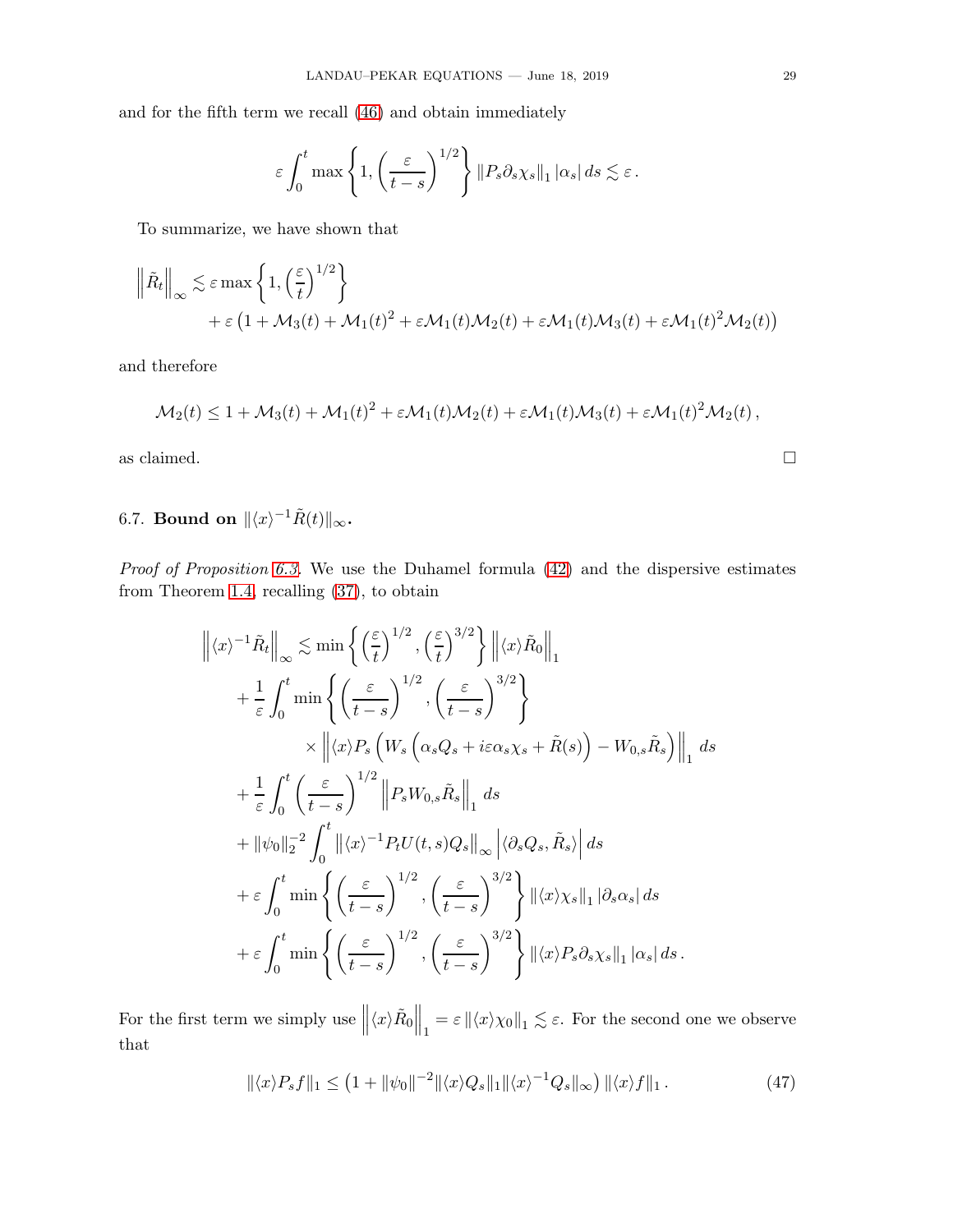and for the fifth term we recall [\(46\)](#page-27-1) and obtain immediately

$$
\varepsilon \int_0^t \max\left\{1, \left(\frac{\varepsilon}{t-s}\right)^{1/2}\right\} ||P_s \partial_s \chi_s||_1 |\alpha_s| ds \lesssim \varepsilon.
$$

To summarize, we have shown that

$$
\begin{aligned}\n\left\|\tilde{R}_t\right\|_{\infty} &\lesssim \varepsilon \max\left\{1, \left(\frac{\varepsilon}{t}\right)^{1/2}\right\} \\
&\quad + \varepsilon \left(1 + \mathcal{M}_3(t) + \mathcal{M}_1(t)^2 + \varepsilon \mathcal{M}_1(t)\mathcal{M}_2(t) + \varepsilon \mathcal{M}_1(t)\mathcal{M}_3(t) + \varepsilon \mathcal{M}_1(t)^2 \mathcal{M}_2(t)\right)\n\end{aligned}
$$

and therefore

$$
\mathcal{M}_2(t) \leq 1 + \mathcal{M}_3(t) + \mathcal{M}_1(t)^2 + \varepsilon \mathcal{M}_1(t) \mathcal{M}_2(t) + \varepsilon \mathcal{M}_1(t) \mathcal{M}_3(t) + \varepsilon \mathcal{M}_1(t)^2 \mathcal{M}_2(t),
$$

as claimed.  $\hfill \square$ 

# <span id="page-28-0"></span>6.7. Bound on  $\|\langle x\rangle^{-1}\tilde{R}(t)\|_{\infty}$ .

Proof of Proposition [6.3.](#page-22-1) We use the Duhamel formula  $(42)$  and the dispersive estimates from Theorem [1.4,](#page-3-3) recalling [\(37\)](#page-20-0), to obtain

$$
\left\| \langle x \rangle^{-1} \tilde{R}_t \right\|_{\infty} \lesssim \min \left\{ \left( \frac{\varepsilon}{t} \right)^{1/2}, \left( \frac{\varepsilon}{t} \right)^{3/2} \right\} \left\| \langle x \rangle \tilde{R}_0 \right\|_1 \n+ \frac{1}{\varepsilon} \int_0^t \min \left\{ \left( \frac{\varepsilon}{t-s} \right)^{1/2}, \left( \frac{\varepsilon}{t-s} \right)^{3/2} \right\} \n\times \left\| \langle x \rangle P_s \left( W_s \left( \alpha_s Q_s + i \varepsilon \alpha_s \chi_s + \tilde{R}(s) \right) - W_{0,s} \tilde{R}_s \right) \right\|_1 ds \n+ \frac{1}{\varepsilon} \int_0^t \left( \frac{\varepsilon}{t-s} \right)^{1/2} \left\| P_s W_{0,s} \tilde{R}_s \right\|_1 ds \n+ \left\| \psi_0 \right\|_2^{-2} \int_0^t \left\| \langle x \rangle^{-1} P_t U(t,s) Q_s \right\|_\infty \left\| \langle \partial_s Q_s, \tilde{R}_s \rangle \right\| ds \n+ \varepsilon \int_0^t \min \left\{ \left( \frac{\varepsilon}{t-s} \right)^{1/2}, \left( \frac{\varepsilon}{t-s} \right)^{3/2} \right\} \left\| \langle x \rangle \chi_s \right\|_1 |\partial_s \alpha_s| ds \n+ \varepsilon \int_0^t \min \left\{ \left( \frac{\varepsilon}{t-s} \right)^{1/2}, \left( \frac{\varepsilon}{t-s} \right)^{3/2} \right\} \left\| \langle x \rangle \chi_s \right\|_1 |\partial_s \alpha_s| ds.
$$

For the first term we simply use  $\left\|\langle x\rangle\tilde{R}_0\right\|_1 = \varepsilon \left\|\langle x\rangle\chi_0\right\|_1 \lesssim \varepsilon$ . For the second one we observe that

<span id="page-28-1"></span>
$$
\|\langle x\rangle P_s f\|_1 \le (1 + \|\psi_0\|^{-2} \|\langle x\rangle Q_s\|_1 \|\langle x\rangle^{-1} Q_s\|_{\infty}) \|\langle x\rangle f\|_1. \tag{47}
$$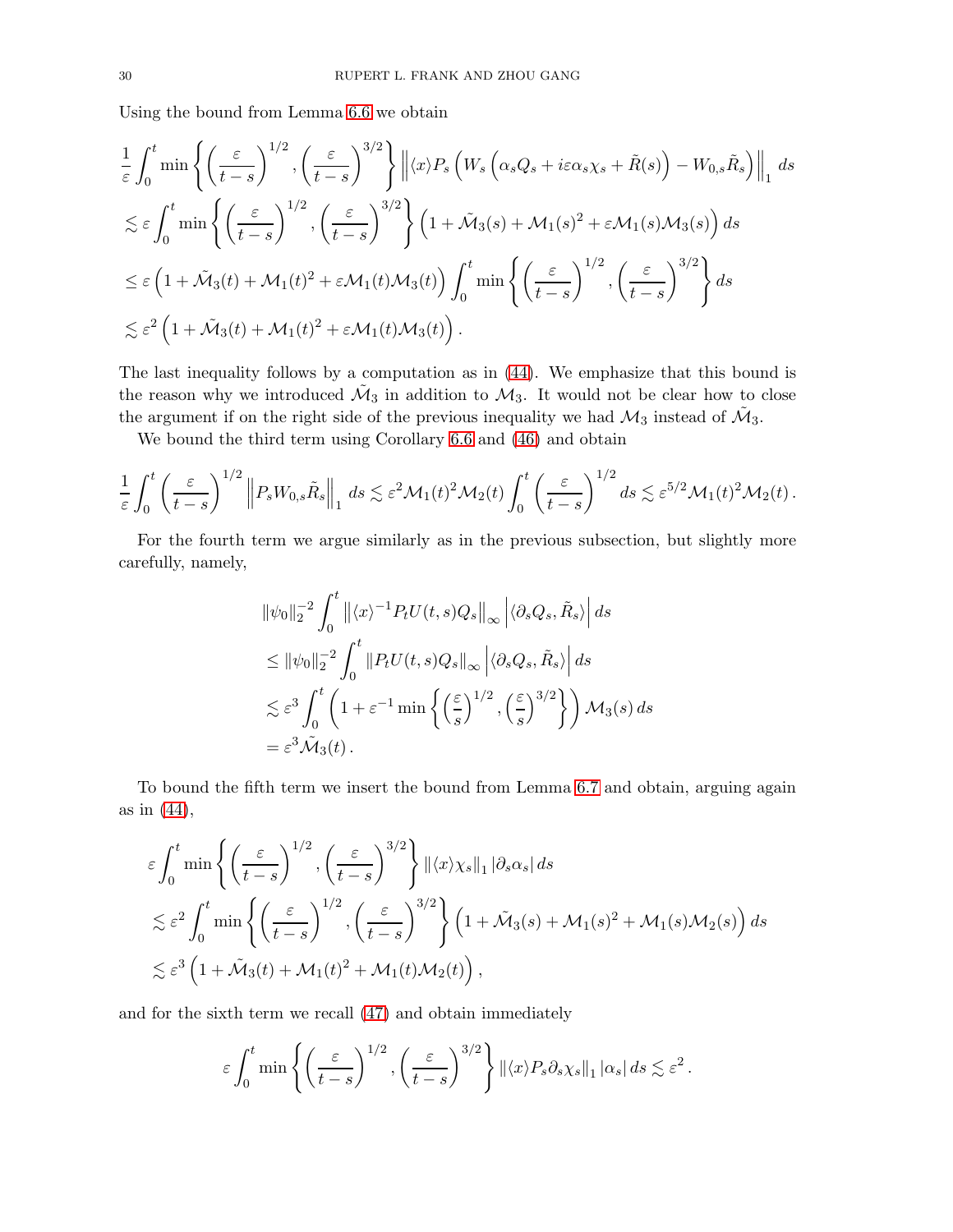Using the bound from Lemma [6.6](#page-25-0) we obtain

$$
\frac{1}{\varepsilon} \int_0^t \min \left\{ \left( \frac{\varepsilon}{t-s} \right)^{1/2}, \left( \frac{\varepsilon}{t-s} \right)^{3/2} \right\} \left\| \langle x \rangle P_s \left( W_s \left( \alpha_s Q_s + i \varepsilon \alpha_s \chi_s + \tilde{R}(s) \right) - W_{0,s} \tilde{R}_s \right) \right\|_1 ds
$$
  
\n
$$
\lesssim \varepsilon \int_0^t \min \left\{ \left( \frac{\varepsilon}{t-s} \right)^{1/2}, \left( \frac{\varepsilon}{t-s} \right)^{3/2} \right\} \left( 1 + \tilde{M}_3(s) + M_1(s)^2 + \varepsilon M_1(s) M_3(s) \right) ds
$$
  
\n
$$
\leq \varepsilon \left( 1 + \tilde{M}_3(t) + M_1(t)^2 + \varepsilon M_1(t) M_3(t) \right) \int_0^t \min \left\{ \left( \frac{\varepsilon}{t-s} \right)^{1/2}, \left( \frac{\varepsilon}{t-s} \right)^{3/2} \right\} ds
$$
  
\n
$$
\lesssim \varepsilon^2 \left( 1 + \tilde{M}_3(t) + M_1(t)^2 + \varepsilon M_1(t) M_3(t) \right).
$$

The last inequality follows by a computation as in [\(44\)](#page-23-0). We emphasize that this bound is the reason why we introduced  $\tilde{\mathcal{M}}_3$  in addition to  $\mathcal{M}_3$ . It would not be clear how to close the argument if on the right side of the previous inequality we had  $\mathcal{M}_3$  instead of  $\mathcal{M}_3$ .

We bound the third term using Corollary [6.6](#page-25-0) and [\(46\)](#page-27-1) and obtain

$$
\frac{1}{\varepsilon} \int_0^t \left( \frac{\varepsilon}{t-s} \right)^{1/2} \left\| P_s W_{0,s} \tilde{R}_s \right\|_1 ds \lesssim \varepsilon^2 \mathcal{M}_1(t)^2 \mathcal{M}_2(t) \int_0^t \left( \frac{\varepsilon}{t-s} \right)^{1/2} ds \lesssim \varepsilon^{5/2} \mathcal{M}_1(t)^2 \mathcal{M}_2(t) .
$$

For the fourth term we argue similarly as in the previous subsection, but slightly more carefully, namely,

$$
\|\psi_0\|_2^{-2} \int_0^t \left\| \langle x \rangle^{-1} P_t U(t, s) Q_s \right\|_\infty \left| \langle \partial_s Q_s, \tilde{R}_s \rangle \right| ds
$$
  
\n
$$
\leq \|\psi_0\|_2^{-2} \int_0^t \left\| P_t U(t, s) Q_s \right\|_\infty \left| \langle \partial_s Q_s, \tilde{R}_s \rangle \right| ds
$$
  
\n
$$
\lesssim \varepsilon^3 \int_0^t \left( 1 + \varepsilon^{-1} \min \left\{ \left( \frac{\varepsilon}{s} \right)^{1/2}, \left( \frac{\varepsilon}{s} \right)^{3/2} \right\} \right) \mathcal{M}_3(s) ds
$$
  
\n
$$
= \varepsilon^3 \tilde{\mathcal{M}}_3(t).
$$

To bound the fifth term we insert the bound from Lemma [6.7](#page-25-1) and obtain, arguing again as in [\(44\)](#page-23-0),

$$
\varepsilon \int_0^t \min \left\{ \left( \frac{\varepsilon}{t-s} \right)^{1/2}, \left( \frac{\varepsilon}{t-s} \right)^{3/2} \right\} ||\langle x \rangle \chi_s||_1 |\partial_s \alpha_s| ds
$$
  

$$
\lesssim \varepsilon^2 \int_0^t \min \left\{ \left( \frac{\varepsilon}{t-s} \right)^{1/2}, \left( \frac{\varepsilon}{t-s} \right)^{3/2} \right\} \left( 1 + \tilde{\mathcal{M}}_3(s) + \mathcal{M}_1(s)^2 + \mathcal{M}_1(s) \mathcal{M}_2(s) \right) ds
$$
  

$$
\lesssim \varepsilon^3 \left( 1 + \tilde{\mathcal{M}}_3(t) + \mathcal{M}_1(t)^2 + \mathcal{M}_1(t) \mathcal{M}_2(t) \right),
$$

and for the sixth term we recall [\(47\)](#page-28-1) and obtain immediately

$$
\varepsilon \int_0^t \min\left\{ \left( \frac{\varepsilon}{t-s} \right)^{1/2}, \left( \frac{\varepsilon}{t-s} \right)^{3/2} \right\} \left\| \langle x \rangle P_s \partial_s \chi_s \right\|_1 |\alpha_s| ds \lesssim \varepsilon^2.
$$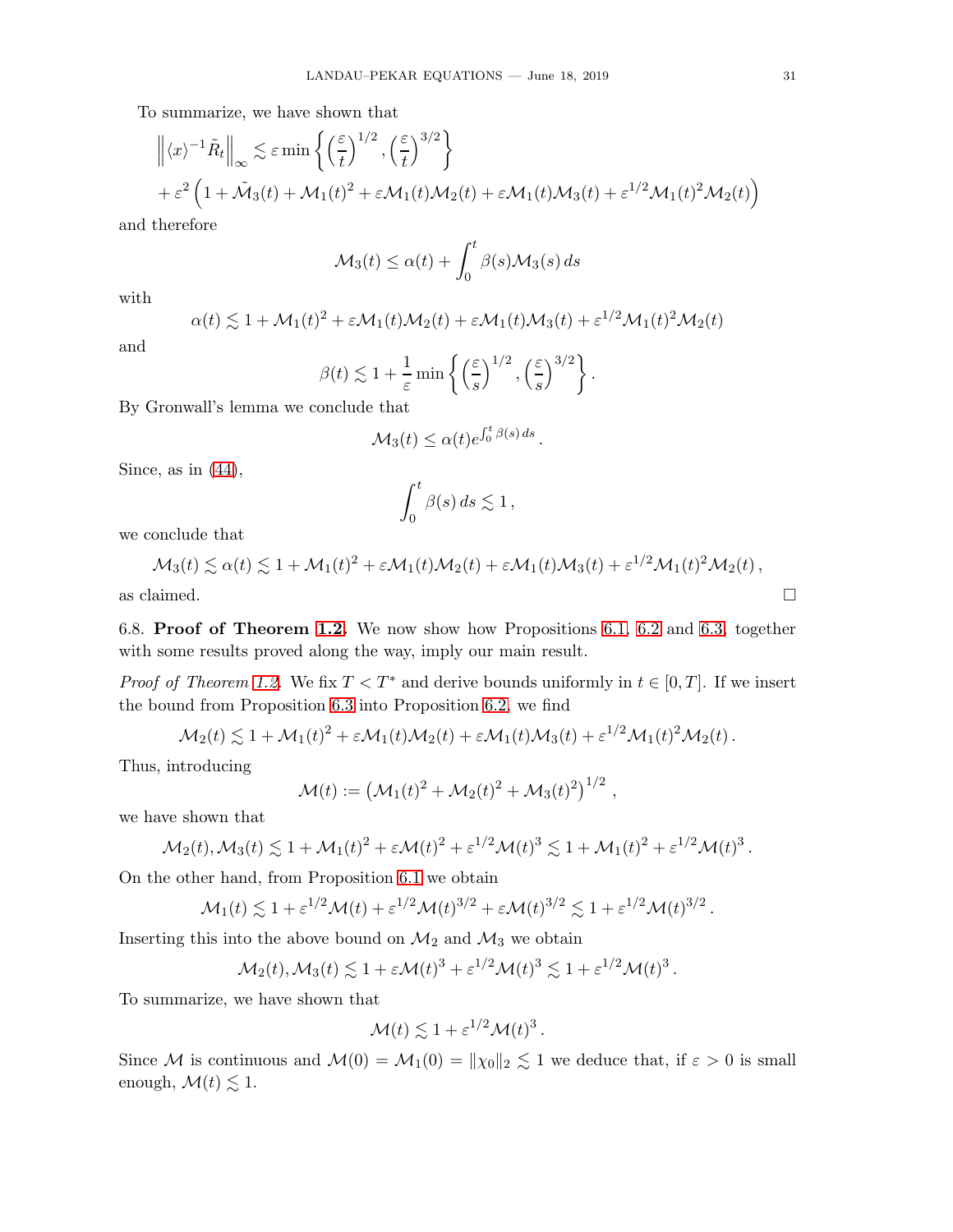To summarize, we have shown that

$$
\left\| \langle x \rangle^{-1} \tilde{R}_t \right\|_{\infty} \lesssim \varepsilon \min \left\{ \left( \frac{\varepsilon}{t} \right)^{1/2}, \left( \frac{\varepsilon}{t} \right)^{3/2} \right\}
$$
  
+  $\varepsilon^2 \left( 1 + \tilde{M}_3(t) + M_1(t)^2 + \varepsilon M_1(t) M_2(t) + \varepsilon M_1(t) M_3(t) + \varepsilon^{1/2} M_1(t)^2 M_2(t) \right)$ 

and therefore

$$
\mathcal{M}_3(t) \le \alpha(t) + \int_0^t \beta(s) \mathcal{M}_3(s) \, ds
$$

with

$$
\alpha(t) \lesssim 1 + \mathcal{M}_1(t)^2 + \varepsilon \mathcal{M}_1(t)\mathcal{M}_2(t) + \varepsilon \mathcal{M}_1(t)\mathcal{M}_3(t) + \varepsilon^{1/2} \mathcal{M}_1(t)^2 \mathcal{M}_2(t)
$$

and

$$
\beta(t) \lesssim 1 + \frac{1}{\varepsilon} \min \left\{ \left( \frac{\varepsilon}{s} \right)^{1/2}, \left( \frac{\varepsilon}{s} \right)^{3/2} \right\}.
$$

By Gronwall's lemma we conclude that

$$
\mathcal{M}_3(t) \leq \alpha(t) e^{\int_0^t \beta(s) ds}.
$$

Since, as in  $(44)$ ,

$$
\int_0^t \beta(s) \, ds \lesssim 1 \,,
$$

we conclude that

$$
\mathcal{M}_3(t) \lesssim \alpha(t) \lesssim 1 + \mathcal{M}_1(t)^2 + \varepsilon \mathcal{M}_1(t) \mathcal{M}_2(t) + \varepsilon \mathcal{M}_1(t) \mathcal{M}_3(t) + \varepsilon^{1/2} \mathcal{M}_1(t)^2 \mathcal{M}_2(t),
$$

<span id="page-30-0"></span>as claimed.  $\Box$ 

6.8. Proof of Theorem [1.2.](#page-1-4) We now show how Propositions [6.1,](#page-21-0) [6.2](#page-22-0) and [6.3,](#page-22-1) together with some results proved along the way, imply our main result.

*Proof of Theorem [1.2.](#page-1-4)* We fix  $T < T^*$  and derive bounds uniformly in  $t \in [0, T]$ . If we insert the bound from Proposition [6.3](#page-22-1) into Proposition [6.2,](#page-22-0) we find

$$
\mathcal{M}_2(t) \lesssim 1 + \mathcal{M}_1(t)^2 + \varepsilon \mathcal{M}_1(t) \mathcal{M}_2(t) + \varepsilon \mathcal{M}_1(t) \mathcal{M}_3(t) + \varepsilon^{1/2} \mathcal{M}_1(t)^2 \mathcal{M}_2(t).
$$

Thus, introducing

$$
\mathcal{M}(t) := (\mathcal{M}_1(t)^2 + \mathcal{M}_2(t)^2 + \mathcal{M}_3(t)^2)^{1/2},
$$

we have shown that

$$
\mathcal{M}_2(t), \mathcal{M}_3(t) \lesssim 1 + \mathcal{M}_1(t)^2 + \varepsilon \mathcal{M}(t)^2 + \varepsilon^{1/2} \mathcal{M}(t)^3 \lesssim 1 + \mathcal{M}_1(t)^2 + \varepsilon^{1/2} \mathcal{M}(t)^3.
$$

On the other hand, from Proposition [6.1](#page-21-0) we obtain

$$
\mathcal{M}_1(t) \lesssim 1 + \varepsilon^{1/2} \mathcal{M}(t) + \varepsilon^{1/2} \mathcal{M}(t)^{3/2} + \varepsilon \mathcal{M}(t)^{3/2} \lesssim 1 + \varepsilon^{1/2} \mathcal{M}(t)^{3/2}.
$$

Inserting this into the above bound on  $\mathcal{M}_2$  and  $\mathcal{M}_3$  we obtain

$$
\mathcal{M}_2(t), \mathcal{M}_3(t) \lesssim 1 + \varepsilon \mathcal{M}(t)^3 + \varepsilon^{1/2} \mathcal{M}(t)^3 \lesssim 1 + \varepsilon^{1/2} \mathcal{M}(t)^3
$$

.

To summarize, we have shown that

$$
\mathcal{M}(t) \lesssim 1 + \varepsilon^{1/2} \mathcal{M}(t)^3.
$$

Since M is continuous and  $\mathcal{M}(0) = \mathcal{M}_1(0) = ||\chi_0||_2 \lesssim 1$  we deduce that, if  $\varepsilon > 0$  is small enough,  $\mathcal{M}(t) \lesssim 1$ .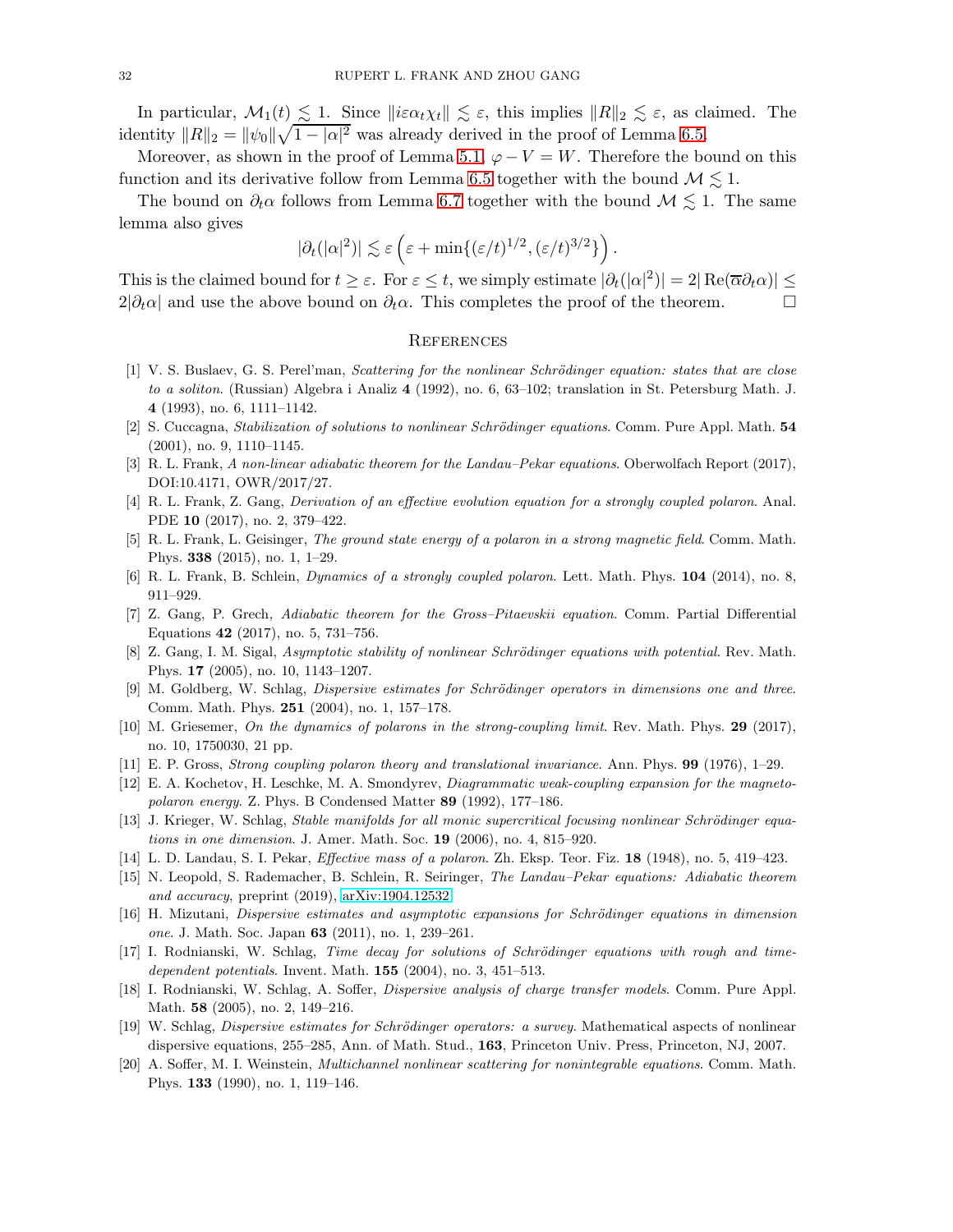In particular,  $\mathcal{M}_1(t) \lesssim 1$ . Since  $\|\hat{i}\epsilon\alpha_t \chi_t\| \lesssim \varepsilon$ , this implies  $\|R\|_2 \lesssim \varepsilon$ , as claimed. The identity  $||R||_2 = ||\psi_0|| \sqrt{1 - |\alpha|^2}$  was already derived in the proof of Lemma [6.5.](#page-23-2)

Moreover, as shown in the proof of Lemma [5.1,](#page-19-5)  $\varphi - V = W$ . Therefore the bound on this function and its derivative follow from Lemma [6.5](#page-23-2) together with the bound  $\mathcal{M} \lesssim 1$ .

The bound on  $\partial_t \alpha$  follows from Lemma [6.7](#page-25-1) together with the bound  $\mathcal{M} \lesssim 1$ . The same lemma also gives

$$
|\partial_t(|\alpha|^2)| \lesssim \varepsilon \left( \varepsilon + \min\{ (\varepsilon/t)^{1/2}, (\varepsilon/t)^{3/2} \} \right).
$$

This is the claimed bound for  $t \geq \varepsilon$ . For  $\varepsilon \leq t$ , we simply estimate  $|\partial_t(|\alpha|^2)| = 2|\operatorname{Re}(\overline{\alpha}\partial_t\alpha)| \leq$  $2|\partial_t\alpha|$  and use the above bound on  $\partial_t\alpha$ . This completes the proof of the theorem.  $\Box$ 

### **REFERENCES**

- <span id="page-31-8"></span>[1] V. S. Buslaev, G. S. Perel'man, Scattering for the nonlinear Schrödinger equation: states that are close to a soliton. (Russian) Algebra i Analiz 4 (1992), no. 6, 63–102; translation in St. Petersburg Math. J. 4 (1993), no. 6, 1111–1142.
- <span id="page-31-17"></span><span id="page-31-9"></span>[2] S. Cuccagna, Stabilization of solutions to nonlinear Schrödinger equations. Comm. Pure Appl. Math. 54 (2001), no. 9, 1110–1145.
- <span id="page-31-4"></span>[3] R. L. Frank, A non-linear adiabatic theorem for the Landau–Pekar equations. Oberwolfach Report (2017), DOI:10.4171, OWR/2017/27.
- [4] R. L. Frank, Z. Gang, Derivation of an effective evolution equation for a strongly coupled polaron. Anal. PDE 10 (2017), no. 2, 379–422.
- <span id="page-31-2"></span>[5] R. L. Frank, L. Geisinger, The ground state energy of a polaron in a strong magnetic field. Comm. Math. Phys. 338 (2015), no. 1, 1–29.
- <span id="page-31-18"></span><span id="page-31-6"></span>[6] R. L. Frank, B. Schlein, *Dynamics of a strongly coupled polaron*. Lett. Math. Phys. 104 (2014), no. 8, 911–929.
- <span id="page-31-12"></span>[7] Z. Gang, P. Grech, Adiabatic theorem for the Gross–Pitaevskii equation. Comm. Partial Differential Equations 42 (2017), no. 5, 731–756.
- [8] Z. Gang, I. M. Sigal, Asymptotic stability of nonlinear Schrödinger equations with potential. Rev. Math. Phys. 17 (2005), no. 10, 1143–1207.
- <span id="page-31-13"></span>[9] M. Goldberg, W. Schlag, Dispersive estimates for Schrödinger operators in dimensions one and three. Comm. Math. Phys. 251 (2004), no. 1, 157–178.
- [10] M. Griesemer, On the dynamics of polarons in the strong-coupling limit. Rev. Math. Phys. 29 (2017), no. 10, 1750030, 21 pp.
- <span id="page-31-1"></span><span id="page-31-0"></span>[11] E. P. Gross, Strong coupling polaron theory and translational invariance. Ann. Phys. 99 (1976), 1–29.
- <span id="page-31-11"></span>[12] E. A. Kochetov, H. Leschke, M. A. Smondyrev, Diagrammatic weak-coupling expansion for the magnetopolaron energy. Z. Phys. B Condensed Matter 89 (1992), 177–186.
- <span id="page-31-3"></span>[13] J. Krieger, W. Schlag, Stable manifolds for all monic supercritical focusing nonlinear Schrödinger equations in one dimension. J. Amer. Math. Soc. 19 (2006), no. 4, 815–920.
- <span id="page-31-5"></span>[14] L. D. Landau, S. I. Pekar, Effective mass of a polaron. Zh. Eksp. Teor. Fiz. 18 (1948), no. 5, 419–423.
- [15] N. Leopold, S. Rademacher, B. Schlein, R. Seiringer, The Landau–Pekar equations: Adiabatic theorem and accuracy, preprint (2019), [arXiv:1904.12532.](http://arxiv.org/abs/1904.12532)
- <span id="page-31-14"></span>[16] H. Mizutani, Dispersive estimates and asymptotic expansions for Schrödinger equations in dimension one. J. Math. Soc. Japan 63 (2011), no. 1, 239–261.
- <span id="page-31-16"></span> $[17]$  I. Rodnianski, W. Schlag, Time decay for solutions of Schrödinger equations with rough and timedependent potentials. Invent. Math. 155 (2004), no. 3, 451–513.
- <span id="page-31-10"></span>[18] I. Rodnianski, W. Schlag, A. Soffer, Dispersive analysis of charge transfer models. Comm. Pure Appl. Math. 58 (2005), no. 2, 149–216.
- <span id="page-31-15"></span>[19] W. Schlag, *Dispersive estimates for Schrödinger operators: a survey*. Mathematical aspects of nonlinear dispersive equations, 255–285, Ann. of Math. Stud., 163, Princeton Univ. Press, Princeton, NJ, 2007.
- <span id="page-31-7"></span>[20] A. Soffer, M. I. Weinstein, Multichannel nonlinear scattering for nonintegrable equations. Comm. Math. Phys. 133 (1990), no. 1, 119–146.